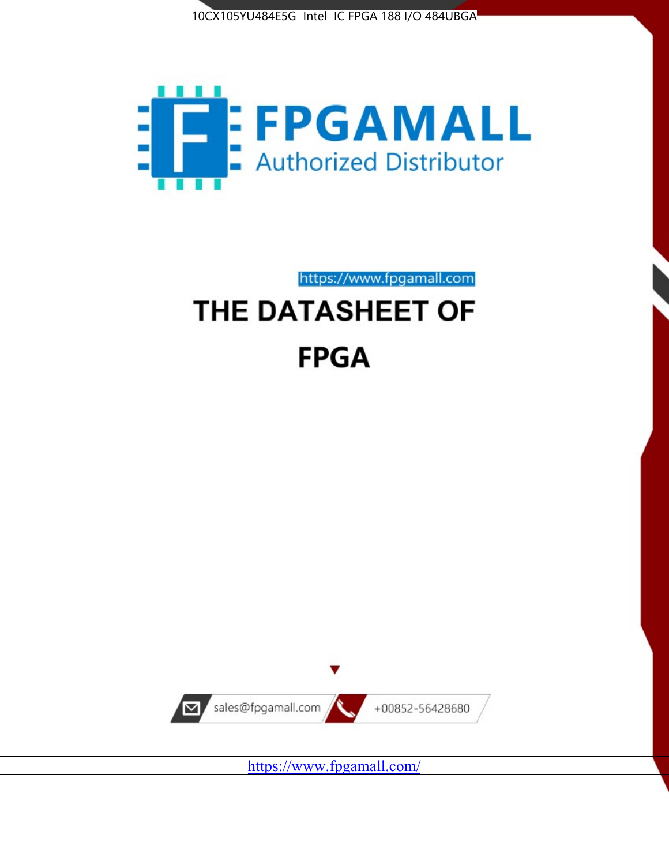



https://www.fpgamall.com THE DATASHEET OF

# **FPGA**



<https://www.fpgamall.com/>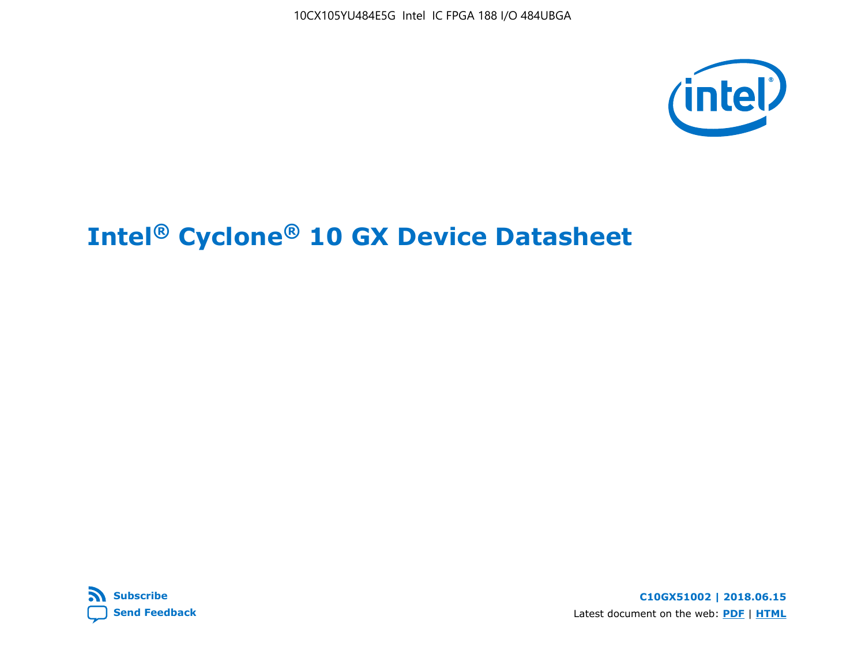



**C10GX51002 | 2018.06.15** Latest document on the web: **[PDF](https://www.altera.com/en_US/pdfs/literature/hb/cyclone-10/c10gx-51002.pdf)** | **[HTML](https://www.altera.com/documentation/muf1488511478825.html)**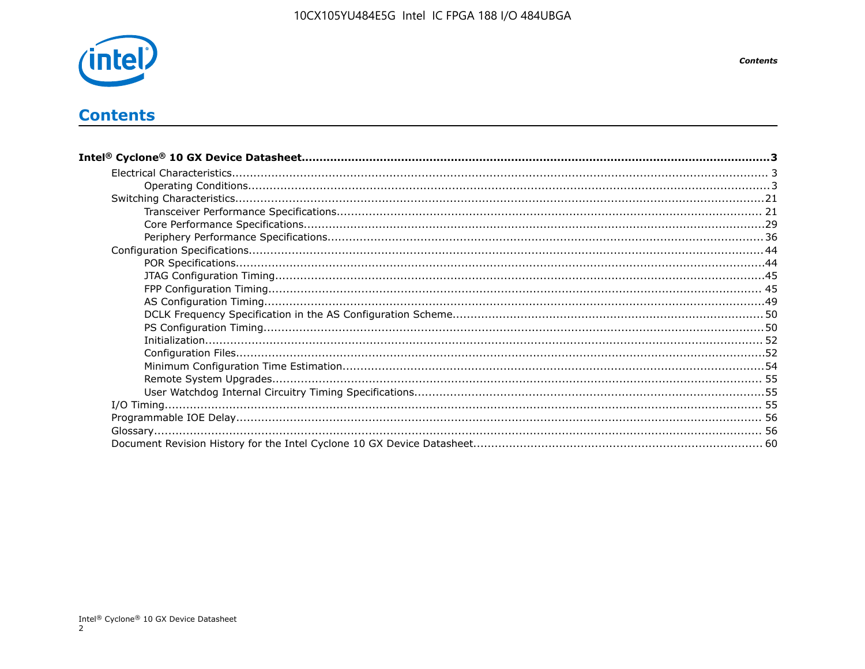

# **Contents**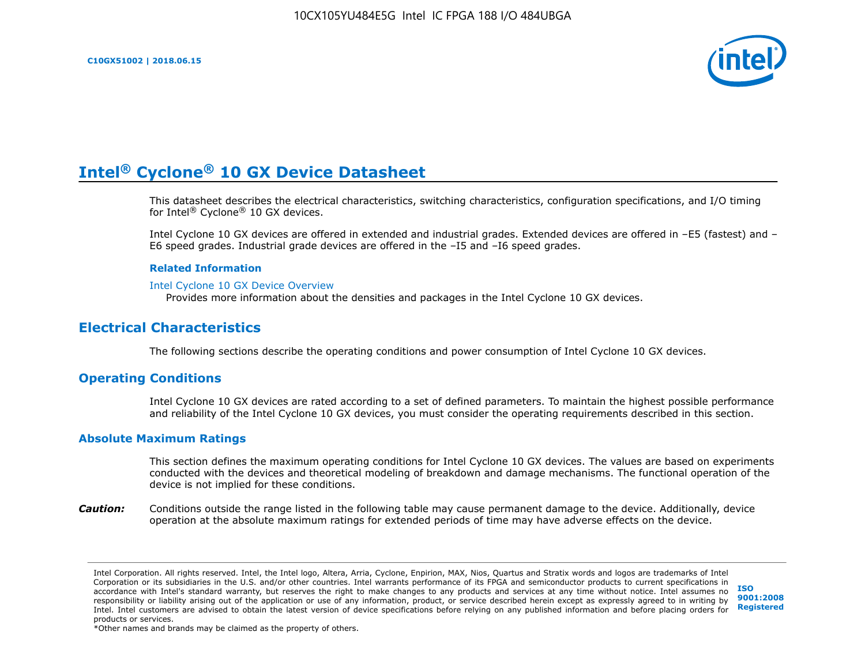

This datasheet describes the electrical characteristics, switching characteristics, configuration specifications, and I/O timing for Intel® Cyclone® 10 GX devices.

Intel Cyclone 10 GX devices are offered in extended and industrial grades. Extended devices are offered in –E5 (fastest) and – E6 speed grades. Industrial grade devices are offered in the –I5 and –I6 speed grades.

#### **Related Information**

#### [Intel Cyclone 10 GX Device Overview](https://www.altera.com/documentation/grc1488182989852.html#mvd1484026010948)

Provides more information about the densities and packages in the Intel Cyclone 10 GX devices.

## **Electrical Characteristics**

The following sections describe the operating conditions and power consumption of Intel Cyclone 10 GX devices.

## **Operating Conditions**

Intel Cyclone 10 GX devices are rated according to a set of defined parameters. To maintain the highest possible performance and reliability of the Intel Cyclone 10 GX devices, you must consider the operating requirements described in this section.

#### **Absolute Maximum Ratings**

This section defines the maximum operating conditions for Intel Cyclone 10 GX devices. The values are based on experiments conducted with the devices and theoretical modeling of breakdown and damage mechanisms. The functional operation of the device is not implied for these conditions.

*Caution:* Conditions outside the range listed in the following table may cause permanent damage to the device. Additionally, device operation at the absolute maximum ratings for extended periods of time may have adverse effects on the device.

**[ISO](http://www.altera.com/support/devices/reliability/certifications/rel-certifications.html) [9001:2008](http://www.altera.com/support/devices/reliability/certifications/rel-certifications.html) [Registered](http://www.altera.com/support/devices/reliability/certifications/rel-certifications.html)**

\*Other names and brands may be claimed as the property of others.

Intel Corporation. All rights reserved. Intel, the Intel logo, Altera, Arria, Cyclone, Enpirion, MAX, Nios, Quartus and Stratix words and logos are trademarks of Intel Corporation or its subsidiaries in the U.S. and/or other countries. Intel warrants performance of its FPGA and semiconductor products to current specifications in accordance with Intel's standard warranty, but reserves the right to make changes to any products and services at any time without notice. Intel assumes no responsibility or liability arising out of the application or use of any information, product, or service described herein except as expressly agreed to in writing by Intel. Intel customers are advised to obtain the latest version of device specifications before relying on any published information and before placing orders for products or services.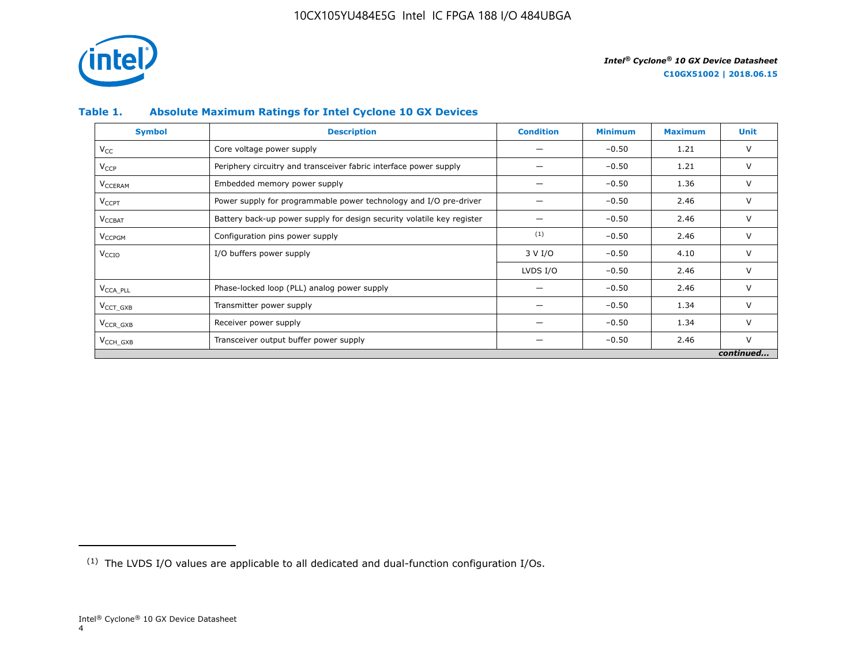

## **Table 1. Absolute Maximum Ratings for Intel Cyclone 10 GX Devices**

| <b>Symbol</b>             | <b>Description</b>                                                     | <b>Condition</b> | <b>Minimum</b> | <b>Maximum</b> | Unit      |
|---------------------------|------------------------------------------------------------------------|------------------|----------------|----------------|-----------|
| $V_{CC}$                  | Core voltage power supply                                              |                  | $-0.50$        | 1.21           | V         |
| <b>V<sub>CCP</sub></b>    | Periphery circuitry and transceiver fabric interface power supply      |                  | $-0.50$        | 1.21           | V         |
| <b>V<sub>CCERAM</sub></b> | Embedded memory power supply                                           |                  | $-0.50$        | 1.36           | $\vee$    |
| $V_{\text{CCPT}}$         | Power supply for programmable power technology and I/O pre-driver      |                  | $-0.50$        | 2.46           | V         |
| $V_{\text{CCBAT}}$        | Battery back-up power supply for design security volatile key register |                  | $-0.50$        | 2.46           | V         |
| V <sub>CCPGM</sub>        | Configuration pins power supply                                        | (1)              | $-0.50$        | 2.46           | V         |
| V <sub>CCIO</sub>         | I/O buffers power supply                                               | 3 V I/O          | $-0.50$        | 4.10           | $\vee$    |
|                           |                                                                        | LVDS I/O         | $-0.50$        | 2.46           | $\vee$    |
| V <sub>CCA PLL</sub>      | Phase-locked loop (PLL) analog power supply                            |                  | $-0.50$        | 2.46           | V         |
| $VCCT$ GXB                | Transmitter power supply                                               |                  | $-0.50$        | 1.34           | V         |
| $V_{CCR_GXB}$             | Receiver power supply                                                  |                  | $-0.50$        | 1.34           | $\vee$    |
| $V_{\text{CCH_GXB}}$      | Transceiver output buffer power supply                                 |                  | $-0.50$        | 2.46           | $\vee$    |
|                           |                                                                        |                  |                |                | continued |

<sup>(1)</sup> The LVDS I/O values are applicable to all dedicated and dual-function configuration I/Os.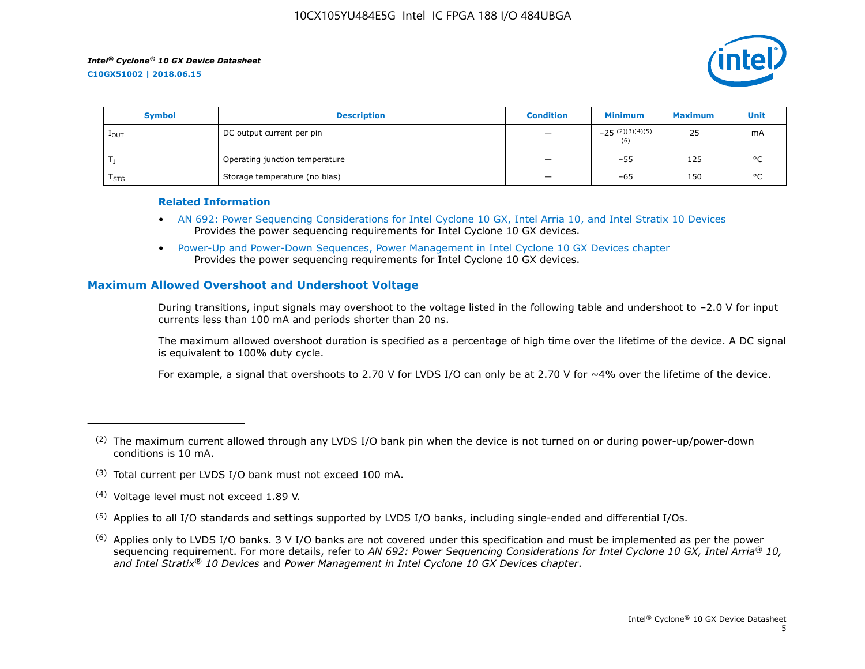

| <b>Symbol</b>    | <b>Description</b>             | <b>Condition</b>         | <b>Minimum</b>           | <b>Maximum</b> | Unit    |
|------------------|--------------------------------|--------------------------|--------------------------|----------------|---------|
| $1_{\text{OUT}}$ | DC output current per pin      | $\qquad \qquad -$        | $-25(2)(3)(4)(5)$<br>(6) | 25             | mA      |
|                  | Operating junction temperature | $\qquad \qquad -$        | $-55$                    | 125            | $\circ$ |
| $I_{STG}$        | Storage temperature (no bias)  | $\overline{\phantom{0}}$ | -65                      | 150            | $\circ$ |

#### **Related Information**

- [AN 692: Power Sequencing Considerations for Intel Cyclone 10 GX, Intel Arria 10, and Intel Stratix 10 Devices](https://www.altera.com/documentation/nik1412640107351.html#nik1412640086729) Provides the power sequencing requirements for Intel Cyclone 10 GX devices.
- [Power-Up and Power-Down Sequences, Power Management in Intel Cyclone 10 GX Devices chapter](https://www.altera.com/documentation/vua1487061384661.html#qel1490343470589) Provides the power sequencing requirements for Intel Cyclone 10 GX devices.

## **Maximum Allowed Overshoot and Undershoot Voltage**

During transitions, input signals may overshoot to the voltage listed in the following table and undershoot to –2.0 V for input currents less than 100 mA and periods shorter than 20 ns.

The maximum allowed overshoot duration is specified as a percentage of high time over the lifetime of the device. A DC signal is equivalent to 100% duty cycle.

For example, a signal that overshoots to 2.70 V for LVDS I/O can only be at 2.70 V for ~4% over the lifetime of the device.

- (3) Total current per LVDS I/O bank must not exceed 100 mA.
- (4) Voltage level must not exceed 1.89 V.
- (5) Applies to all I/O standards and settings supported by LVDS I/O banks, including single-ended and differential I/Os.
- $(6)$  Applies only to LVDS I/O banks. 3 V I/O banks are not covered under this specification and must be implemented as per the power sequencing requirement. For more details, refer to *AN 692: Power Sequencing Considerations for Intel Cyclone 10 GX, Intel Arria® 10, and Intel Stratix® 10 Devices* and *Power Management in Intel Cyclone 10 GX Devices chapter*.

 $(2)$  The maximum current allowed through any LVDS I/O bank pin when the device is not turned on or during power-up/power-down conditions is 10 mA.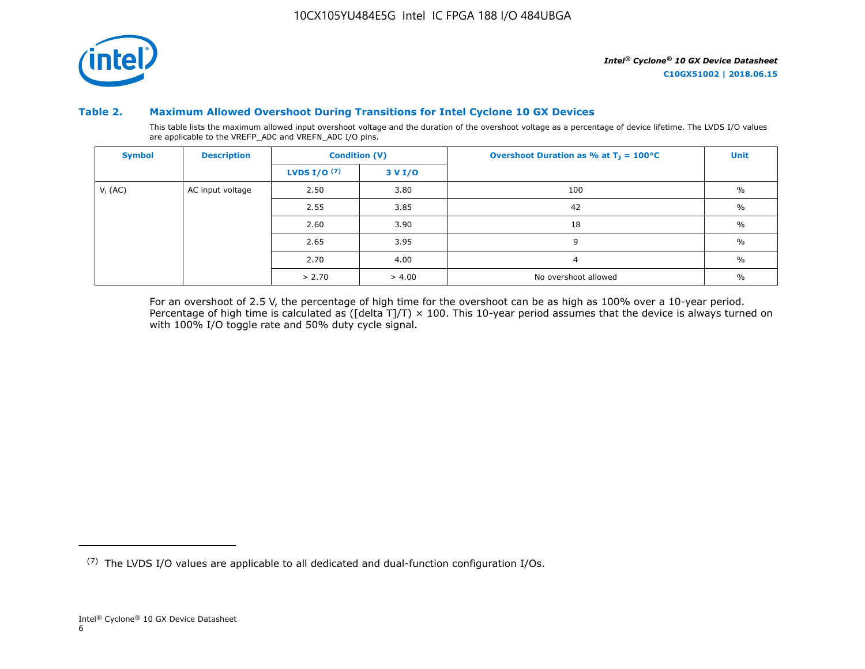

## **Table 2. Maximum Allowed Overshoot During Transitions for Intel Cyclone 10 GX Devices**

This table lists the maximum allowed input overshoot voltage and the duration of the overshoot voltage as a percentage of device lifetime. The LVDS I/O values are applicable to the VREFP\_ADC and VREFN\_ADC I/O pins.

| <b>Symbol</b> | <b>Description</b> | <b>Condition (V)</b>  |            | Overshoot Duration as % at $T_1 = 100^{\circ}C$ | <b>Unit</b>   |
|---------------|--------------------|-----------------------|------------|-------------------------------------------------|---------------|
|               |                    | <b>LVDS I/O</b> $(7)$ | 3 V I/O    |                                                 |               |
| $V_i$ (AC)    | AC input voltage   | 2.50                  | 3.80       | 100                                             | $\%$          |
|               |                    | 2.55                  | 3.85<br>42 |                                                 | $\%$          |
|               |                    | 2.60                  | 3.90       | 18                                              | $\frac{0}{0}$ |
|               |                    | 2.65                  | 3.95       | 9                                               | $\frac{0}{0}$ |
|               |                    | 2.70                  | 4.00       | $\overline{4}$                                  | $\frac{0}{0}$ |
|               |                    | > 2.70                | > 4.00     | No overshoot allowed                            | $\%$          |

For an overshoot of 2.5 V, the percentage of high time for the overshoot can be as high as 100% over a 10-year period. Percentage of high time is calculated as ([delta T]/T)  $\times$  100. This 10-year period assumes that the device is always turned on with 100% I/O toggle rate and 50% duty cycle signal.

<sup>(7)</sup> The LVDS I/O values are applicable to all dedicated and dual-function configuration I/Os.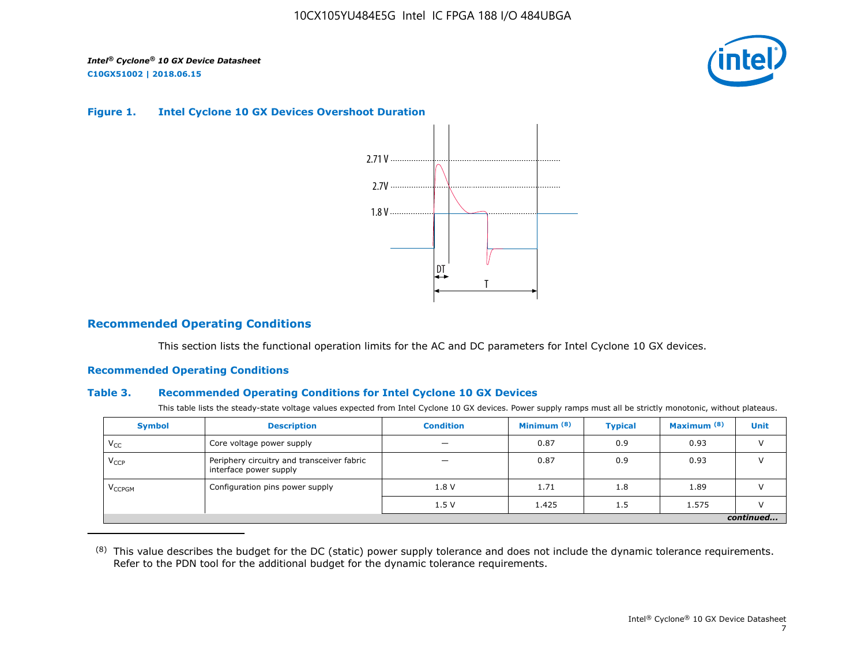

#### **Figure 1. Intel Cyclone 10 GX Devices Overshoot Duration**



## **Recommended Operating Conditions**

This section lists the functional operation limits for the AC and DC parameters for Intel Cyclone 10 GX devices.

## **Recommended Operating Conditions**

### **Table 3. Recommended Operating Conditions for Intel Cyclone 10 GX Devices**

This table lists the steady-state voltage values expected from Intel Cyclone 10 GX devices. Power supply ramps must all be strictly monotonic, without plateaus.

| <b>Symbol</b>            | <b>Description</b>                                                   | <b>Condition</b> | Minimum <sup>(8)</sup> | <b>Typical</b> | Maximum <sup>(8)</sup> | <b>Unit</b> |  |  |  |  |  |
|--------------------------|----------------------------------------------------------------------|------------------|------------------------|----------------|------------------------|-------------|--|--|--|--|--|
| $V_{CC}$                 | Core voltage power supply                                            | -                | 0.87                   | 0.9            | 0.93                   |             |  |  |  |  |  |
| $V_{CCP}$                | Periphery circuitry and transceiver fabric<br>interface power supply |                  | 0.87                   | 0.9            | 0.93                   |             |  |  |  |  |  |
| <b>V<sub>CCPGM</sub></b> | Configuration pins power supply                                      | 1.8V             | 1.71                   | 1.8            | 1.89                   |             |  |  |  |  |  |
|                          |                                                                      | 1.5V             | 1.425                  | 1.5            | 1.575                  |             |  |  |  |  |  |
|                          | continued                                                            |                  |                        |                |                        |             |  |  |  |  |  |

<sup>(8)</sup> This value describes the budget for the DC (static) power supply tolerance and does not include the dynamic tolerance requirements. Refer to the PDN tool for the additional budget for the dynamic tolerance requirements.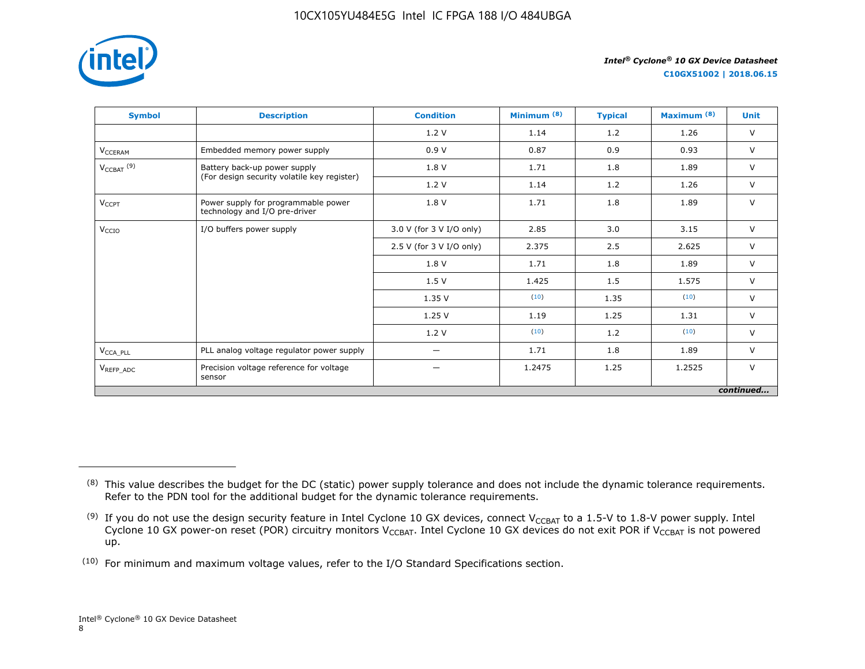

**C10GX51002 | 2018.06.15**

| <b>Symbol</b>                     | <b>Description</b>                                                   | <b>Condition</b>         | Minimum <sup>(8)</sup> | <b>Typical</b> | Maximum <sup>(8)</sup> | <b>Unit</b> |
|-----------------------------------|----------------------------------------------------------------------|--------------------------|------------------------|----------------|------------------------|-------------|
|                                   |                                                                      | 1.2V                     | 1.14                   | 1.2            | 1.26                   | $\vee$      |
| V <sub>CCERAM</sub>               | Embedded memory power supply                                         | 0.9V                     | 0.87                   | 0.9            | 0.93                   | $\vee$      |
| $V_{\text{CCBAT}}$ <sup>(9)</sup> | Battery back-up power supply                                         | 1.8 V                    | 1.71                   | 1.8            | 1.89                   | $\vee$      |
|                                   | (For design security volatile key register)                          | 1.2V                     | 1.14                   | 1.2            | 1.26                   | $\vee$      |
| $V_{CCPT}$                        | Power supply for programmable power<br>technology and I/O pre-driver | 1.8 V                    | 1.71                   | 1.8            | 1.89                   | $\vee$      |
| V <sub>CCIO</sub>                 | I/O buffers power supply                                             | 3.0 V (for 3 V I/O only) | 2.85                   | 3.0            | 3.15                   | $\vee$      |
|                                   |                                                                      | 2.5 V (for 3 V I/O only) | 2.375                  | 2.5            | 2.625                  | $\vee$      |
|                                   |                                                                      | 1.8 V                    | 1.71                   | 1.8            | 1.89                   | $\vee$      |
|                                   |                                                                      | 1.5V                     | 1.425                  | 1.5            | 1.575                  | $\vee$      |
|                                   |                                                                      | 1.35 V                   | (10)                   | 1.35           | (10)                   | $\vee$      |
|                                   |                                                                      | 1.25V                    | 1.19                   | 1.25           | 1.31                   | $\vee$      |
|                                   |                                                                      | 1.2 V                    | (10)                   | 1.2            | (10)                   | $\vee$      |
| $V_{\text{CCA\_PLL}}$             | PLL analog voltage regulator power supply                            | —                        | 1.71                   | 1.8            | 1.89                   | $\vee$      |
| V <sub>REFP ADC</sub>             | Precision voltage reference for voltage<br>sensor                    | —                        | 1.2475                 | 1.25           | 1.2525                 | $\vee$      |
|                                   |                                                                      |                          |                        |                |                        | continued   |

<sup>&</sup>lt;sup>(8)</sup> This value describes the budget for the DC (static) power supply tolerance and does not include the dynamic tolerance requirements. Refer to the PDN tool for the additional budget for the dynamic tolerance requirements.

 $^{(9)}$  If you do not use the design security feature in Intel Cyclone 10 GX devices, connect V $_{\rm CCBAT}$  to a 1.5-V to 1.8-V power supply. Intel Cyclone 10 GX power-on reset (POR) circuitry monitors V $_{\rm CCBAT}$ . Intel Cyclone 10 GX devices do not exit POR if V $_{\rm CCBAT}$  is not powered up.

 $(10)$  For minimum and maximum voltage values, refer to the I/O Standard Specifications section.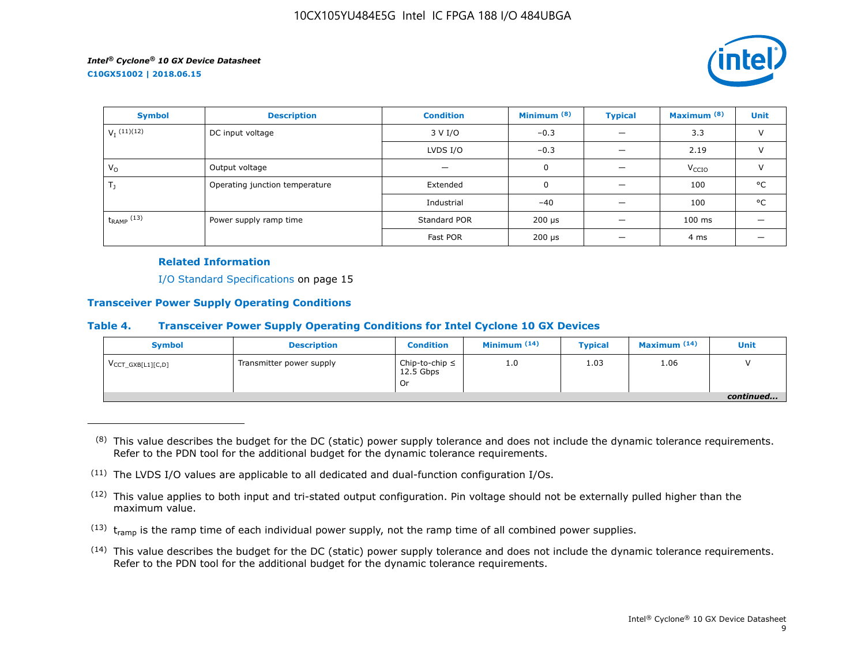

| <b>Symbol</b>          | <b>Description</b>             | <b>Condition</b>                          | Minimum <sup>(8)</sup>    | <b>Typical</b> | Maximum <sup>(8)</sup> | <b>Unit</b>   |
|------------------------|--------------------------------|-------------------------------------------|---------------------------|----------------|------------------------|---------------|
| $V_I$ (11)(12)         | DC input voltage               | 3 V I/O                                   | $-0.3$                    |                | 3.3                    | $\vee$        |
|                        |                                | LVDS $I/O$                                | $-0.3$                    |                | 2.19                   | $\vee$        |
| $V_{\Omega}$           | Output voltage                 | –                                         | 0                         |                | V <sub>CCIO</sub>      | $\mathcal{U}$ |
| $T_{\rm J}$            | Operating junction temperature | Extended                                  | $\mathbf 0$               |                | 100                    | °C            |
|                        |                                | Industrial                                | $-40$                     |                | 100                    | °C            |
| $t_{\text{RAMP}}$ (13) | Power supply ramp time         | Standard POR<br>$200 \text{ }\mu\text{s}$ |                           |                | $100$ ms               |               |
|                        |                                | Fast POR                                  | $200 \text{ }\mu\text{s}$ |                | 4 ms                   |               |

#### **Related Information**

I/O Standard Specifications on page 15

## **Transceiver Power Supply Operating Conditions**

#### **Table 4. Transceiver Power Supply Operating Conditions for Intel Cyclone 10 GX Devices**

| <b>Symbol</b>                 | <b>Description</b>       | <b>Condition</b>                         | Minimum $(14)$ | <b>Typical</b> | Maximum $(14)$ | Unit      |
|-------------------------------|--------------------------|------------------------------------------|----------------|----------------|----------------|-----------|
| $V_{\text{CCT_GXB[L1][C,D]}}$ | Transmitter power supply | Chip-to-chip $\leq$<br>$12.5$ Gbps<br>Or | 1.0            | 1.03           | 1.06           |           |
|                               |                          |                                          |                |                |                | continued |

 $(8)$  This value describes the budget for the DC (static) power supply tolerance and does not include the dynamic tolerance requirements. Refer to the PDN tool for the additional budget for the dynamic tolerance requirements.

- $(13)$  t<sub>ramp</sub> is the ramp time of each individual power supply, not the ramp time of all combined power supplies.
- (14) This value describes the budget for the DC (static) power supply tolerance and does not include the dynamic tolerance requirements. Refer to the PDN tool for the additional budget for the dynamic tolerance requirements.

 $(11)$  The LVDS I/O values are applicable to all dedicated and dual-function configuration I/Os.

 $(12)$  This value applies to both input and tri-stated output configuration. Pin voltage should not be externally pulled higher than the maximum value.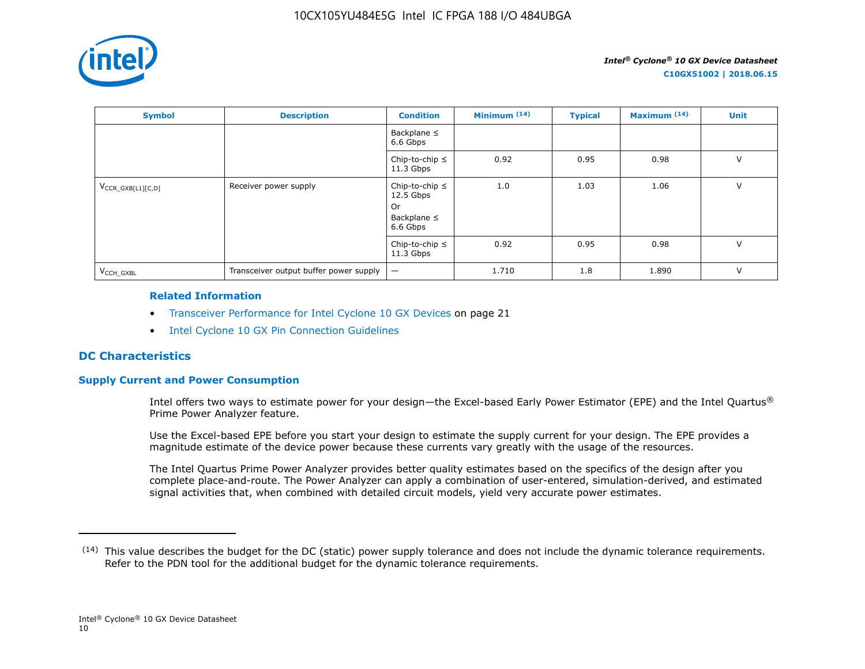

| <b>Symbol</b>          | <b>Description</b>                     | <b>Condition</b>                                                         | Minimum $(14)$ | <b>Typical</b> | Maximum <sup>(14)</sup> | <b>Unit</b> |
|------------------------|----------------------------------------|--------------------------------------------------------------------------|----------------|----------------|-------------------------|-------------|
|                        |                                        | Backplane $\leq$<br>6.6 Gbps                                             |                |                |                         |             |
|                        |                                        | Chip-to-chip $\leq$<br>$11.3$ Gbps                                       | 0.92           | 0.95           | 0.98                    | $\vee$      |
| $V_{CCR_GXB[L1][C,D]}$ | Receiver power supply                  | Chip-to-chip $\leq$<br>$12.5$ Gbps<br>0r<br>Backplane $\leq$<br>6.6 Gbps | 1.0            | 1.03           | 1.06                    | $\vee$      |
|                        |                                        | Chip-to-chip $\leq$<br>$11.3$ Gbps                                       | 0.92           | 0.95           | 0.98                    | $\vee$      |
| V <sub>CCH GXBL</sub>  | Transceiver output buffer power supply | $\qquad \qquad -$                                                        | 1.710          | 1.8            | 1.890                   | $\vee$      |

#### **Related Information**

- Transceiver Performance for Intel Cyclone 10 GX Devices on page 21
- [Intel Cyclone 10 GX Pin Connection Guidelines](https://documentation.altera.com/#/link/osf1485840198234/hjb1485915147847)

## **DC Characteristics**

## **Supply Current and Power Consumption**

Intel offers two ways to estimate power for your design—the Excel-based Early Power Estimator (EPE) and the Intel Quartus® Prime Power Analyzer feature.

Use the Excel-based EPE before you start your design to estimate the supply current for your design. The EPE provides a magnitude estimate of the device power because these currents vary greatly with the usage of the resources.

The Intel Quartus Prime Power Analyzer provides better quality estimates based on the specifics of the design after you complete place-and-route. The Power Analyzer can apply a combination of user-entered, simulation-derived, and estimated signal activities that, when combined with detailed circuit models, yield very accurate power estimates.

 $(14)$  This value describes the budget for the DC (static) power supply tolerance and does not include the dynamic tolerance requirements. Refer to the PDN tool for the additional budget for the dynamic tolerance requirements.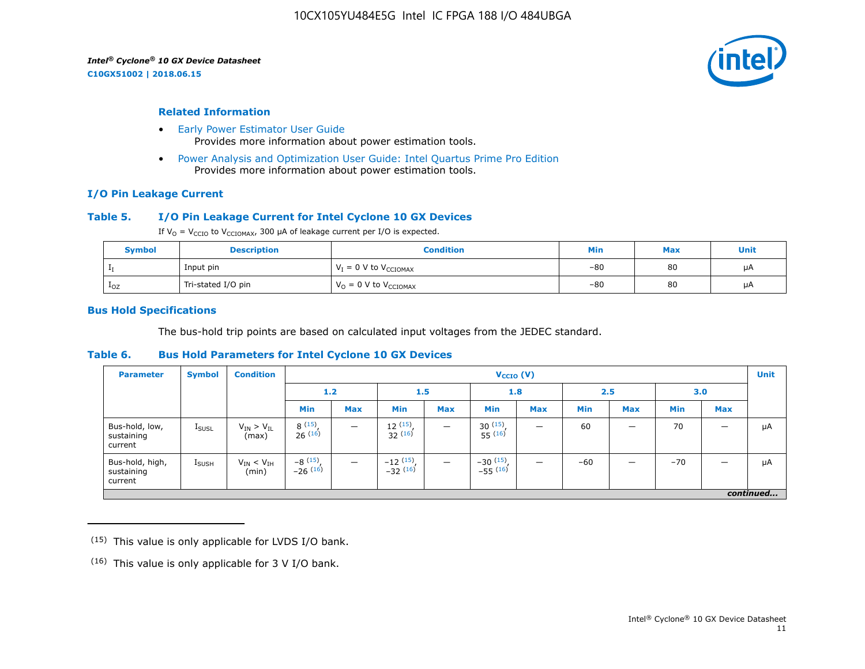**C10GX51002 | 2018.06.15**



#### **Related Information**

- [Early Power Estimator User Guide](https://www.altera.com/documentation/mhi1422370348549.html#mhi1422300784510) Provides more information about power estimation tools.
- [Power Analysis and Optimization User Guide: Intel Quartus Prime Pro Edition](https://www.altera.com/documentation/osq1513989409475.html#mwh1410384023666) Provides more information about power estimation tools.

#### **I/O Pin Leakage Current**

## **Table 5. I/O Pin Leakage Current for Intel Cyclone 10 GX Devices**

If  $V_0 = V_{CCIO}$  to  $V_{CCIOMAX}$ , 300 µA of leakage current per I/O is expected.

| <b>Symbol</b> | <b>Description</b> | Condition                           | Min   | <b>Max</b> | Unit |
|---------------|--------------------|-------------------------------------|-------|------------|------|
|               | Input pin          | $V_I = 0$ V to $V_{\text{CCIOMAX}}$ | $-80$ | 80         | μA   |
| $1_{OZ}$      | Tri-stated I/O pin | $V_{O} = 0$ V to $V_{CCIOMAX}$      | $-80$ | 80         | μA   |

#### **Bus Hold Specifications**

The bus-hold trip points are based on calculated input voltages from the JEDEC standard.

#### **Table 6. Bus Hold Parameters for Intel Cyclone 10 GX Devices**

| <b>Parameter</b>                         | <b>Symbol</b>     | <b>Condition</b>             |                         | $V_{CCIO} (V)$           |                                           |                          |                              |            |            |            |            |            | <b>Unit</b> |
|------------------------------------------|-------------------|------------------------------|-------------------------|--------------------------|-------------------------------------------|--------------------------|------------------------------|------------|------------|------------|------------|------------|-------------|
|                                          |                   |                              | 1.2<br>1.5              |                          | 1.8                                       |                          | 2.5                          |            | 3.0        |            |            |            |             |
|                                          |                   |                              | Min                     | <b>Max</b>               | Min                                       | <b>Max</b>               | <b>Min</b>                   | <b>Max</b> | <b>Min</b> | <b>Max</b> | <b>Min</b> | <b>Max</b> |             |
| Bus-hold, low,<br>sustaining<br>current  | <b>I</b> SUSL     | $V_{IN}$ > $V_{IL}$<br>(max) | 8(15)<br>26(16)         |                          | 12(15)<br>32(16)                          | $\overline{\phantom{m}}$ | $30^{(15)}$ .<br>$55^{(16)}$ | -          | 60         | –          | 70         |            | μA          |
| Bus-hold, high,<br>sustaining<br>current | $I_{\text{SUSH}}$ | $V_{IN}$ < $V_{IH}$<br>(min) | $-8(15)$ ,<br>$-26(16)$ | $\overline{\phantom{m}}$ | $-12$ $\frac{(15)}{-32}$ $\frac{(16)}{1}$ | $\overline{\phantom{m}}$ | $-30(15)$ ,<br>$-55(16)$     | -          | $-60$      |            | $-70$      |            | μA          |
|                                          | continued         |                              |                         |                          |                                           |                          |                              |            |            |            |            |            |             |

 $(15)$  This value is only applicable for LVDS I/O bank.

 $(16)$  This value is only applicable for 3 V I/O bank.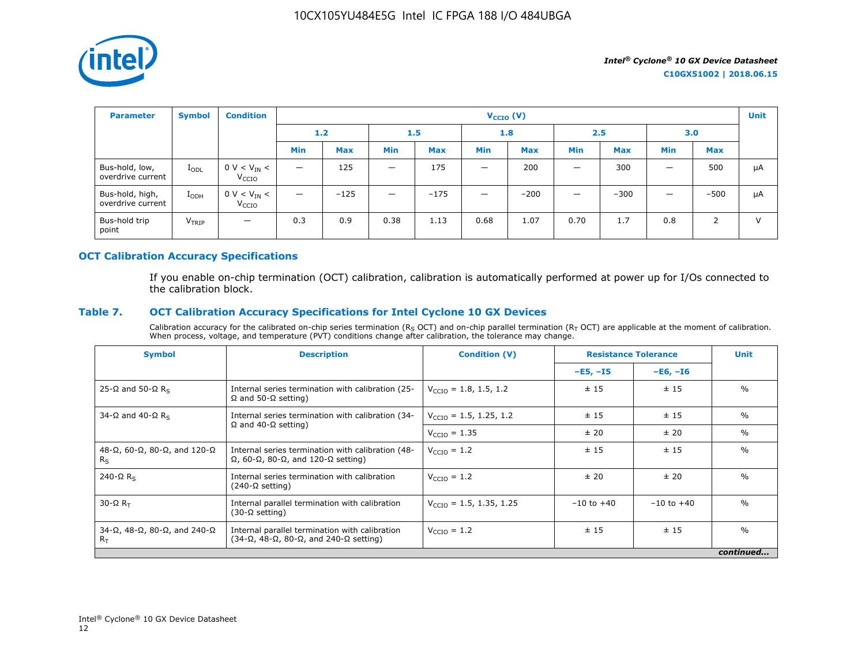

| <b>Parameter</b>                     | <b>Symbol</b>     | <b>Condition</b>                                     |                          |            |                          |            | $V_{CCIO} (V)$           |            |                          |            |            |            | <b>Unit</b>  |
|--------------------------------------|-------------------|------------------------------------------------------|--------------------------|------------|--------------------------|------------|--------------------------|------------|--------------------------|------------|------------|------------|--------------|
|                                      |                   |                                                      |                          | 1.2<br>1.5 |                          |            | 1.8                      |            | 2.5                      |            | 3.0        |            |              |
|                                      |                   |                                                      | <b>Min</b>               | <b>Max</b> | <b>Min</b>               | <b>Max</b> | <b>Min</b>               | <b>Max</b> | <b>Min</b>               | <b>Max</b> | <b>Min</b> | <b>Max</b> |              |
| Bus-hold, low,<br>overdrive current  | $I_{ODL}$         | $0 \text{ V} < V_{\text{IN}} <$<br>V <sub>CCIO</sub> | $\overline{\phantom{m}}$ | 125        | $\qquad \qquad -$        | 175        |                          | 200        | $\overline{\phantom{0}}$ | 300        | -          | 500        | μA           |
| Bus-hold, high,<br>overdrive current | $I_{ODH}$         | $0 V < V_{IN} <$<br>V <sub>CCIO</sub>                | $\overline{\phantom{m}}$ | $-125$     | $\overline{\phantom{0}}$ | $-175$     | $\overline{\phantom{0}}$ | $-200$     | $\overline{\phantom{0}}$ | $-300$     | _          | $-500$     | μA           |
| Bus-hold trip<br>point               | V <sub>TRIP</sub> | $\overline{\phantom{m}}$                             | 0.3                      | 0.9        | 0.38                     | 1.13       | 0.68                     | 1.07       | 0.70                     | 1.7        | 0.8        | 2          | $\mathbf{V}$ |

## **OCT Calibration Accuracy Specifications**

If you enable on-chip termination (OCT) calibration, calibration is automatically performed at power up for I/Os connected to the calibration block.

## **Table 7. OCT Calibration Accuracy Specifications for Intel Cyclone 10 GX Devices**

Calibration accuracy for the calibrated on-chip series termination (R<sub>S</sub> OCT) and on-chip parallel termination (R<sub>T</sub> OCT) are applicable at the moment of calibration.<br>When process, voltage, and temperature (PVT) conditions

| <b>Symbol</b>                                                       | <b>Description</b>                                                                                                       | <b>Condition (V)</b>                | <b>Resistance Tolerance</b> |                | <b>Unit</b>   |
|---------------------------------------------------------------------|--------------------------------------------------------------------------------------------------------------------------|-------------------------------------|-----------------------------|----------------|---------------|
|                                                                     |                                                                                                                          |                                     | $-E5, -15$                  | $-E6, -I6$     |               |
| 25-Ω and 50-Ω R <sub>s</sub>                                        | Internal series termination with calibration (25-<br>$\Omega$ and 50- $\Omega$ setting)                                  | $V_{\text{CCIO}} = 1.8, 1.5, 1.2$   | ± 15                        | ±15            | $\frac{0}{0}$ |
| 34-Ω and 40-Ω R <sub>s</sub>                                        | Internal series termination with calibration (34-                                                                        | $V_{\text{CCD}} = 1.5, 1.25, 1.2$   | ±15                         | ±15            | $\%$          |
|                                                                     | $\Omega$ and 40- $\Omega$ setting)                                                                                       | $V_{\text{CCIO}} = 1.35$            | ± 20                        | ± 20           | $\%$          |
| 48-Ω, 60-Ω, 80-Ω, and 120-Ω<br>$R_S$                                | Internal series termination with calibration (48-<br>$\Omega$ , 60- $\Omega$ , 80- $\Omega$ , and 120- $\Omega$ setting) | $V_{\text{CCIO}} = 1.2$             | ±15                         | ±15            | $\frac{0}{0}$ |
| $240 - \Omega$ R <sub>s</sub>                                       | Internal series termination with calibration<br>$(240-\Omega \text{ setting})$                                           | $V_{\text{CCIO}} = 1.2$             | ± 20                        | ± 20           | $\frac{0}{0}$ |
| $30 - \Omega R$                                                     | Internal parallel termination with calibration<br>$(30-\Omega \text{ setting})$                                          | $V_{\text{CCTO}} = 1.5, 1.35, 1.25$ | $-10$ to $+40$              | $-10$ to $+40$ | $\frac{0}{0}$ |
| $34-\Omega$ , $48-\Omega$ , $80-\Omega$ , and $240-\Omega$<br>$R_T$ | Internal parallel termination with calibration<br>$(34-\Omega, 48-\Omega, 80-\Omega,$ and $240-\Omega$ setting)          | $V_{\text{CCIO}} = 1.2$             | ±15                         | ±15            | $\frac{0}{0}$ |
|                                                                     |                                                                                                                          |                                     |                             |                | continued     |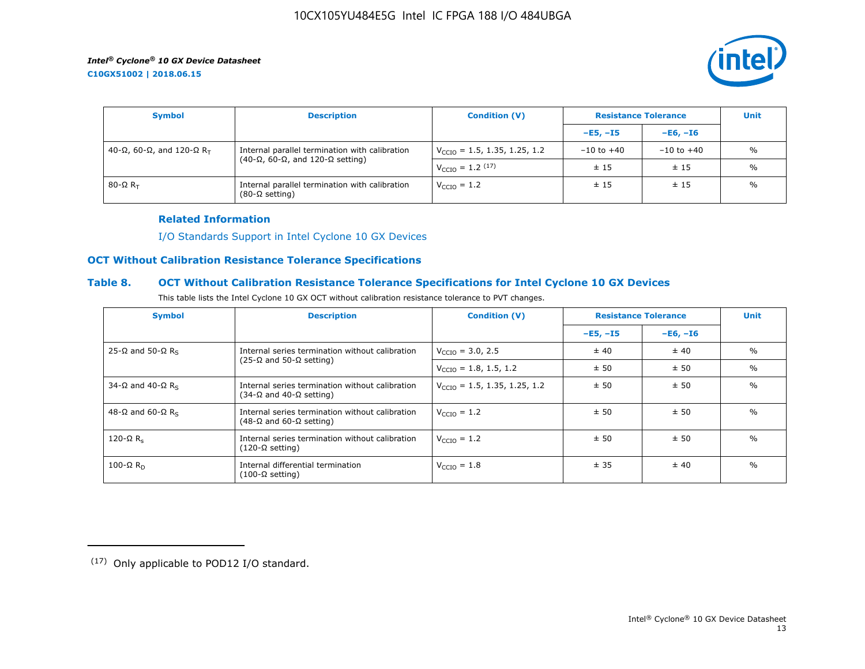**C10GX51002 | 2018.06.15**



| <b>Symbol</b>               | <b>Description</b>                                                                                    | <b>Condition (V)</b>                     |                | <b>Resistance Tolerance</b> |               |  |
|-----------------------------|-------------------------------------------------------------------------------------------------------|------------------------------------------|----------------|-----------------------------|---------------|--|
|                             |                                                                                                       |                                          | $-E5, -15$     | $-E6, -I6$                  |               |  |
| 40-Ω, 60-Ω, and 120-Ω $R_T$ | Internal parallel termination with calibration<br>$(40-\Omega, 60-\Omega,$ and 120- $\Omega$ setting) | $V_{\text{CCIO}} = 1.5, 1.35, 1.25, 1.2$ | $-10$ to $+40$ | $-10$ to $+40$              | $\frac{0}{0}$ |  |
|                             |                                                                                                       | $V_{\text{CCIO}} = 1.2 \, (17)$          | ±15            | ±15                         | $\frac{0}{0}$ |  |
| 80-Ω $R_{\rm T}$            | Internal parallel termination with calibration<br>$(80-\Omega \text{ setting})$                       | $V_{\text{CCIO}} = 1.2$                  | ±15            | ±15                         | $\frac{0}{0}$ |  |

### **Related Information**

[I/O Standards Support in Intel Cyclone 10 GX Devices](https://www.altera.com/documentation/vua1487061384661.html#ofz1487753759953)

## **OCT Without Calibration Resistance Tolerance Specifications**

## **Table 8. OCT Without Calibration Resistance Tolerance Specifications for Intel Cyclone 10 GX Devices**

| This table lists the Intel Cyclone 10 GX OCT without calibration resistance tolerance to PVT changes. |  |  |
|-------------------------------------------------------------------------------------------------------|--|--|
|-------------------------------------------------------------------------------------------------------|--|--|

| <b>Symbol</b>                | <b>Description</b>                                                                         | <b>Condition (V)</b>                     | <b>Resistance Tolerance</b> |            | <b>Unit</b>   |
|------------------------------|--------------------------------------------------------------------------------------------|------------------------------------------|-----------------------------|------------|---------------|
|                              |                                                                                            |                                          | $-E5, -15$                  | $-E6, -I6$ |               |
| 25-Ω and 50-Ω R <sub>s</sub> | Internal series termination without calibration                                            | $V_{\text{CCIO}} = 3.0, 2.5$             | ± 40                        | ± 40       | $\frac{0}{0}$ |
|                              | $(25-\Omega)$ and 50-Ω setting)                                                            | $V_{\text{CCIO}} = 1.8, 1.5, 1.2$        | ± 50                        | ±50        | $\frac{0}{0}$ |
| 34-Ω and 40-Ω R <sub>s</sub> | Internal series termination without calibration<br>(34-Ω and 40-Ω setting)                 | $V_{\text{CCIO}} = 1.5, 1.35, 1.25, 1.2$ | ± 50                        | ± 50       | $\frac{0}{0}$ |
| 48-Ω and 60-Ω R <sub>s</sub> | Internal series termination without calibration<br>$(48-\Omega)$ and 60- $\Omega$ setting) | $V_{\text{CTO}} = 1.2$                   | ± 50                        | ± 50       | $\frac{0}{0}$ |
| 120-Ω $R_s$                  | Internal series termination without calibration<br>(120-Ω setting)                         | $V_{\text{CTO}} = 1.2$                   | ± 50                        | ± 50       | $\frac{0}{0}$ |
| 100-Ω $R_D$                  | Internal differential termination<br>$(100-\Omega \text{ setting})$                        | $V_{\text{CCIO}} = 1.8$                  | ± 35                        | ± 40       | $\frac{0}{0}$ |

<sup>(17)</sup> Only applicable to POD12 I/O standard.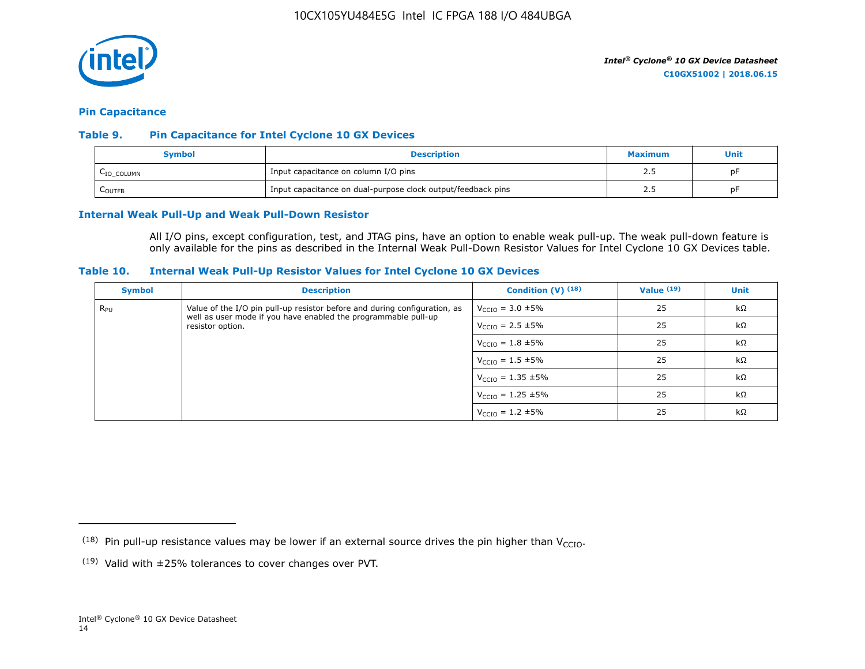

#### **Pin Capacitance**

## **Table 9. Pin Capacitance for Intel Cyclone 10 GX Devices**

| Symbol                  | <b>Description</b>                                           | <b>Maximum</b> | Unit |
|-------------------------|--------------------------------------------------------------|----------------|------|
| L <sub>IO</sub> _COLUMN | Input capacitance on column I/O pins                         |                | рF   |
| <b>COUTFB</b>           | Input capacitance on dual-purpose clock output/feedback pins |                | рF   |

#### **Internal Weak Pull-Up and Weak Pull-Down Resistor**

All I/O pins, except configuration, test, and JTAG pins, have an option to enable weak pull-up. The weak pull-down feature is only available for the pins as described in the Internal Weak Pull-Down Resistor Values for Intel Cyclone 10 GX Devices table.

#### **Table 10. Internal Weak Pull-Up Resistor Values for Intel Cyclone 10 GX Devices**

| <b>Symbol</b> | <b>Description</b>                                                                                                                          | Condition $(V)$ $(18)$           | Value $(19)$ | <b>Unit</b> |
|---------------|---------------------------------------------------------------------------------------------------------------------------------------------|----------------------------------|--------------|-------------|
| $R_{\rm PU}$  | Value of the I/O pin pull-up resistor before and during configuration, as<br>well as user mode if you have enabled the programmable pull-up | $V_{\text{CCIO}} = 3.0 \pm 5\%$  | 25           | $k\Omega$   |
|               | resistor option.                                                                                                                            | $V_{\text{CCIO}} = 2.5 \pm 5\%$  | 25           | $k\Omega$   |
|               |                                                                                                                                             | $V_{\text{CCIO}} = 1.8 \pm 5\%$  | 25           | $k\Omega$   |
|               |                                                                                                                                             | $V_{\text{CCIO}} = 1.5 \pm 5\%$  | 25           | $k\Omega$   |
|               |                                                                                                                                             | $V_{\text{CCIO}} = 1.35 \pm 5\%$ | 25           | kΩ          |
|               |                                                                                                                                             | $V_{\text{CCIO}} = 1.25 \pm 5\%$ | 25           | $k\Omega$   |
|               |                                                                                                                                             | $V_{\text{CCIO}} = 1.2 \pm 5\%$  | 25           | $k\Omega$   |

<sup>&</sup>lt;sup>(18)</sup> Pin pull-up resistance values may be lower if an external source drives the pin higher than V<sub>CCIO</sub>.

 $(19)$  Valid with  $\pm 25\%$  tolerances to cover changes over PVT.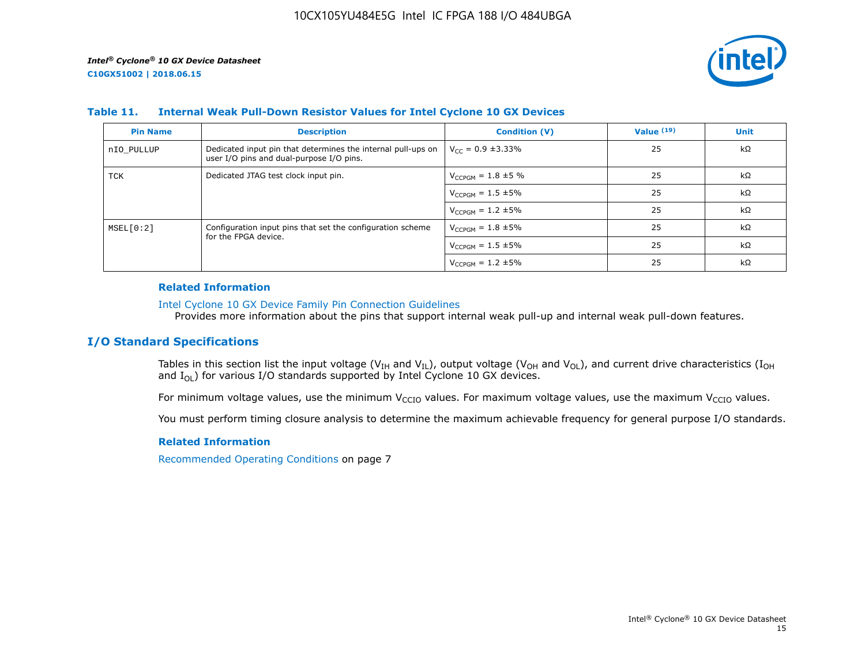

## **Table 11. Internal Weak Pull-Down Resistor Values for Intel Cyclone 10 GX Devices**

| <b>Pin Name</b> | <b>Description</b>                                                                                       | <b>Condition (V)</b>       | Value $(19)$ | <b>Unit</b> |
|-----------------|----------------------------------------------------------------------------------------------------------|----------------------------|--------------|-------------|
| nIO PULLUP      | Dedicated input pin that determines the internal pull-ups on<br>user I/O pins and dual-purpose I/O pins. | $V_{CC} = 0.9 \pm 3.33\%$  | 25           | $k\Omega$   |
| TCK             | Dedicated JTAG test clock input pin.                                                                     | $V_{CCPGM} = 1.8 \pm 5 \%$ | 25           | kΩ          |
|                 |                                                                                                          | $V_{CCPGM} = 1.5 \pm 5\%$  | 25           | $k\Omega$   |
|                 |                                                                                                          | $V_{CCPGM} = 1.2 \pm 5\%$  | 25           | kΩ          |
| MSEL[0:2]       | Configuration input pins that set the configuration scheme                                               | $V_{CCPGM} = 1.8 \pm 5\%$  | 25           | $k\Omega$   |
|                 | for the FPGA device.                                                                                     | $V_{CCPGM} = 1.5 \pm 5\%$  | 25           | kΩ          |
|                 |                                                                                                          | $V_{CCPGM} = 1.2 \pm 5\%$  | 25           | kΩ          |

#### **Related Information**

#### [Intel Cyclone 10 GX Device Family Pin Connection Guidelines](https://www.altera.com/documentation/osf1485840198234.html#hjb1485915147847)

Provides more information about the pins that support internal weak pull-up and internal weak pull-down features.

## **I/O Standard Specifications**

Tables in this section list the input voltage (V<sub>IH</sub> and V<sub>IL</sub>), output voltage (V<sub>OH</sub> and V<sub>OL</sub>), and current drive characteristics (I<sub>OH</sub> and  $I_{OL}$ ) for various I/O standards supported by Intel Cyclone 10 GX devices.

For minimum voltage values, use the minimum V<sub>CCIO</sub> values. For maximum voltage values, use the maximum V<sub>CCIO</sub> values.

You must perform timing closure analysis to determine the maximum achievable frequency for general purpose I/O standards.

#### **Related Information**

Recommended Operating Conditions on page 7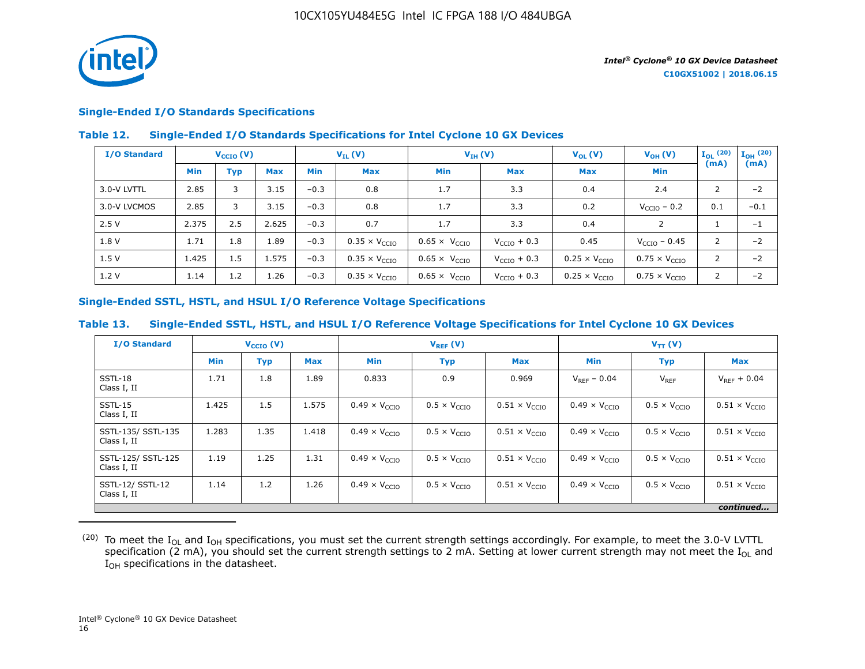

## **Single-Ended I/O Standards Specifications**

## **Table 12. Single-Ended I/O Standards Specifications for Intel Cyclone 10 GX Devices**

| I/O Standard |            | $V_{\text{CCIO}}(V)$ |            | $V_{IL}(V)$ |                               |                               | $V_{IH} (V)$            |                               | $V_{OH} (V)$                  | $I_{OL}$ (20)  | $\mathbf{I}_{\mathbf{OH}}$ (20) |
|--------------|------------|----------------------|------------|-------------|-------------------------------|-------------------------------|-------------------------|-------------------------------|-------------------------------|----------------|---------------------------------|
|              | <b>Min</b> | Typ                  | <b>Max</b> | <b>Min</b>  | <b>Max</b>                    | <b>Min</b>                    | <b>Max</b>              | <b>Max</b>                    | <b>Min</b>                    | (mA)           | (mA)                            |
| 3.0-V LVTTL  | 2.85       | 3                    | 3.15       | $-0.3$      | 0.8                           | 1.7                           | 3.3                     | 0.4                           | 2.4                           | 2              | $-2$                            |
| 3.0-V LVCMOS | 2.85       | 3                    | 3.15       | $-0.3$      | 0.8                           | 1.7                           | 3.3                     | 0.2                           | $V_{\text{CCIO}}$ – 0.2       | 0.1            | $-0.1$                          |
| 2.5V         | 2.375      | 2.5                  | 2.625      | $-0.3$      | 0.7                           | 1.7                           | 3.3                     | 0.4                           | $\mathcal{P}$                 |                | $-1$                            |
| 1.8 V        | 1.71       | 1.8                  | 1.89       | $-0.3$      | $0.35 \times V_{\text{CCIO}}$ | $0.65 \times V_{CCIO}$        | $V_{\text{CCIO}} + 0.3$ | 0.45                          | $V_{\text{CCIO}} - 0.45$      | 2              | $-2$                            |
| 1.5V         | 1.425      | 1.5                  | 1.575      | $-0.3$      | $0.35 \times V_{CCIO}$        | $0.65 \times V_{\text{CCIO}}$ | $V_{\text{CCIO}} + 0.3$ | $0.25 \times V_{CCIO}$        | $0.75 \times V_{\text{CCIO}}$ | 2              | $-2$                            |
| 1.2V         | 1.14       | 1.2                  | 1.26       | $-0.3$      | $0.35 \times V_{\text{CCIO}}$ | $0.65 \times V_{\text{CCIO}}$ | $V_{\text{CCIO}} + 0.3$ | $0.25 \times V_{\text{CCIO}}$ | $0.75 \times V_{\text{CCIO}}$ | $\overline{2}$ | $-2$                            |

## **Single-Ended SSTL, HSTL, and HSUL I/O Reference Voltage Specifications**

## **Table 13. Single-Ended SSTL, HSTL, and HSUL I/O Reference Voltage Specifications for Intel Cyclone 10 GX Devices**

| <b>I/O Standard</b>               |            | $V_{\text{CCIO}}(V)$ |            | $V_{REF}(V)$                  |                              |                               | $V_{TT} (V)$                  |                              |                               |
|-----------------------------------|------------|----------------------|------------|-------------------------------|------------------------------|-------------------------------|-------------------------------|------------------------------|-------------------------------|
|                                   | <b>Min</b> | <b>Typ</b>           | <b>Max</b> | <b>Min</b>                    | <b>Typ</b>                   | <b>Max</b>                    | <b>Min</b>                    | <b>Typ</b>                   | <b>Max</b>                    |
| SSTL-18<br>Class I, II            | 1.71       | 1.8                  | 1.89       | 0.833                         | 0.9                          | 0.969                         | $V_{RFF}$ – 0.04              | $V_{REF}$                    | $V_{RFF}$ + 0.04              |
| SSTL-15<br>Class I, II            | 1.425      | 1.5                  | 1.575      | $0.49 \times V_{CCIO}$        | $0.5 \times V_{\text{CCIO}}$ | $0.51 \times V_{CCIO}$        | $0.49 \times V_{CCIO}$        | $0.5 \times V_{\text{CCIO}}$ | $0.51 \times V_{\text{CCIO}}$ |
| SSTL-135/ SSTL-135<br>Class I, II | 1.283      | 1.35                 | 1.418      | $0.49 \times V_{CCIO}$        | $0.5 \times V_{\text{CCIO}}$ | $0.51 \times V_{\text{CCIO}}$ | $0.49 \times V_{\text{CCIO}}$ | $0.5 \times V_{\text{CCIO}}$ | $0.51 \times V_{\text{CCIO}}$ |
| SSTL-125/ SSTL-125<br>Class I, II | 1.19       | 1.25                 | 1.31       | $0.49 \times V_{\text{CCIO}}$ | $0.5 \times V_{\text{CCD}}$  | $0.51 \times V_{\text{CCIO}}$ | $0.49 \times V_{\text{CCIO}}$ | $0.5 \times V_{\text{CCIO}}$ | $0.51 \times V_{\text{CCIO}}$ |
| SSTL-12/ SSTL-12<br>Class I, II   | 1.14       | 1.2                  | 1.26       | $0.49 \times V_{\text{CCIO}}$ | $0.5 \times V_{\text{CCIO}}$ | $0.51 \times V_{\text{CCIO}}$ | $0.49 \times V_{\text{CCIO}}$ | $0.5 \times V_{\text{CCIO}}$ | $0.51 \times V_{\text{CCIO}}$ |
|                                   |            |                      |            |                               |                              |                               |                               |                              | continued                     |

 $^{(20)}$  To meet the I<sub>OL</sub> and I<sub>OH</sub> specifications, you must set the current strength settings accordingly. For example, to meet the 3.0-V LVTTL specification (2 mA), you should set the current strength settings to 2 mA. Setting at lower current strength may not meet the I<sub>OL</sub> and I<sub>OH</sub> specifications in the datasheet.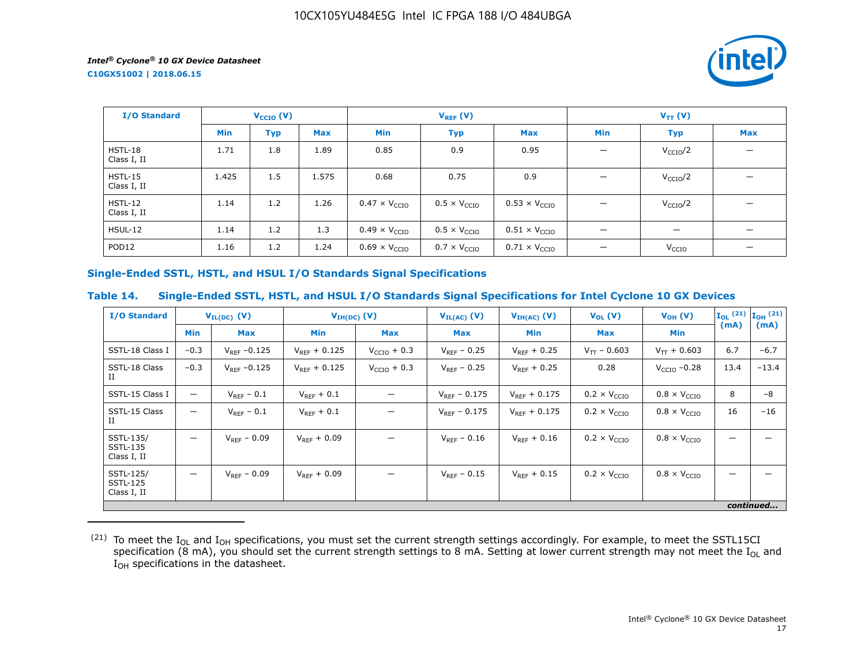**C10GX51002 | 2018.06.15**



| <b>I/O Standard</b>      |            | $V_{CCIO} (V)$ |            | $V_{REF}(V)$                  |                              |                               | $V_{TT} (V)$                    |                          |                          |  |
|--------------------------|------------|----------------|------------|-------------------------------|------------------------------|-------------------------------|---------------------------------|--------------------------|--------------------------|--|
|                          | <b>Min</b> | <b>Typ</b>     | <b>Max</b> | Min                           | <b>Typ</b>                   | <b>Max</b>                    | Min                             | <b>Typ</b>               | <b>Max</b>               |  |
| HSTL-18<br>Class I, II   | 1.71       | 1.8            | 1.89       | 0.85                          | 0.9                          | 0.95                          | $\overline{\phantom{m}}$        | V <sub>CCIO</sub> /2     | $\overline{\phantom{0}}$ |  |
| $HSTL-15$<br>Class I, II | 1.425      | 1.5            | 1.575      | 0.68                          | 0.75                         | 0.9                           | $\overline{\phantom{0}}$        | V <sub>CCIO</sub> /2     |                          |  |
| $HSTL-12$<br>Class I, II | 1.14       | 1.2            | 1.26       | $0.47 \times V_{CCIO}$        | $0.5 \times V_{\text{CCIO}}$ | $0.53 \times V_{CCIO}$        |                                 | V <sub>CCIO</sub> /2     |                          |  |
| <b>HSUL-12</b>           | 1.14       | 1.2            | 1.3        | $0.49 \times V_{\text{CCIO}}$ | $0.5 \times V_{\text{CCIO}}$ | $0.51 \times V_{\text{CCIO}}$ | $\overline{\phantom{0}}$        | $\overline{\phantom{m}}$ |                          |  |
| POD <sub>12</sub>        | 1.16       | 1.2            | 1.24       | $0.69 \times V_{\text{CCIO}}$ | $0.7 \times V_{\text{CCIO}}$ | $0.71 \times V_{\text{CCIO}}$ | $\hspace{0.1mm}-\hspace{0.1mm}$ | V <sub>CCIO</sub>        |                          |  |

## **Single-Ended SSTL, HSTL, and HSUL I/O Standards Signal Specifications**

## **Table 14. Single-Ended SSTL, HSTL, and HSUL I/O Standards Signal Specifications for Intel Cyclone 10 GX Devices**

| <b>I/O Standard</b>                         | $V_{IL(DC)}$ (V)         |                   | $V_{IH(DC)}$ (V)  |                         | $V_{IL(AC)}$ (V)  | $V_{IH(AC)}$ (V)  | $V_{OL}(V)$                  | $V_{OH} (V)$                 |      | $\mathbf{I}_{OL}$ (21) $\mathbf{I}_{OH}$ (21) |
|---------------------------------------------|--------------------------|-------------------|-------------------|-------------------------|-------------------|-------------------|------------------------------|------------------------------|------|-----------------------------------------------|
|                                             | <b>Min</b>               | <b>Max</b>        | <b>Min</b>        | Max                     | Max               | Min               | <b>Max</b>                   | Min                          | (mA) | (mA)                                          |
| SSTL-18 Class I                             | $-0.3$                   | $V_{RFF} - 0.125$ | $V_{RFF}$ + 0.125 | $V_{\text{CCIO}} + 0.3$ | $V_{RFF}$ – 0.25  | $V_{RFF}$ + 0.25  | $V_{TT}$ – 0.603             | $V_{TT}$ + 0.603             | 6.7  | $-6.7$                                        |
| SSTL-18 Class<br>П                          | $-0.3$                   | $V_{REF}$ -0.125  | $V_{RFF} + 0.125$ | $V_{\text{CCIO}} + 0.3$ | $V_{REF}$ – 0.25  | $V_{RFF}$ + 0.25  | 0.28                         | $VCCIO -0.28$                | 13.4 | $-13.4$                                       |
| SSTL-15 Class I                             | $\overline{\phantom{0}}$ | $V_{REF}$ – 0.1   | $V_{REF}$ + 0.1   |                         | $V_{RFF} - 0.175$ | $V_{RFF}$ + 0.175 | $0.2 \times V_{\text{CCIO}}$ | $0.8 \times V_{\text{CCIO}}$ | 8    | $-8$                                          |
| SSTL-15 Class<br>П                          | $\overline{\phantom{0}}$ | $V_{RFF}$ – 0.1   | $V_{REF} + 0.1$   |                         | $V_{RFF}$ – 0.175 | $V_{RFF}$ + 0.175 | $0.2 \times V_{\text{CCIO}}$ | $0.8 \times V_{\text{CCIO}}$ | 16   | $-16$                                         |
| SSTL-135/<br><b>SSTL-135</b><br>Class I, II | $\overline{\phantom{0}}$ | $V_{REF} - 0.09$  | $V_{RFF} + 0.09$  |                         | $V_{RFF} - 0.16$  | $V_{RFF}$ + 0.16  | $0.2 \times V_{\text{CCIO}}$ | $0.8 \times V_{\text{CCIO}}$ |      |                                               |
| SSTL-125/<br><b>SSTL-125</b><br>Class I, II | —                        | $V_{RFF}$ – 0.09  | $V_{RFF}$ + 0.09  |                         | $V_{RFF}$ – 0.15  | $V_{RFF}$ + 0.15  | $0.2 \times V_{\text{CCIO}}$ | $0.8 \times V_{\text{CCIO}}$ |      |                                               |
|                                             |                          |                   |                   |                         |                   |                   |                              |                              |      | continued                                     |

 $^{(21)}$  To meet the I<sub>OL</sub> and I<sub>OH</sub> specifications, you must set the current strength settings accordingly. For example, to meet the SSTL15CI specification (8 mA), you should set the current strength settings to 8 mA. Setting at lower current strength may not meet the I<sub>OL</sub> and  $I_{OH}$  specifications in the datasheet.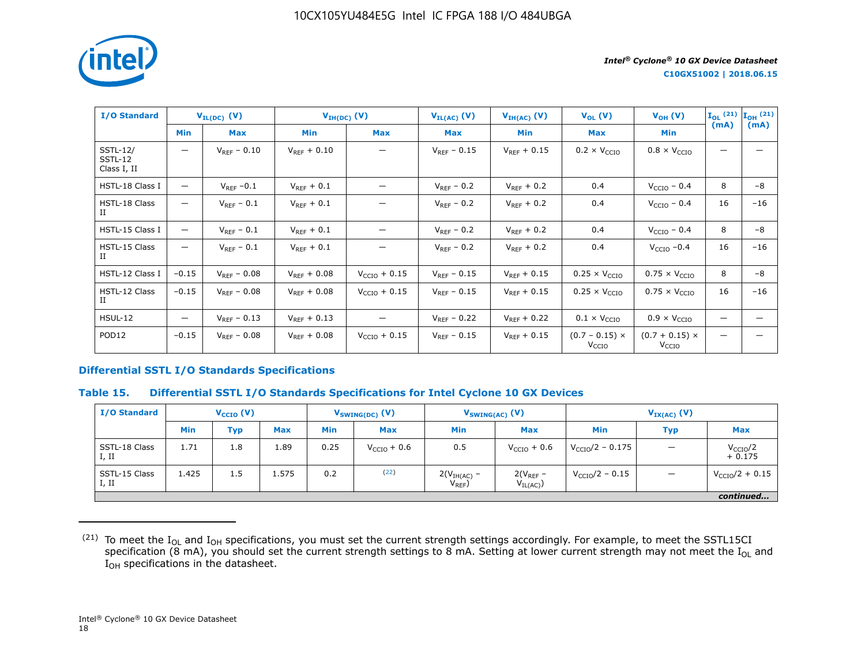

| <b>I/O Standard</b>                       |                   | $V_{IL(DC)}$ (V) |                  | $V_{IH(DC)}(V)$          | $V_{IL(AC)}(V)$  | $V_{IH(AC)}$ (V) | $V_{OL}(V)$                           | $V_{OH} (V)$                               | $\mathbf{I}_{OL}$ (21) $\mathbf{I}_{OH}$ (21) |       |
|-------------------------------------------|-------------------|------------------|------------------|--------------------------|------------------|------------------|---------------------------------------|--------------------------------------------|-----------------------------------------------|-------|
|                                           | <b>Min</b>        | <b>Max</b>       | <b>Min</b>       | <b>Max</b>               | <b>Max</b>       | Min              | <b>Max</b>                            | <b>Min</b>                                 | (mA)                                          | (mA)  |
| <b>SSTL-12/</b><br>SSTL-12<br>Class I, II | —                 | $V_{RFF} - 0.10$ | $V_{REF} + 0.10$ |                          | $V_{RFF}$ – 0.15 | $V_{RFF}$ + 0.15 | $0.2 \times V_{\text{CCIO}}$          | $0.8 \times V_{\text{CCIO}}$               |                                               |       |
| HSTL-18 Class I                           | $\qquad \qquad -$ | $V_{REF}$ -0.1   | $V_{RFF}$ + 0.1  | —                        | $V_{RFF}$ – 0.2  | $V_{RFF}$ + 0.2  | 0.4                                   | $V_{\text{CCIO}}$ – 0.4                    | 8                                             | $-8$  |
| HSTL-18 Class<br>П                        | —                 | $V_{REF}$ – 0.1  | $V_{REF}$ + 0.1  |                          | $V_{REF}$ – 0.2  | $V_{REF}$ + 0.2  | 0.4                                   | $VCCIO - 0.4$                              | 16                                            | $-16$ |
| HSTL-15 Class I                           | —                 | $V_{REF}$ – 0.1  | $V_{REF}$ + 0.1  |                          | $V_{RFF}$ – 0.2  | $V_{RFF}$ + 0.2  | 0.4                                   | $V_{\text{CCIO}}$ – 0.4                    | 8                                             | -8    |
| HSTL-15 Class<br>П                        | —                 | $V_{RFF}$ – 0.1  | $V_{REF}$ + 0.1  |                          | $V_{REF}$ – 0.2  | $V_{REF}$ + 0.2  | 0.4                                   | $VCCIO -0.4$                               | 16                                            | $-16$ |
| HSTL-12 Class I                           | $-0.15$           | $V_{REF} - 0.08$ | $V_{REF} + 0.08$ | $V_{CCIO} + 0.15$        | $V_{REF}$ – 0.15 | $V_{REF} + 0.15$ | $0.25 \times V_{CCIO}$                | $0.75 \times V_{CCIO}$                     | 8                                             | -8    |
| HSTL-12 Class<br>П                        | $-0.15$           | $V_{RFF}$ – 0.08 | $V_{RFF}$ + 0.08 | $V_{\text{CCIO}} + 0.15$ | $V_{REF}$ – 0.15 | $V_{RFF}$ + 0.15 | $0.25 \times V_{\text{CCIO}}$         | $0.75 \times V_{\text{CCIO}}$              | 16                                            | $-16$ |
| <b>HSUL-12</b>                            | $\qquad \qquad -$ | $V_{RFF}$ – 0.13 | $V_{RFF}$ + 0.13 |                          | $V_{RFF}$ – 0.22 | $V_{RFF}$ + 0.22 | $0.1 \times V_{\text{CCIO}}$          | $0.9 \times V_{\text{CCIO}}$               |                                               |       |
| POD <sub>12</sub>                         | $-0.15$           | $V_{RFF}$ – 0.08 | $V_{REF} + 0.08$ | $V_{\text{CCIO}} + 0.15$ | $V_{RFF}$ – 0.15 | $V_{RFF}$ + 0.15 | $(0.7 - 0.15)$ ×<br>V <sub>CCIO</sub> | $(0.7 + 0.15) \times$<br>V <sub>CCIO</sub> |                                               |       |

## **Differential SSTL I/O Standards Specifications**

#### **Table 15. Differential SSTL I/O Standards Specifications for Intel Cyclone 10 GX Devices**

| <b>I/O Standard</b>    | $V_{\text{CCIO}}(V)$ |            | $V_{SWING(DC)}$ (V) |            |                         | $V_{SWING(AC)}$ (V)          | $V_{IX(AC)}$ (V)              |                            |            |                                  |
|------------------------|----------------------|------------|---------------------|------------|-------------------------|------------------------------|-------------------------------|----------------------------|------------|----------------------------------|
|                        | <b>Min</b>           | <b>Typ</b> | <b>Max</b>          | <b>Min</b> | <b>Max</b>              | <b>Min</b>                   | <b>Max</b>                    | Min                        | <b>Typ</b> | <b>Max</b>                       |
| SSTL-18 Class<br>I, II | 1.71                 | 1.8        | 1.89                | 0.25       | $V_{\text{CCIO}} + 0.6$ | 0.5                          | $V_{\text{CCIO}} + 0.6$       | $V_{\rm CCIO}/2 - 0.175$   |            | V <sub>CCIO</sub> /2<br>$+0.175$ |
| SSTL-15 Class<br>I, II | 1.425                | 1.5        | 1.575               | 0.2        | (22)                    | $2(VIH(AC) -$<br>$V_{REF}$ ) | $2(V_{REF}$ –<br>$V_{IL(AC)}$ | $V_{\text{CCIO}}/2 - 0.15$ |            | $V_{\text{CCIO}}/2 + 0.15$       |
|                        |                      |            |                     |            |                         |                              |                               |                            |            | continued                        |

 $^{(21)}$  To meet the I<sub>OL</sub> and I<sub>OH</sub> specifications, you must set the current strength settings accordingly. For example, to meet the SSTL15CI specification (8 mA), you should set the current strength settings to 8 mA. Setting at lower current strength may not meet the I<sub>OL</sub> and  $I_{OH}$  specifications in the datasheet.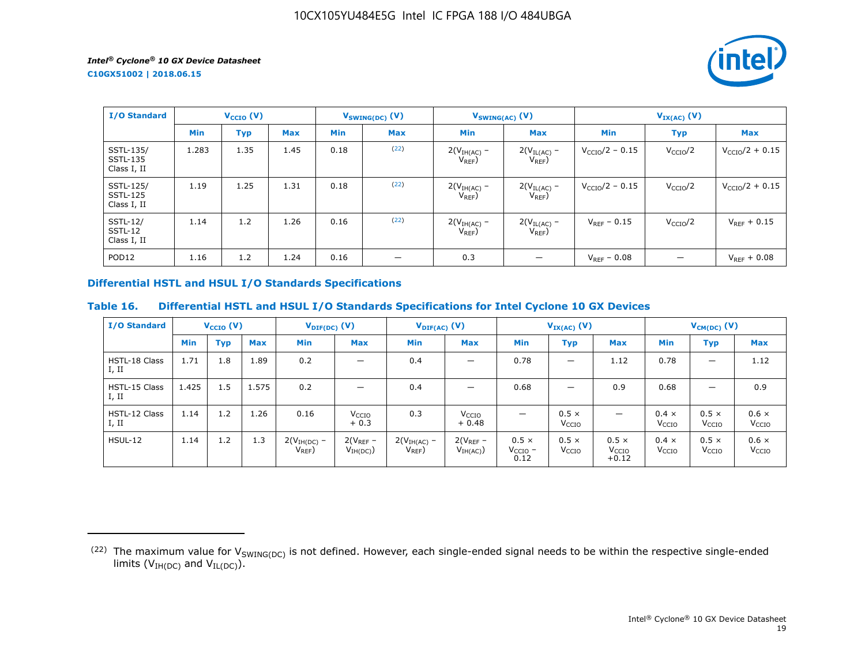**C10GX51002 | 2018.06.15**



| <b>I/O Standard</b>                         | $V_{\text{CCIO}}(V)$ |      | $V_{SWING(DC)}(V)$ |            | $V_{SWING(AC)}$ (V) |                              | $V_{IX(AC)}$ (V)                |                            |                      |                            |
|---------------------------------------------|----------------------|------|--------------------|------------|---------------------|------------------------------|---------------------------------|----------------------------|----------------------|----------------------------|
|                                             | <b>Min</b>           | Typ  | <b>Max</b>         | <b>Min</b> | <b>Max</b>          | <b>Min</b>                   | <b>Max</b>                      | <b>Min</b>                 | <b>Typ</b>           | <b>Max</b>                 |
| SSTL-135/<br><b>SSTL-135</b><br>Class I, II | 1.283                | 1.35 | 1.45               | 0.18       | (22)                | $2(VIH(AC)$ –<br>$V_{REF}$ ) | $2(V_{IL(AC)}$ -<br>$V_{REF}$ ) | $V_{\rm CCIO}/2 - 0.15$    | V <sub>CCIO</sub> /2 | $V_{\text{CCIO}}/2 + 0.15$ |
| SSTL-125/<br><b>SSTL-125</b><br>Class I, II | 1.19                 | 1.25 | 1.31               | 0.18       | (22)                | $2(VIH(AC) -$<br>$V_{REF}$   | $2(V_{IL(AC)}$ –<br>$V_{REF}$ ) | $V_{\text{CCIO}}/2 - 0.15$ | V <sub>CCIO</sub> /2 | $V_{CCIO}/2 + 0.15$        |
| <b>SSTL-12/</b><br>SSTL-12<br>Class I, II   | 1.14                 | 1.2  | 1.26               | 0.16       | (22)                | $2(VIH(AC)$ –<br>$V_{REF}$ ) | $2(V_{IL(AC)}$ -<br>$V_{REF}$ ) | $V_{REF}$ – 0.15           | V <sub>CCIO</sub> /2 | $V_{REF} + 0.15$           |
| POD <sub>12</sub>                           | 1.16                 | 1.2  | 1.24               | 0.16       | –                   | 0.3                          |                                 | $V_{REF}$ – 0.08           |                      | $V_{REF} + 0.08$           |

## **Differential HSTL and HSUL I/O Standards Specifications**

## **Table 16. Differential HSTL and HSUL I/O Standards Specifications for Intel Cyclone 10 GX Devices**

| <b>I/O Standard</b>           |            | $V_{\text{CCIO}}(V)$ |            | $V_{\text{DIF(DC)}}(V)$      |                              | $V_{\text{DIF(AC)}}(V)$    |                              |                                      | $V_{IX(AC)}$ (V)                  |                                              |                                   | $V_{CM(DC)}$ (V)                  |                                   |
|-------------------------------|------------|----------------------|------------|------------------------------|------------------------------|----------------------------|------------------------------|--------------------------------------|-----------------------------------|----------------------------------------------|-----------------------------------|-----------------------------------|-----------------------------------|
|                               | <b>Min</b> | <b>Typ</b>           | <b>Max</b> | Min                          | <b>Max</b>                   | <b>Min</b>                 | <b>Max</b>                   | <b>Min</b>                           | Typ                               | <b>Max</b>                                   | <b>Min</b>                        | <b>Typ</b>                        | <b>Max</b>                        |
| <b>HSTL-18 Class</b><br>I, II | 1.71       | 1.8                  | 1.89       | 0.2                          | $\overline{\phantom{0}}$     | 0.4                        | $\overline{\phantom{0}}$     | 0.78                                 | —                                 | 1.12                                         | 0.78                              | $\overline{\phantom{m}}$          | 1.12                              |
| HSTL-15 Class<br>I, II        | 1.425      | 1.5                  | 1.575      | 0.2                          | $\overline{\phantom{0}}$     | 0.4                        |                              | 0.68                                 | -                                 | 0.9                                          | 0.68                              | $\overline{\phantom{0}}$          | 0.9                               |
| HSTL-12 Class<br>I, II        | 1.14       | 1.2                  | 1.26       | 0.16                         | V <sub>CCIO</sub><br>$+0.3$  | 0.3                        | V <sub>CCIO</sub><br>$+0.48$ | $\overline{\phantom{0}}$             | $0.5 \times$<br>V <sub>CCIO</sub> | $\overline{\phantom{0}}$                     | $0.4 \times$<br>V <sub>CCIO</sub> | $0.5 \times$<br>V <sub>CCIO</sub> | $0.6 \times$<br>V <sub>CCIO</sub> |
| $H$ SUL-12                    | 1.14       | 1.2                  | 1.3        | $2(VIH(DC)$ –<br>$V_{REF}$ ) | $2(V_{REF}-$<br>$V_{IH(DC)}$ | $2(VIH(AC)$ –<br>$V_{REF}$ | $2(V_{REF}-$<br>$V_{IH(AC)}$ | $0.5 \times$<br>$V_{CCIO}$ -<br>0.12 | $0.5 \times$<br>V <sub>CCIO</sub> | $0.5 \times$<br>V <sub>CCIO</sub><br>$+0.12$ | $0.4 \times$<br>V <sub>CCIO</sub> | $0.5 \times$<br>V <sub>CCIO</sub> | $0.6 \times$<br>V <sub>CCIO</sub> |

<sup>(22)</sup> The maximum value for  $V_{SWING(DC)}$  is not defined. However, each single-ended signal needs to be within the respective single-ended limits ( $V_{IH(DC)}$  and  $V_{IL(DC)}$ ).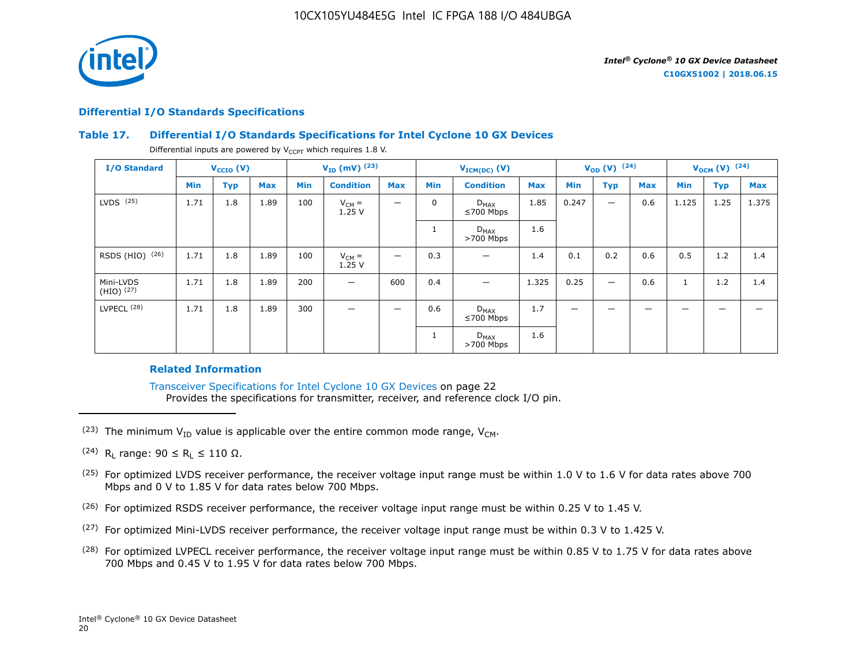

## **Differential I/O Standards Specifications**

## **Table 17. Differential I/O Standards Specifications for Intel Cyclone 10 GX Devices**

Differential inputs are powered by  $V_{CCPT}$  which requires 1.8 V.

| <b>I/O Standard</b>       |            | $V_{CCIO} (V)$ |            |            | $V_{ID}$ (mV) $^{(23)}$ |                          |                | $V_{ICM(DC)}(V)$             |            |                          | $V_{OD} (V)$ (24)        |            |            | $V_{OCM}$ (V) $(24)$ |            |
|---------------------------|------------|----------------|------------|------------|-------------------------|--------------------------|----------------|------------------------------|------------|--------------------------|--------------------------|------------|------------|----------------------|------------|
|                           | <b>Min</b> | <b>Typ</b>     | <b>Max</b> | <b>Min</b> | <b>Condition</b>        | <b>Max</b>               | <b>Min</b>     | <b>Condition</b>             | <b>Max</b> | Min                      | <b>Typ</b>               | <b>Max</b> | <b>Min</b> | <b>Typ</b>           | <b>Max</b> |
| $LVDS$ $(25)$             | 1.71       | 1.8            | 1.89       | 100        | $V_{CM} =$<br>1.25V     | —                        | $\mathbf 0$    | $D_{MAX}$<br>$\leq 700$ Mbps | 1.85       | 0.247                    | $\overline{\phantom{0}}$ | 0.6        | 1.125      | 1.25                 | 1.375      |
|                           |            |                |            |            |                         |                          |                | $D_{MAX}$<br>$>700$ Mbps     | 1.6        |                          |                          |            |            |                      |            |
| RSDS (HIO) (26)           | 1.71       | 1.8            | 1.89       | 100        | $V_{CM} =$<br>1.25V     | $\overline{\phantom{0}}$ | 0.3            |                              | 1.4        | 0.1                      | 0.2                      | 0.6        | 0.5        | 1.2                  | 1.4        |
| Mini-LVDS<br>$(HIO)$ (27) | 1.71       | 1.8            | 1.89       | 200        | —                       | 600                      | 0.4            |                              | 1.325      | 0.25                     | $\overline{\phantom{0}}$ | 0.6        |            | 1.2                  | 1.4        |
| LVPECL <sup>(28)</sup>    | 1.71       | 1.8            | 1.89       | 300        |                         | —                        | 0.6            | $D_{MAX}$<br>$\leq 700$ Mbps | 1.7        | $\overline{\phantom{m}}$ | -                        |            |            |                      |            |
|                           |            |                |            |            |                         |                          | $\overline{a}$ | $D_{MAX}$<br>$>700$ Mbps     | 1.6        |                          |                          |            |            |                      |            |

## **Related Information**

Transceiver Specifications for Intel Cyclone 10 GX Devices on page 22 Provides the specifications for transmitter, receiver, and reference clock I/O pin.

- <sup>(23)</sup> The minimum  $V_{ID}$  value is applicable over the entire common mode range,  $V_{CM}$ .
- (24) R<sub>L</sub> range:  $90 \le R_L \le 110 \Omega$ .
- <sup>(25)</sup> For optimized LVDS receiver performance, the receiver voltage input range must be within 1.0 V to 1.6 V for data rates above 700 Mbps and 0 V to 1.85 V for data rates below 700 Mbps.
- $(26)$  For optimized RSDS receiver performance, the receiver voltage input range must be within 0.25 V to 1.45 V.
- (27) For optimized Mini-LVDS receiver performance, the receiver voltage input range must be within 0.3 V to 1.425 V.
- $(28)$  For optimized LVPECL receiver performance, the receiver voltage input range must be within 0.85 V to 1.75 V for data rates above 700 Mbps and 0.45 V to 1.95 V for data rates below 700 Mbps.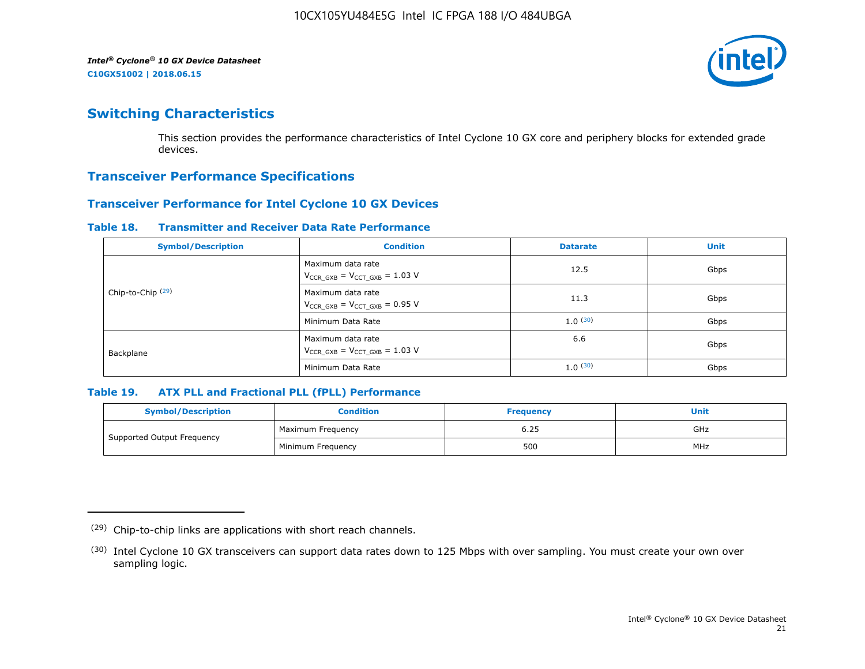

# **Switching Characteristics**

This section provides the performance characteristics of Intel Cyclone 10 GX core and periphery blocks for extended grade devices.

## **Transceiver Performance Specifications**

## **Transceiver Performance for Intel Cyclone 10 GX Devices**

#### **Table 18. Transmitter and Receiver Data Rate Performance**

| <b>Symbol/Description</b>    | <b>Condition</b>                                            | <b>Datarate</b> | <b>Unit</b> |
|------------------------------|-------------------------------------------------------------|-----------------|-------------|
|                              | Maximum data rate<br>$V_{CCR_GXB} = V_{CCT_GXB} = 1.03 V$   | 12.5            | Gbps        |
| Chip-to-Chip <sup>(29)</sup> | Maximum data rate<br>$V_{CCR_GXB} = V_{CCT_GXB} = 0.95 V$   | 11.3            | Gbps        |
|                              | Minimum Data Rate                                           | 1.0(30)         | Gbps        |
| Backplane                    | Maximum data rate<br>$V_{CCR\ GXB} = V_{CCT\ GXB} = 1.03$ V | 6.6             | Gbps        |
|                              | Minimum Data Rate                                           | 1.0(30)         | Gbps        |

## **Table 19. ATX PLL and Fractional PLL (fPLL) Performance**

| <b>Symbol/Description</b>  | Condition         | <b>Frequency</b> | <b>Unit</b> |
|----------------------------|-------------------|------------------|-------------|
|                            | Maximum Frequency | 6.25             | GHz         |
| Supported Output Frequency | Minimum Freguency | 500              | MHz         |

<sup>(29)</sup> Chip-to-chip links are applications with short reach channels.

<sup>(30)</sup> Intel Cyclone 10 GX transceivers can support data rates down to 125 Mbps with over sampling. You must create your own over sampling logic.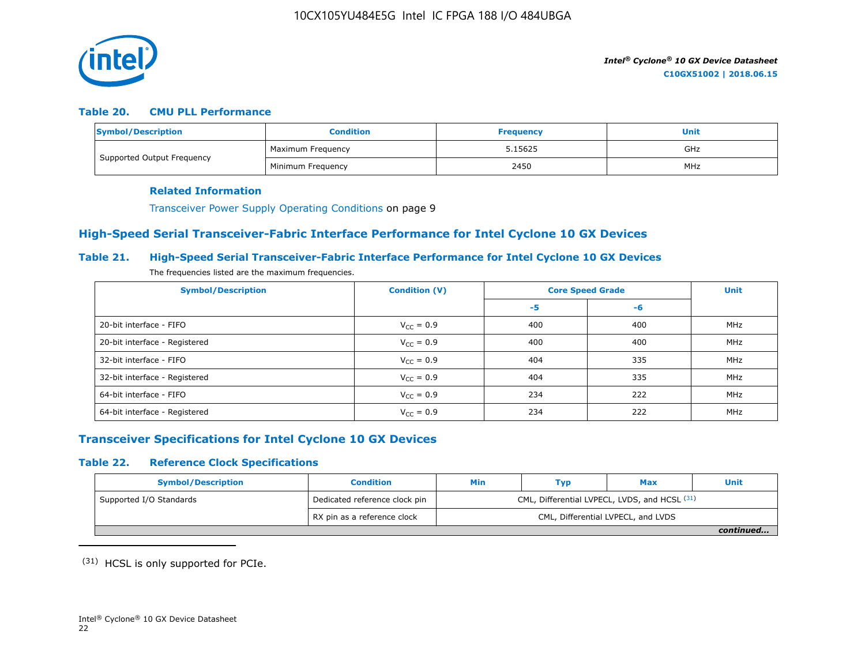

## **Table 20. CMU PLL Performance**

| Symbol/Description         | <b>Condition</b>  | <b>Frequency</b> | Unit |
|----------------------------|-------------------|------------------|------|
| Supported Output Frequency | Maximum Frequency | 5.15625          | GHz  |
|                            | Minimum Freguency | 2450             | MHz  |

#### **Related Information**

Transceiver Power Supply Operating Conditions on page 9

## **High-Speed Serial Transceiver-Fabric Interface Performance for Intel Cyclone 10 GX Devices**

## **Table 21. High-Speed Serial Transceiver-Fabric Interface Performance for Intel Cyclone 10 GX Devices**

The frequencies listed are the maximum frequencies.

| <b>Symbol/Description</b>     | <b>Condition (V)</b>  | <b>Core Speed Grade</b> | <b>Unit</b> |     |
|-------------------------------|-----------------------|-------------------------|-------------|-----|
|                               |                       | -5                      | -6          |     |
| 20-bit interface - FIFO       | $V_{CC} = 0.9$        | 400                     | 400         | MHz |
| 20-bit interface - Registered | $V_{CC} = 0.9$        | 400                     | 400         | MHz |
| 32-bit interface - FIFO       | $V_{CC} = 0.9$        | 404                     | 335         | MHz |
| 32-bit interface - Registered | $V_{\text{CC}} = 0.9$ | 404                     | 335         | MHz |
| 64-bit interface - FIFO       | $V_{CC} = 0.9$        | 234                     | 222         | MHz |
| 64-bit interface - Registered | $V_{\text{CC}} = 0.9$ | 234                     | 222         | MHz |

## **Transceiver Specifications for Intel Cyclone 10 GX Devices**

## **Table 22. Reference Clock Specifications**

| <b>Symbol/Description</b> | <b>Condition</b>              | Min                                           | Typ | Max                                | <b>Unit</b> |  |
|---------------------------|-------------------------------|-----------------------------------------------|-----|------------------------------------|-------------|--|
| Supported I/O Standards   | Dedicated reference clock pin | CML, Differential LVPECL, LVDS, and HCSL (31) |     |                                    |             |  |
|                           | RX pin as a reference clock   |                                               |     | CML, Differential LVPECL, and LVDS |             |  |
|                           |                               |                                               |     |                                    | continued   |  |

(31) HCSL is only supported for PCIe.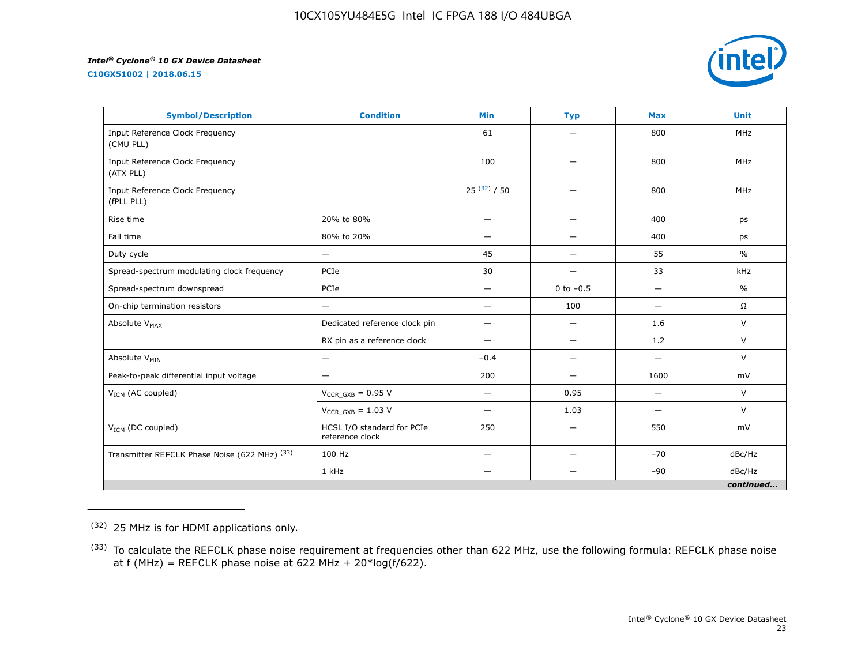**C10GX51002 | 2018.06.15**



| <b>Symbol/Description</b>                     | <b>Condition</b>                              | <b>Min</b>               | <b>Typ</b>               | <b>Max</b>               | <b>Unit</b>   |
|-----------------------------------------------|-----------------------------------------------|--------------------------|--------------------------|--------------------------|---------------|
| Input Reference Clock Frequency<br>(CMU PLL)  |                                               | 61                       |                          | 800                      | <b>MHz</b>    |
| Input Reference Clock Frequency<br>(ATX PLL)  |                                               | 100                      | —                        | 800                      | <b>MHz</b>    |
| Input Reference Clock Frequency<br>(fPLL PLL) |                                               | $25^{(32)}/50$           | $\overline{\phantom{0}}$ | 800                      | <b>MHz</b>    |
| Rise time                                     | 20% to 80%                                    | $\qquad \qquad -$        | —                        | 400                      | ps            |
| Fall time                                     | 80% to 20%                                    | $\overline{\phantom{0}}$ | $\overline{\phantom{0}}$ | 400                      | ps            |
| Duty cycle                                    | —                                             | 45                       | —                        | 55                       | $\frac{0}{0}$ |
| Spread-spectrum modulating clock frequency    | PCIe                                          | 30                       | —                        | 33                       | kHz           |
| Spread-spectrum downspread                    | PCIe                                          | —                        | 0 to $-0.5$              |                          | $\frac{0}{0}$ |
| On-chip termination resistors                 | —                                             | $\overline{\phantom{0}}$ | 100                      | $\overline{\phantom{0}}$ | $\Omega$      |
| Absolute V <sub>MAX</sub>                     | Dedicated reference clock pin                 | $\qquad \qquad -$        | $\overline{\phantom{0}}$ | 1.6                      | V             |
|                                               | RX pin as a reference clock                   |                          | $\overline{\phantom{0}}$ | 1.2                      | $\vee$        |
| Absolute V <sub>MIN</sub>                     | —                                             | $-0.4$                   | —                        | $\overline{\phantom{0}}$ | $\vee$        |
| Peak-to-peak differential input voltage       | $\overline{\phantom{0}}$                      | 200                      | $\overline{\phantom{0}}$ | 1600                     | mV            |
| V <sub>ICM</sub> (AC coupled)                 | $V_{CCR_GXB} = 0.95 V$                        |                          | 0.95                     | $\overline{\phantom{0}}$ | V             |
|                                               | $V_{CCR\ GXB} = 1.03 V$                       | —                        | 1.03                     | $\overline{\phantom{0}}$ | $\vee$        |
| $V_{ICM}$ (DC coupled)                        | HCSL I/O standard for PCIe<br>reference clock | 250                      | $\overline{\phantom{0}}$ | 550                      | mV            |
| Transmitter REFCLK Phase Noise (622 MHz) (33) | 100 Hz                                        | —                        | $\overline{\phantom{0}}$ | $-70$                    | dBc/Hz        |
|                                               | 1 kHz                                         |                          |                          | $-90$                    | dBc/Hz        |
|                                               |                                               |                          |                          |                          | continued     |

(32) 25 MHz is for HDMI applications only.

<sup>&</sup>lt;sup>(33)</sup> To calculate the REFCLK phase noise requirement at frequencies other than 622 MHz, use the following formula: REFCLK phase noise at f (MHz) = REFCLK phase noise at 622 MHz +  $20*log(f/622)$ .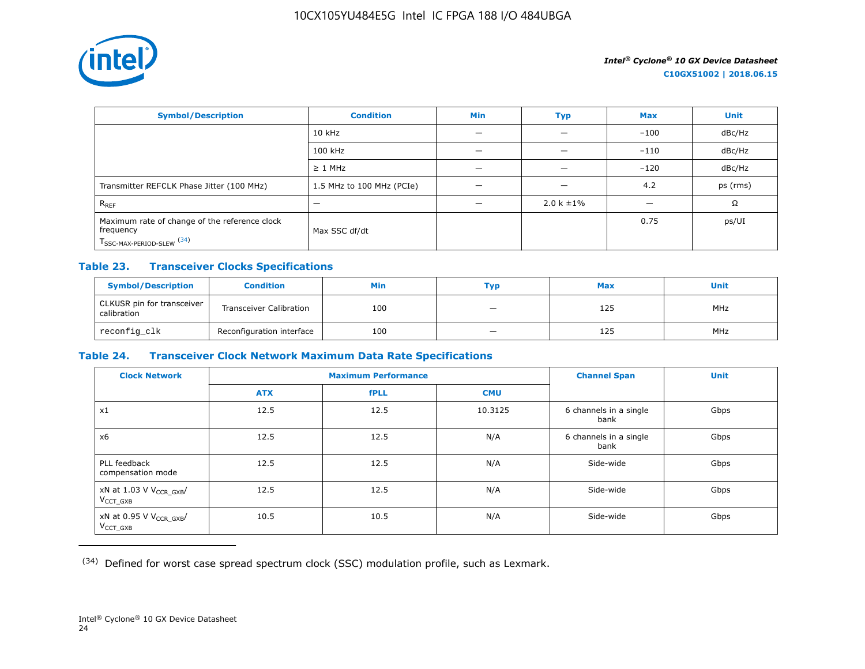

| <b>Symbol/Description</b>                                                                           | <b>Condition</b>          | <b>Min</b> | Typ             | <b>Max</b> | <b>Unit</b> |
|-----------------------------------------------------------------------------------------------------|---------------------------|------------|-----------------|------------|-------------|
|                                                                                                     | $10$ kHz                  |            |                 | $-100$     | dBc/Hz      |
|                                                                                                     | 100 kHz                   |            |                 | $-110$     | dBc/Hz      |
|                                                                                                     | $\geq$ 1 MHz              |            |                 | $-120$     | dBc/Hz      |
| Transmitter REFCLK Phase Jitter (100 MHz)                                                           | 1.5 MHz to 100 MHz (PCIe) | -          | -               | 4.2        | ps (rms)    |
| $R_{REF}$                                                                                           |                           |            | $2.0 k \pm 1\%$ |            | Ω           |
| Maximum rate of change of the reference clock<br>frequency<br>T <sub>SSC-MAX-PERIOD-SLEW</sub> (34) | Max SSC df/dt             |            |                 | 0.75       | ps/UI       |

## **Table 23. Transceiver Clocks Specifications**

| <b>Symbol/Description</b>                 | <b>Condition</b>               | Min | Тур                      | <b>Max</b> | <b>Unit</b> |
|-------------------------------------------|--------------------------------|-----|--------------------------|------------|-------------|
| CLKUSR pin for transceiver<br>calibration | <b>Transceiver Calibration</b> | 100 | -                        | 125        | <b>MHz</b>  |
| reconfig_clk                              | Reconfiguration interface      | 100 | $\overline{\phantom{m}}$ | 125        | <b>MHz</b>  |

## **Table 24. Transceiver Clock Network Maximum Data Rate Specifications**

| <b>Clock Network</b>                                   | <b>Maximum Performance</b> |             |            | <b>Channel Span</b>            | <b>Unit</b> |
|--------------------------------------------------------|----------------------------|-------------|------------|--------------------------------|-------------|
|                                                        | <b>ATX</b>                 | <b>fPLL</b> | <b>CMU</b> |                                |             |
| x1                                                     | 12.5                       | 12.5        | 10.3125    | 6 channels in a single<br>bank | Gbps        |
| x6                                                     | 12.5                       | 12.5        | N/A        | 6 channels in a single<br>bank | Gbps        |
| PLL feedback<br>compensation mode                      | 12.5                       | 12.5        | N/A        | Side-wide                      | Gbps        |
| xN at 1.03 V V <sub>CCR_GXB</sub> /<br>$V_{CCT}$ $GXB$ | 12.5                       | 12.5        | N/A        | Side-wide                      | Gbps        |
| xN at 0.95 V V <sub>CCR_GXB</sub> /<br>$V_{CCT_GXB}$   | 10.5                       | 10.5        | N/A        | Side-wide                      | Gbps        |

(34) Defined for worst case spread spectrum clock (SSC) modulation profile, such as Lexmark.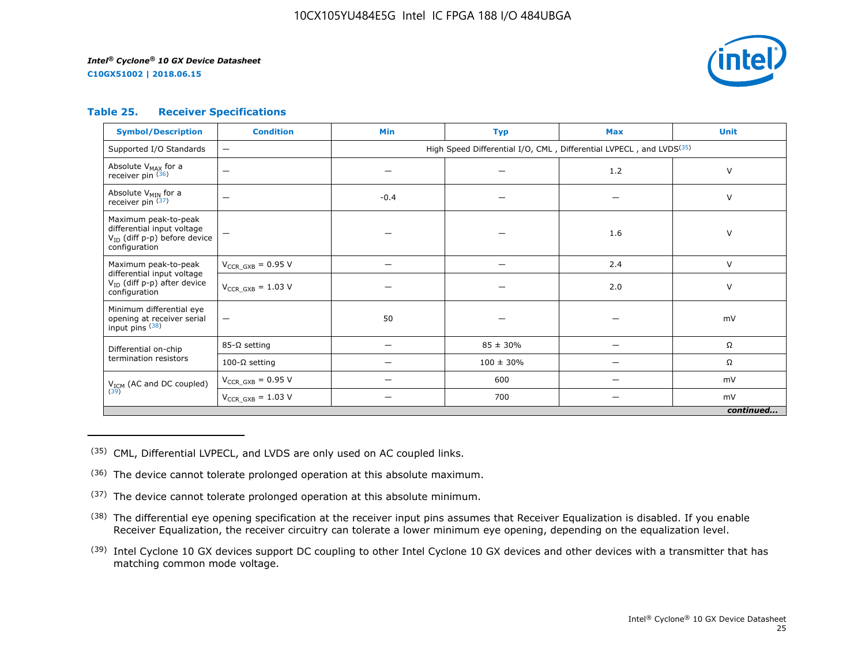**C10GX51002 | 2018.06.15**



## **Table 25. Receiver Specifications**

| <b>Symbol/Description</b>                                                                                | <b>Condition</b>         | <b>Min</b>                                                                      | <b>Typ</b>     | <b>Max</b> | <b>Unit</b> |  |  |
|----------------------------------------------------------------------------------------------------------|--------------------------|---------------------------------------------------------------------------------|----------------|------------|-------------|--|--|
| Supported I/O Standards                                                                                  | $\qquad \qquad -$        | High Speed Differential I/O, CML, Differential LVPECL, and LVDS <sup>(35)</sup> |                |            |             |  |  |
| Absolute V <sub>MAX</sub> for a<br>receiver pin (36)                                                     | -                        |                                                                                 |                | 1.2        | $\vee$      |  |  |
| Absolute V <sub>MIN</sub> for a<br>receiver pin $(37)$                                                   | -                        | $-0.4$                                                                          |                |            | $\vee$      |  |  |
| Maximum peak-to-peak<br>differential input voltage<br>$V_{ID}$ (diff p-p) before device<br>configuration |                          |                                                                                 |                | 1.6        | $\vee$      |  |  |
| Maximum peak-to-peak<br>differential input voltage                                                       | $V_{CCR\ GXB} = 0.95 V$  |                                                                                 |                | 2.4        | $\vee$      |  |  |
| V <sub>ID</sub> (diff p-p) after device<br>configuration                                                 | $V_{CCR\ GXB} = 1.03 V$  |                                                                                 |                | 2.0        | V           |  |  |
| Minimum differential eye<br>opening at receiver serial<br>input pins (38)                                | $\overline{\phantom{m}}$ | 50                                                                              |                |            | mV          |  |  |
| Differential on-chip                                                                                     | $85-\Omega$ setting      | $\overline{\phantom{0}}$                                                        | $85 \pm 30\%$  | —          | Ω           |  |  |
| termination resistors                                                                                    | 100-Ω setting            |                                                                                 | $100 \pm 30\%$ |            | Ω           |  |  |
| $V_{ICM}$ (AC and DC coupled)<br>(39)                                                                    | $V_{CCR\ GXB} = 0.95 V$  |                                                                                 | 600            |            | mV          |  |  |
|                                                                                                          | $V_{CCR_GXB} = 1.03 V$   |                                                                                 | 700            |            | mV          |  |  |
| continued                                                                                                |                          |                                                                                 |                |            |             |  |  |

(35) CML, Differential LVPECL, and LVDS are only used on AC coupled links.

- (36) The device cannot tolerate prolonged operation at this absolute maximum.
- $(37)$  The device cannot tolerate prolonged operation at this absolute minimum.
- <sup>(38)</sup> The differential eye opening specification at the receiver input pins assumes that Receiver Equalization is disabled. If you enable Receiver Equalization, the receiver circuitry can tolerate a lower minimum eye opening, depending on the equalization level.
- <sup>(39)</sup> Intel Cyclone 10 GX devices support DC coupling to other Intel Cyclone 10 GX devices and other devices with a transmitter that has matching common mode voltage.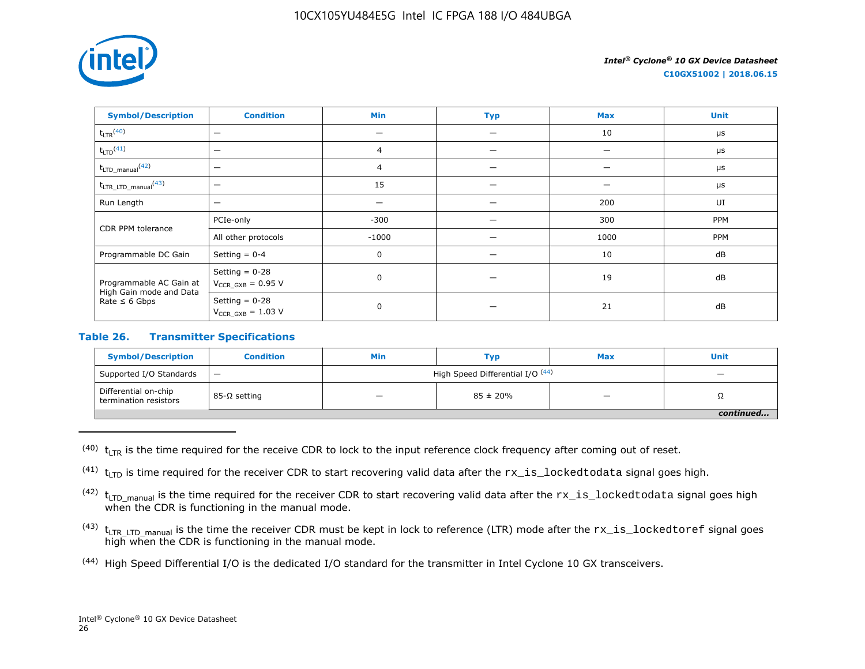

**C10GX51002 | 2018.06.15**

| <b>Symbol/Description</b>                     | <b>Condition</b>                           | <b>Min</b>     | <b>Typ</b> | <b>Max</b> | <b>Unit</b> |
|-----------------------------------------------|--------------------------------------------|----------------|------------|------------|-------------|
| $t_{LTR}$ <sup>(40)</sup>                     | $\overline{\phantom{m}}$                   |                |            | 10         | $\mu$ s     |
| $t_{LTD}$ <sup>(41)</sup>                     | $\overline{\phantom{m}}$                   | $\overline{4}$ |            |            | $\mu$ s     |
| $t_{\text{LTD\_manual}}$ (42)                 | -                                          | 4              |            |            | $\mu$ s     |
| $t_{\text{LTR\_LTD\_manual}}$ <sup>(43)</sup> | $\overline{\phantom{m}}$                   | 15             |            |            | $\mu$ s     |
| Run Length                                    | $\overline{\phantom{0}}$                   |                |            | 200        | UI          |
| CDR PPM tolerance                             | PCIe-only                                  | $-300$         |            | 300        | PPM         |
|                                               | All other protocols                        | $-1000$        |            | 1000       | PPM         |
| Programmable DC Gain                          | Setting $= 0-4$                            | 0              |            | 10         | dB          |
| Programmable AC Gain at                       | Setting $= 0-28$<br>$V_{CCR_GXB} = 0.95 V$ | $\mathbf 0$    |            | 19         | dB          |
| High Gain mode and Data<br>Rate $\leq 6$ Gbps | Setting $= 0-28$<br>$V_{CCR_GXB} = 1.03 V$ | 0              |            | 21         | dB          |

## **Table 26. Transmitter Specifications**

| <b>Symbol/Description</b>                     | <b>Condition</b> | Min                              | Тур                      | <b>Max</b> | <b>Unit</b> |  |
|-----------------------------------------------|------------------|----------------------------------|--------------------------|------------|-------------|--|
| Supported I/O Standards                       | $\qquad \qquad$  | High Speed Differential I/O (44) | $\overline{\phantom{0}}$ |            |             |  |
| Differential on-chip<br>termination resistors | 85-Ω setting     | _                                | $85 \pm 20\%$            | -          | 75          |  |
|                                               |                  |                                  |                          |            |             |  |

 $(40)$  t<sub>LTR</sub> is the time required for the receive CDR to lock to the input reference clock frequency after coming out of reset.

<sup>(41)</sup>  $t_{\text{LTD}}$  is time required for the receiver CDR to start recovering valid data after the  $rx\_is\_locked$ todata signal goes high.

 $(42)$  t<sub>LTD</sub> manual is the time required for the receiver CDR to start recovering valid data after the  $rx\_is\_locked$ todata signal goes high when the CDR is functioning in the manual mode.

- $(43)$  t<sub>LTR LTD</sub> manual is the time the receiver CDR must be kept in lock to reference (LTR) mode after the  $rx\_is\_lockedtoref$  signal goes high when the CDR is functioning in the manual mode.
- (44) High Speed Differential I/O is the dedicated I/O standard for the transmitter in Intel Cyclone 10 GX transceivers.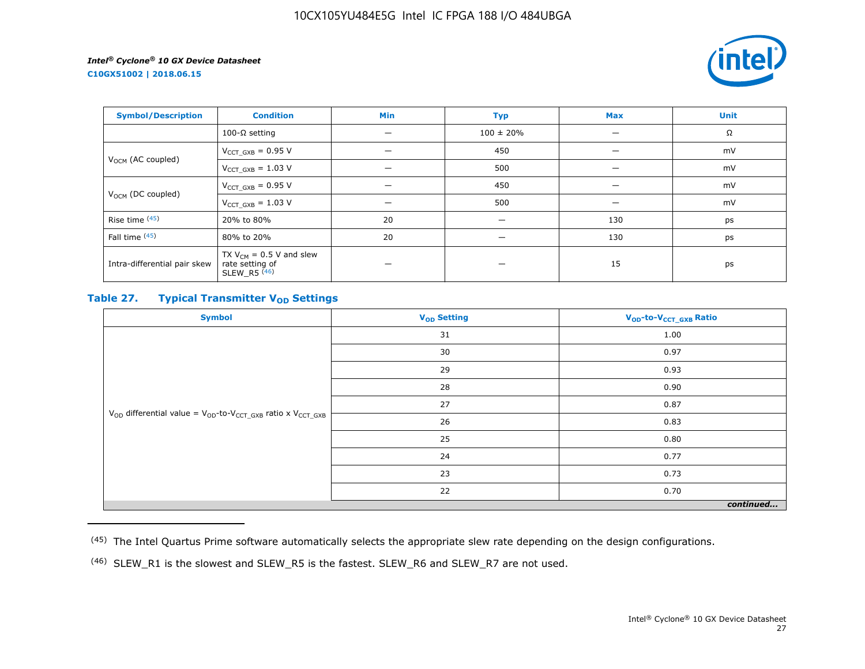**C10GX51002 | 2018.06.15**



| <b>Symbol/Description</b>     | <b>Condition</b>                                                  | Min | <b>Typ</b>     | <b>Max</b> | <b>Unit</b> |
|-------------------------------|-------------------------------------------------------------------|-----|----------------|------------|-------------|
|                               | 100-Ω setting                                                     |     | $100 \pm 20\%$ |            | Ω           |
|                               | $V_{CCT_GXB} = 0.95 V$                                            |     | 450            | -          | mV          |
| V <sub>OCM</sub> (AC coupled) | $V_{CCT_GXB} = 1.03 V$                                            |     | 500            | —          | mV          |
| V <sub>OCM</sub> (DC coupled) | $V_{CCT_GXB} = 0.95 V$                                            |     | 450            |            | mV          |
|                               | $V_{CCT_GXB} = 1.03 V$                                            |     | 500            |            | mV          |
| Rise time $(45)$              | 20% to 80%                                                        | 20  |                | 130        | ps          |
| Fall time (45)                | 80% to 20%                                                        | 20  | –              | 130        | ps          |
| Intra-differential pair skew  | TX $V_{CM}$ = 0.5 V and slew<br>rate setting of<br>SLEW R5 $(46)$ |     |                | 15         | ps          |

## **Table 27. Typical Transmitter V<sub>OD</sub>** Settings

| <b>Symbol</b>                                                                     | V <sub>OD</sub> Setting | V <sub>OD</sub> -to-V <sub>CCT_GXB</sub> Ratio |  |  |  |
|-----------------------------------------------------------------------------------|-------------------------|------------------------------------------------|--|--|--|
|                                                                                   | 31                      | 1.00                                           |  |  |  |
|                                                                                   | 30                      | 0.97                                           |  |  |  |
|                                                                                   | 29                      | 0.93                                           |  |  |  |
|                                                                                   | 28                      | 0.90                                           |  |  |  |
|                                                                                   | 27                      | 0.87                                           |  |  |  |
| $V_{OD}$ differential value = $V_{OD}$ -to- $V_{CCT\_GXB}$ ratio x $V_{CCT\_GXB}$ | 26                      | 0.83                                           |  |  |  |
|                                                                                   | 25                      | 0.80                                           |  |  |  |
|                                                                                   | 24                      | 0.77                                           |  |  |  |
|                                                                                   | 23                      | 0.73                                           |  |  |  |
|                                                                                   | 22                      | 0.70                                           |  |  |  |
| continued                                                                         |                         |                                                |  |  |  |

<sup>(45)</sup> The Intel Quartus Prime software automatically selects the appropriate slew rate depending on the design configurations.

<sup>(46)</sup> SLEW\_R1 is the slowest and SLEW\_R5 is the fastest. SLEW\_R6 and SLEW\_R7 are not used.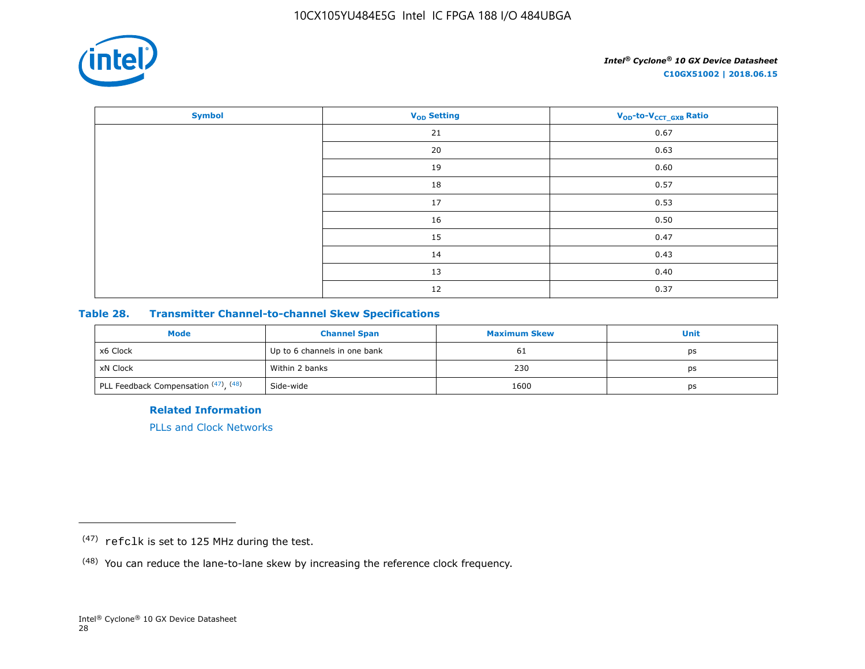

| <b>Symbol</b> | <b>V<sub>OD</sub></b> Setting | V <sub>OD</sub> -to-V <sub>CCT_GXB</sub> Ratio |
|---------------|-------------------------------|------------------------------------------------|
|               | 21                            | 0.67                                           |
|               | 20                            | 0.63                                           |
|               | 19                            | 0.60                                           |
|               | 18                            | 0.57                                           |
|               | 17                            | 0.53                                           |
|               | 16                            | 0.50                                           |
|               | 15                            | 0.47                                           |
|               | 14                            | 0.43                                           |
|               | 13                            | 0.40                                           |
|               | 12                            | 0.37                                           |

## **Table 28. Transmitter Channel-to-channel Skew Specifications**

| <b>Mode</b>                                       | <b>Channel Span</b>          | <b>Maximum Skew</b> | Unit |
|---------------------------------------------------|------------------------------|---------------------|------|
| x6 Clock                                          | Up to 6 channels in one bank | 61                  | ps   |
| xN Clock                                          | Within 2 banks               | 230                 | ps   |
| <sup>1</sup> PLL Feedback Compensation (47), (48) | Side-wide                    | 1600                | ps   |

**Related Information**

[PLLs and Clock Networks](https://documentation.altera.com/#/link/hki1486507600636/mbh1486506924952)

<sup>(47)</sup> refclk is set to 125 MHz during the test.

<sup>(48)</sup> You can reduce the lane-to-lane skew by increasing the reference clock frequency.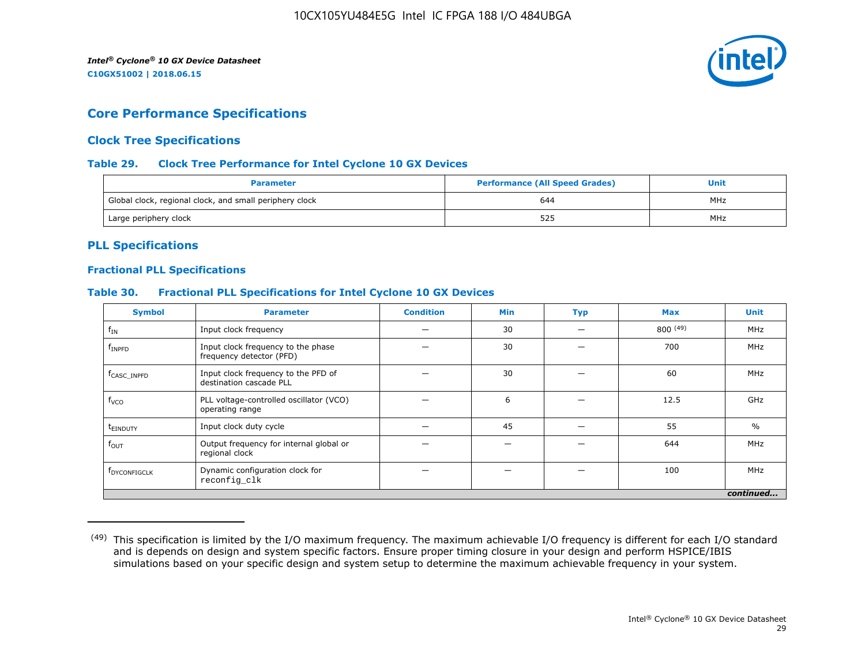

## **Core Performance Specifications**

## **Clock Tree Specifications**

## **Table 29. Clock Tree Performance for Intel Cyclone 10 GX Devices**

| <b>Parameter</b>                                        | <b>Performance (All Speed Grades)</b> | Unit |  |
|---------------------------------------------------------|---------------------------------------|------|--|
| Global clock, regional clock, and small periphery clock | 644                                   | MHz  |  |
| Large periphery clock                                   | 525                                   | MHz  |  |

## **PLL Specifications**

## **Fractional PLL Specifications**

## **Table 30. Fractional PLL Specifications for Intel Cyclone 10 GX Devices**

| <b>Symbol</b>           | <b>Parameter</b>                                               | <b>Condition</b> | <b>Min</b> | <b>Typ</b> | <b>Max</b> | <b>Unit</b>   |
|-------------------------|----------------------------------------------------------------|------------------|------------|------------|------------|---------------|
| $f_{IN}$                | Input clock frequency                                          |                  | 30         |            | 800(49)    | MHz           |
| $f_{\rm INPFD}$         | Input clock frequency to the phase<br>frequency detector (PFD) |                  | 30         |            | 700        | MHz           |
| f <sub>CASC</sub> INPFD | Input clock frequency to the PFD of<br>destination cascade PLL |                  | 30         |            | 60         | MHz           |
| f <sub>vco</sub>        | PLL voltage-controlled oscillator (VCO)<br>operating range     |                  | 6          |            | 12.5       | GHz           |
| t <sub>einduty</sub>    | Input clock duty cycle                                         |                  | 45         |            | 55         | $\frac{0}{0}$ |
| $f_{\text{OUT}}$        | Output frequency for internal global or<br>regional clock      |                  |            |            | 644        | MHz           |
| <b>FDYCONFIGCLK</b>     | Dynamic configuration clock for<br>reconfig_clk                |                  |            |            | 100        | MHz           |
|                         |                                                                |                  |            |            |            | continued     |

<sup>&</sup>lt;sup>(49)</sup> This specification is limited by the I/O maximum frequency. The maximum achievable I/O frequency is different for each I/O standard and is depends on design and system specific factors. Ensure proper timing closure in your design and perform HSPICE/IBIS simulations based on your specific design and system setup to determine the maximum achievable frequency in your system.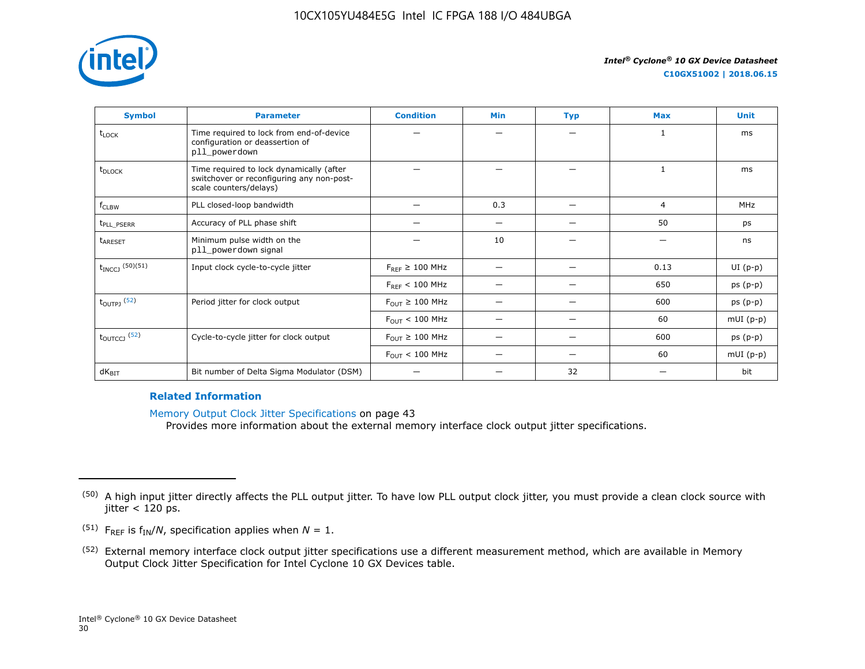

| <b>Symbol</b>                 | <b>Parameter</b>                                                                                                | <b>Condition</b>                      | Min | <b>Typ</b>               | <b>Max</b> | <b>Unit</b> |
|-------------------------------|-----------------------------------------------------------------------------------------------------------------|---------------------------------------|-----|--------------------------|------------|-------------|
| t <sub>LOCK</sub>             | Time required to lock from end-of-device<br>configuration or deassertion of<br>pll_powerdown                    |                                       |     |                          |            | ms          |
| t <sub>DLOCK</sub>            | Time required to lock dynamically (after<br>switchover or reconfiguring any non-post-<br>scale counters/delays) |                                       |     |                          | 1          | ms          |
| f <sub>CLBW</sub>             | PLL closed-loop bandwidth                                                                                       |                                       | 0.3 | $\overline{\phantom{0}}$ | 4          | MHz         |
| t <sub>PLL_PSERR</sub>        | Accuracy of PLL phase shift                                                                                     |                                       |     | -                        | 50         | ps          |
| t <sub>ARESET</sub>           | Minimum pulse width on the<br>pll_powerdown signal                                                              |                                       | 10  |                          |            | ns          |
| $\rm t_{INCCJ}$ $^{(50)(51)}$ | Input clock cycle-to-cycle jitter                                                                               | $F_{REF} \geq 100$ MHz                | —   | -                        | 0.13       | $UI(p-p)$   |
|                               |                                                                                                                 | $F_{REF}$ < 100 MHz                   |     |                          | 650        | $ps(p-p)$   |
| $t_{\text{OUTPJ}}$ (52)       | Period jitter for clock output                                                                                  | $F_{\text{OUT}} \geq 100 \text{ MHz}$ |     |                          | 600        | $ps(p-p)$   |
|                               |                                                                                                                 | $F_{\text{OUT}} < 100 \text{ MHz}$    | -   | -                        | 60         | $mUI(p-p)$  |
| $t_{\text{OUTCCJ}}$ (52)      | Cycle-to-cycle jitter for clock output                                                                          | $F_{OUT} \geq 100$ MHz                |     |                          | 600        | $ps(p-p)$   |
|                               |                                                                                                                 | $F_{\text{OUT}} < 100 \text{ MHz}$    |     |                          | 60         | $mUI(p-p)$  |
| $dK_{\text{BIT}}$             | Bit number of Delta Sigma Modulator (DSM)                                                                       |                                       |     | 32                       |            | bit         |

## **Related Information**

Memory Output Clock Jitter Specifications on page 43

Provides more information about the external memory interface clock output jitter specifications.

- <sup>(51)</sup> F<sub>REF</sub> is  $f_{IN}/N$ , specification applies when  $N = 1$ .
- (52) External memory interface clock output jitter specifications use a different measurement method, which are available in Memory Output Clock Jitter Specification for Intel Cyclone 10 GX Devices table.

<sup>&</sup>lt;sup>(50)</sup> A high input jitter directly affects the PLL output jitter. To have low PLL output clock jitter, you must provide a clean clock source with  $\text{jitter} < 120 \text{ ps}.$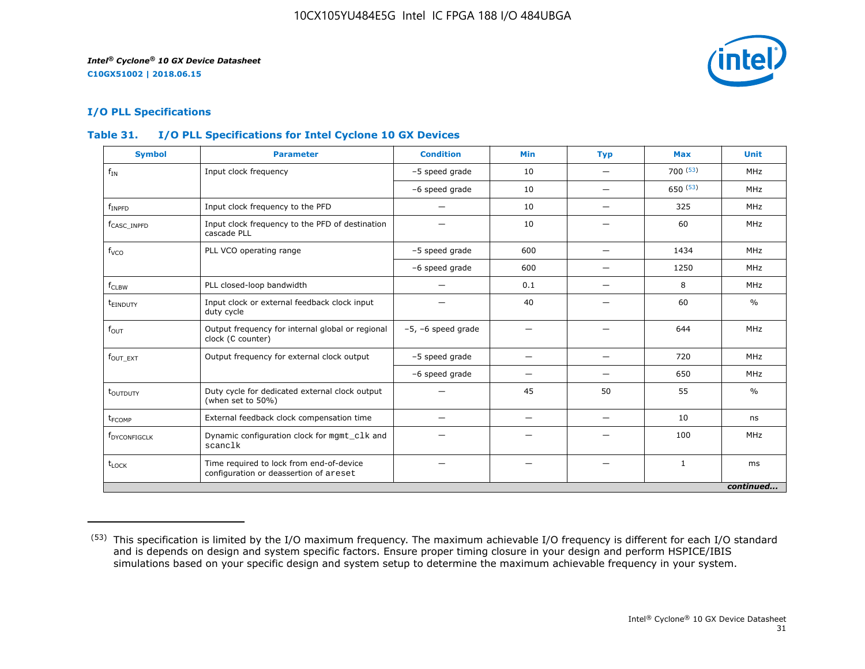

## **I/O PLL Specifications**

## **Table 31. I/O PLL Specifications for Intel Cyclone 10 GX Devices**

| <b>Symbol</b>            | <b>Parameter</b>                                                                   | <b>Condition</b>        | <b>Min</b>               | <b>Typ</b>               | <b>Max</b>   | <b>Unit</b>   |
|--------------------------|------------------------------------------------------------------------------------|-------------------------|--------------------------|--------------------------|--------------|---------------|
| $f_{IN}$                 | Input clock frequency                                                              | -5 speed grade          | 10                       |                          | 700(53)      | MHz           |
|                          |                                                                                    | -6 speed grade          | 10                       | —                        | 650(53)      | MHz           |
| $f_{INPFD}$              | Input clock frequency to the PFD                                                   |                         | 10                       |                          | 325          | MHz           |
| f <sub>CASC</sub> INPFD  | Input clock frequency to the PFD of destination<br>cascade PLL                     |                         | 10                       |                          | 60           | MHz           |
| f <sub>vco</sub>         | PLL VCO operating range                                                            | -5 speed grade          | 600                      |                          | 1434         | MHz           |
|                          |                                                                                    | -6 speed grade          | 600                      | $\overline{\phantom{0}}$ | 1250         | MHz           |
| $f_{CLBW}$               | PLL closed-loop bandwidth                                                          | —                       | 0.1                      | $\overline{\phantom{0}}$ | 8            | MHz           |
| t <sub>einduty</sub>     | Input clock or external feedback clock input<br>duty cycle                         |                         | 40                       |                          | 60           | $\frac{0}{0}$ |
| $f_{\text{OUT}}$         | Output frequency for internal global or regional<br>clock (C counter)              | $-5$ , $-6$ speed grade | -                        |                          | 644          | MHz           |
| $fOUT$ $_{EXT}$          | Output frequency for external clock output                                         | -5 speed grade          | -                        |                          | 720          | MHz           |
|                          |                                                                                    | -6 speed grade          | -                        |                          | 650          | MHz           |
| t <sub>outputy</sub>     | Duty cycle for dedicated external clock output<br>(when set to 50%)                |                         | 45                       | 50                       | 55           | $\frac{0}{0}$ |
| t <sub>FCOMP</sub>       | External feedback clock compensation time                                          |                         | $\overline{\phantom{m}}$ |                          | 10           | ns            |
| f <sub>DYCONFIGCLK</sub> | Dynamic configuration clock for mgmt_clk and<br>scanclk                            |                         |                          |                          | 100          | MHz           |
| $t_{\text{LOCK}}$        | Time required to lock from end-of-device<br>configuration or deassertion of areset |                         |                          |                          | $\mathbf{1}$ | ms            |
|                          |                                                                                    |                         |                          |                          |              | continued     |

<sup>(53)</sup> This specification is limited by the I/O maximum frequency. The maximum achievable I/O frequency is different for each I/O standard and is depends on design and system specific factors. Ensure proper timing closure in your design and perform HSPICE/IBIS simulations based on your specific design and system setup to determine the maximum achievable frequency in your system.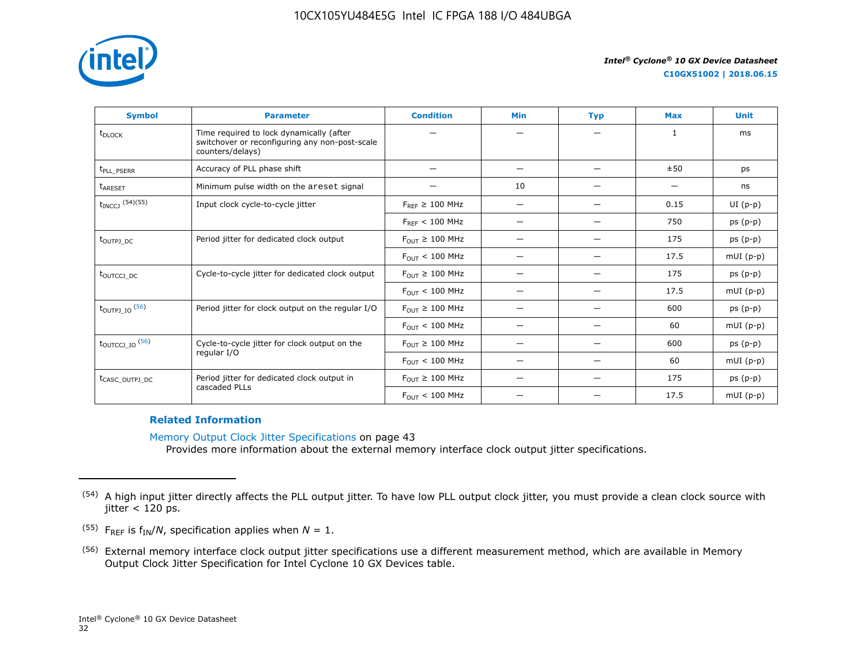

| <b>Symbol</b>                | <b>Parameter</b>                                                                                               | <b>Condition</b>                      | <b>Min</b>               | <b>Typ</b>               | <b>Max</b>                     | <b>Unit</b> |
|------------------------------|----------------------------------------------------------------------------------------------------------------|---------------------------------------|--------------------------|--------------------------|--------------------------------|-------------|
| t <sub>DLOCK</sub>           | Time required to lock dynamically (after<br>switchover or reconfiguring any non-post-scale<br>counters/delays) |                                       |                          |                          | 1                              | ms          |
| t <sub>PLL</sub> PSERR       | Accuracy of PLL phase shift                                                                                    |                                       | $\overline{\phantom{0}}$ |                          | ±50                            | ps          |
| <b>t<sub>ARESET</sub></b>    | Minimum pulse width on the areset signal                                                                       | —                                     | 10                       | $\overline{\phantom{0}}$ | $\qquad \qquad \longleftarrow$ | ns          |
| $t_{INCCJ}$ (54)(55)         | Input clock cycle-to-cycle jitter                                                                              | $F_{RFF} \geq 100$ MHz                | $\overline{\phantom{0}}$ |                          | 0.15                           | $UI(p-p)$   |
|                              |                                                                                                                | $F_{RFF}$ < 100 MHz                   | -                        |                          | 750                            | $ps(p-p)$   |
| t <sub>outpj_pc</sub>        | Period jitter for dedicated clock output                                                                       | $F_{\text{OUT}} \geq 100 \text{ MHz}$ | $\overline{\phantom{0}}$ | $\overline{\phantom{0}}$ | 175                            | $ps(p-p)$   |
|                              |                                                                                                                | $F_{OUT}$ < 100 MHz                   | $\overline{\phantom{0}}$ | $\overline{\phantom{0}}$ | 17.5                           | $mUI(p-p)$  |
| t <sub>outccj_pc</sub>       | Cycle-to-cycle jitter for dedicated clock output                                                               | $F_{OIII} \geq 100$ MHz               | $\overline{\phantom{0}}$ |                          | 175                            | $ps(p-p)$   |
|                              |                                                                                                                | $F_{OUT}$ < 100 MHz                   | $\overline{\phantom{0}}$ | $\overline{\phantom{0}}$ | 17.5                           | $mUI(p-p)$  |
| $t_{\text{OUTPJ\_IO}}$ (56)  | Period jitter for clock output on the regular I/O                                                              | $F_{OUT} \geq 100$ MHz                | $\overline{\phantom{0}}$ | $\overline{\phantom{0}}$ | 600                            | $ps(p-p)$   |
|                              |                                                                                                                | $F_{OUT}$ < 100 MHz                   |                          |                          | 60                             | $mUI(p-p)$  |
| $t_{\text{OUTCCJ\_IO}}$ (56) | Cycle-to-cycle jitter for clock output on the                                                                  | $F_{OUT} \geq 100$ MHz                | -                        |                          | 600                            | $ps(p-p)$   |
|                              | regular I/O                                                                                                    | $F_{\text{OUT}} < 100 \text{ MHz}$    |                          | -                        | 60                             | $mUI(p-p)$  |
| t <sub>CASC_OUTPJ_DC</sub>   | Period jitter for dedicated clock output in                                                                    | $F_{OUT} \geq 100$ MHz                | $\overline{\phantom{0}}$ |                          | 175                            | $ps(p-p)$   |
|                              | cascaded PLLs                                                                                                  | $F_{OUT}$ < 100 MHz                   | $\overline{\phantom{0}}$ | -                        | 17.5                           | $mUI(p-p)$  |

## **Related Information**

Memory Output Clock Jitter Specifications on page 43 Provides more information about the external memory interface clock output jitter specifications.

<sup>&</sup>lt;sup>(54)</sup> A high input jitter directly affects the PLL output jitter. To have low PLL output clock jitter, you must provide a clean clock source with  $\text{jitter} < 120 \text{ ps}.$ 

<sup>&</sup>lt;sup>(55)</sup> F<sub>REF</sub> is  $f_{IN}/N$ , specification applies when  $N = 1$ .

<sup>(56)</sup> External memory interface clock output jitter specifications use a different measurement method, which are available in Memory Output Clock Jitter Specification for Intel Cyclone 10 GX Devices table.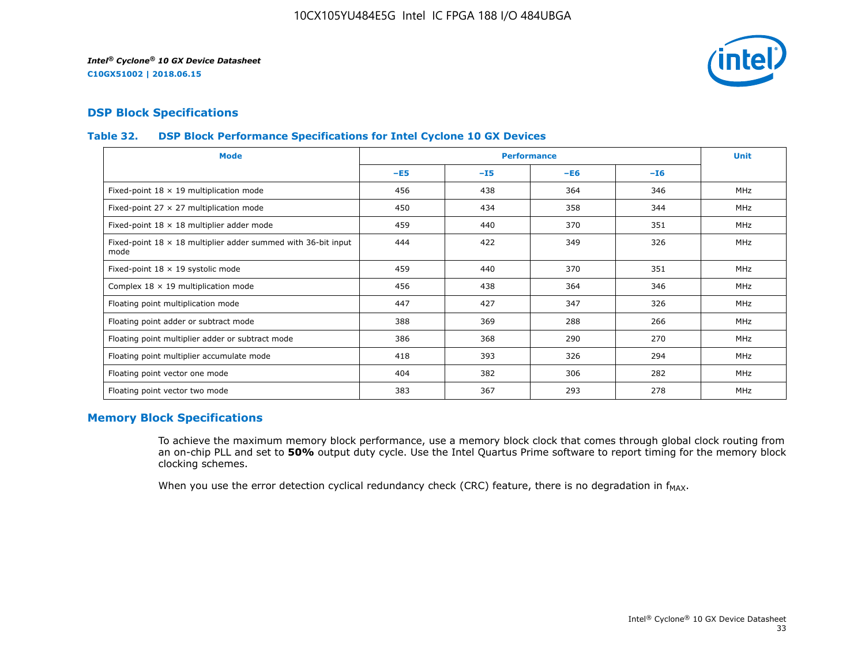

## **DSP Block Specifications**

## **Table 32. DSP Block Performance Specifications for Intel Cyclone 10 GX Devices**

| <b>Mode</b>                                                                  |       | <b>Performance</b> |       |       | <b>Unit</b> |
|------------------------------------------------------------------------------|-------|--------------------|-------|-------|-------------|
|                                                                              | $-E5$ | $-15$              | $-E6$ | $-16$ |             |
| Fixed-point $18 \times 19$ multiplication mode                               | 456   | 438                | 364   | 346   | <b>MHz</b>  |
| Fixed-point 27 $\times$ 27 multiplication mode                               | 450   | 434                | 358   | 344   | <b>MHz</b>  |
| Fixed-point $18 \times 18$ multiplier adder mode                             | 459   | 440                | 370   | 351   | <b>MHz</b>  |
| Fixed-point $18 \times 18$ multiplier adder summed with 36-bit input<br>mode | 444   | 422                | 349   | 326   | <b>MHz</b>  |
| Fixed-point 18 x 19 systolic mode                                            | 459   | 440                | 370   | 351   | <b>MHz</b>  |
| Complex $18 \times 19$ multiplication mode                                   | 456   | 438                | 364   | 346   | MHz         |
| Floating point multiplication mode                                           | 447   | 427                | 347   | 326   | <b>MHz</b>  |
| Floating point adder or subtract mode                                        | 388   | 369                | 288   | 266   | MHz         |
| Floating point multiplier adder or subtract mode                             | 386   | 368                | 290   | 270   | <b>MHz</b>  |
| Floating point multiplier accumulate mode                                    | 418   | 393                | 326   | 294   | <b>MHz</b>  |
| Floating point vector one mode                                               | 404   | 382                | 306   | 282   | MHz         |
| Floating point vector two mode                                               | 383   | 367                | 293   | 278   | <b>MHz</b>  |

## **Memory Block Specifications**

To achieve the maximum memory block performance, use a memory block clock that comes through global clock routing from an on-chip PLL and set to **50%** output duty cycle. Use the Intel Quartus Prime software to report timing for the memory block clocking schemes.

When you use the error detection cyclical redundancy check (CRC) feature, there is no degradation in  $f_{MAX}$ .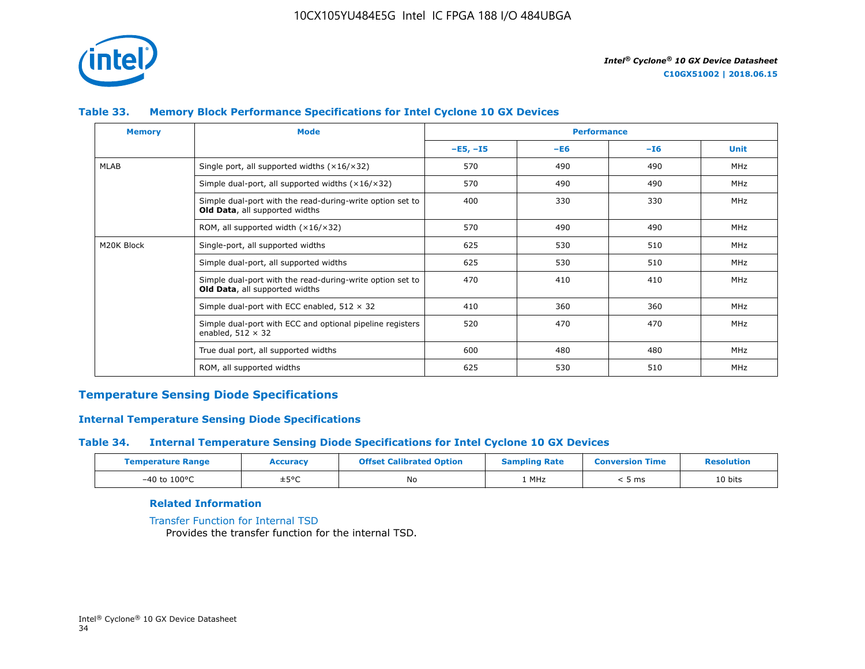

## **Table 33. Memory Block Performance Specifications for Intel Cyclone 10 GX Devices**

| <b>Memory</b> | <b>Mode</b>                                                                                        |            | <b>Performance</b> |       |             |
|---------------|----------------------------------------------------------------------------------------------------|------------|--------------------|-------|-------------|
|               |                                                                                                    | $-E5, -15$ | $-E6$              | $-I6$ | <b>Unit</b> |
| MLAB          | Single port, all supported widths $(x16/x32)$                                                      | 570        | 490                | 490   | MHz         |
|               | Simple dual-port, all supported widths $(x16/x32)$                                                 | 570        | 490                | 490   | MHz         |
|               | Simple dual-port with the read-during-write option set to<br><b>Old Data, all supported widths</b> | 400        | 330                | 330   | MHz         |
|               | ROM, all supported width $(x16/x32)$                                                               | 570        | 490                | 490   | MHz         |
| M20K Block    | Single-port, all supported widths                                                                  | 625        | 530                | 510   | MHz         |
|               | Simple dual-port, all supported widths                                                             | 625        | 530                | 510   | MHz         |
|               | Simple dual-port with the read-during-write option set to<br>Old Data, all supported widths        | 470        | 410                | 410   | MHz         |
|               | Simple dual-port with ECC enabled, $512 \times 32$                                                 | 410        | 360                | 360   | MHz         |
|               | Simple dual-port with ECC and optional pipeline registers<br>enabled, $512 \times 32$              | 520        | 470                | 470   | MHz         |
|               | True dual port, all supported widths                                                               | 600        | 480                | 480   | MHz         |
|               | ROM, all supported widths                                                                          | 625        | 530                | 510   | <b>MHz</b>  |

## **Temperature Sensing Diode Specifications**

## **Internal Temperature Sensing Diode Specifications**

## **Table 34. Internal Temperature Sensing Diode Specifications for Intel Cyclone 10 GX Devices**

| <b>Temperature Range</b> | <b>Accuracy</b> | <b>Offset Calibrated Option</b> | <b>Sampling Rate</b> | <b>Conversion Time</b> | <b>Resolution</b> |
|--------------------------|-----------------|---------------------------------|----------------------|------------------------|-------------------|
| $-40$ to $100^{\circ}$ C | ±5°C            | No                              | 1 MHz                | ms د                   | 10 bits           |

## **Related Information**

[Transfer Function for Internal TSD](https://www.altera.com/documentation/vua1487061384661.html#utv1490341047242) Provides the transfer function for the internal TSD.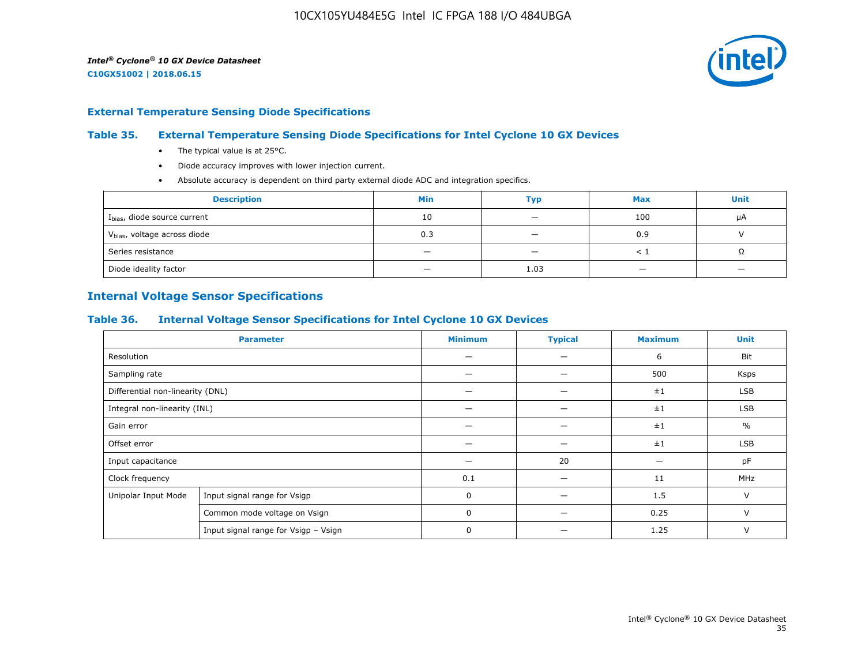

#### **External Temperature Sensing Diode Specifications**

## **Table 35. External Temperature Sensing Diode Specifications for Intel Cyclone 10 GX Devices**

- The typical value is at 25°C.
- Diode accuracy improves with lower injection current.
- Absolute accuracy is dependent on third party external diode ADC and integration specifics.

| <b>Description</b>                       | Min                      | Typ                      | <b>Max</b> | <b>Unit</b> |
|------------------------------------------|--------------------------|--------------------------|------------|-------------|
| I <sub>bias</sub> , diode source current | 10                       | $\overline{\phantom{0}}$ | 100        | μA          |
| V <sub>bias</sub> , voltage across diode | 0.3                      | $\overline{\phantom{a}}$ | 0.9        |             |
| Series resistance                        | -                        | $\overline{\phantom{0}}$ |            | Ω           |
| Diode ideality factor                    | $\overline{\phantom{0}}$ | 1.03                     |            |             |

## **Internal Voltage Sensor Specifications**

#### **Table 36. Internal Voltage Sensor Specifications for Intel Cyclone 10 GX Devices**

|                                  | <b>Parameter</b>                     | <b>Minimum</b> | <b>Typical</b> | <b>Maximum</b> | <b>Unit</b>   |
|----------------------------------|--------------------------------------|----------------|----------------|----------------|---------------|
| Resolution                       |                                      |                | –              | 6              | Bit           |
| Sampling rate                    |                                      |                |                | 500            | Ksps          |
| Differential non-linearity (DNL) |                                      |                |                | $\pm 1$        | <b>LSB</b>    |
| Integral non-linearity (INL)     |                                      |                |                | $\pm 1$        | <b>LSB</b>    |
| Gain error                       |                                      |                |                | $\pm 1$        | $\frac{0}{0}$ |
| Offset error                     |                                      |                |                | ±1             | LSB           |
| Input capacitance                |                                      |                | 20             |                | pF            |
| Clock frequency                  |                                      | 0.1            | -              | 11             | MHz           |
| Unipolar Input Mode              | Input signal range for Vsigp         | 0              |                | 1.5            | V             |
|                                  | Common mode voltage on Vsign         | 0              |                | 0.25           | V             |
|                                  | Input signal range for Vsigp - Vsign | 0              |                | 1.25           | V             |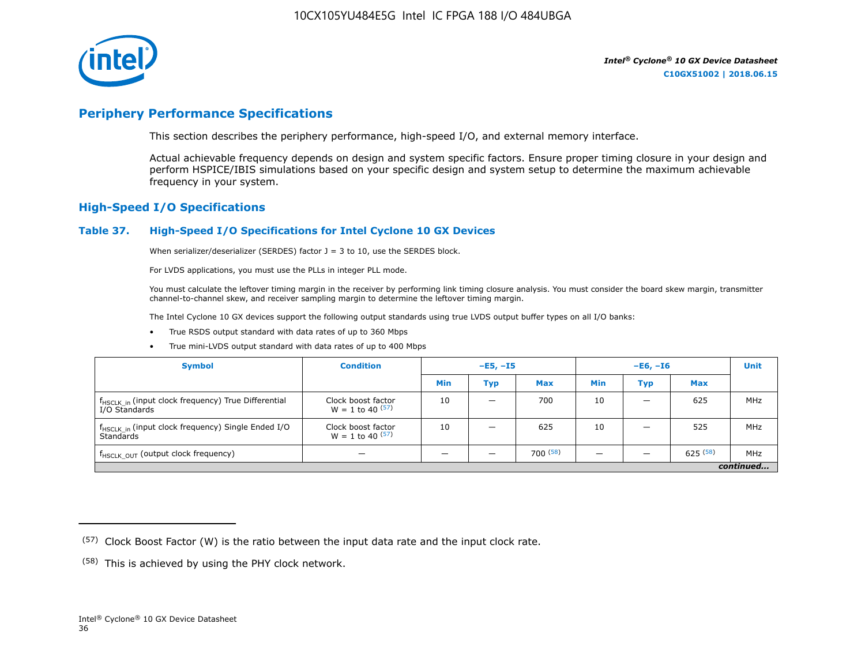

## **Periphery Performance Specifications**

This section describes the periphery performance, high-speed I/O, and external memory interface.

Actual achievable frequency depends on design and system specific factors. Ensure proper timing closure in your design and perform HSPICE/IBIS simulations based on your specific design and system setup to determine the maximum achievable frequency in your system.

## **High-Speed I/O Specifications**

#### **Table 37. High-Speed I/O Specifications for Intel Cyclone 10 GX Devices**

When serializer/deserializer (SERDES) factor  $J = 3$  to 10, use the SERDES block.

For LVDS applications, you must use the PLLs in integer PLL mode.

You must calculate the leftover timing margin in the receiver by performing link timing closure analysis. You must consider the board skew margin, transmitter channel-to-channel skew, and receiver sampling margin to determine the leftover timing margin.

The Intel Cyclone 10 GX devices support the following output standards using true LVDS output buffer types on all I/O banks:

- True RSDS output standard with data rates of up to 360 Mbps
- True mini-LVDS output standard with data rates of up to 400 Mbps

| <b>Symbol</b>                                                                    | <b>Condition</b>                           | $-E5, -15$ |                          | $-E6, -I6$ |            |     | <b>Unit</b> |     |
|----------------------------------------------------------------------------------|--------------------------------------------|------------|--------------------------|------------|------------|-----|-------------|-----|
|                                                                                  |                                            | Min        | Тур                      | <b>Max</b> | <b>Min</b> | Тур | <b>Max</b>  |     |
| f <sub>HSCLK_in</sub> (input clock frequency) True Differential<br>I/O Standards | Clock boost factor<br>$W = 1$ to 40 $(57)$ | 10         | $\overline{\phantom{0}}$ | 700        | 10         | -   | 625         | MHz |
| f <sub>HSCLK_in</sub> (input clock frequency) Single Ended I/O<br>Standards      | Clock boost factor<br>$W = 1$ to 40 $(57)$ | 10         | –                        | 625        | 10         |     | 525         | MHz |
| f <sub>HSCLK_OUT</sub> (output clock frequency)                                  |                                            |            |                          | 700(58)    |            |     | 625(58)     | MHz |
| continued                                                                        |                                            |            |                          |            |            |     |             |     |

 $(57)$  Clock Boost Factor (W) is the ratio between the input data rate and the input clock rate.

 $(58)$  This is achieved by using the PHY clock network.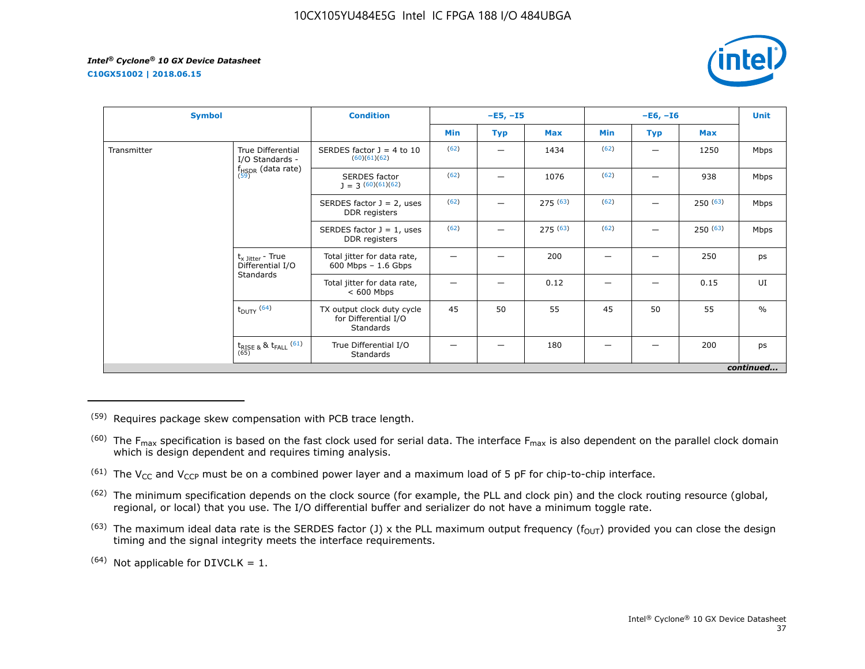**C10GX51002 | 2018.06.15**



| <b>Symbol</b> |                                                      | <b>Condition</b>                                                |      | $-E5, -I5$ |            |      | $-E6, -I6$ |            | <b>Unit</b>   |
|---------------|------------------------------------------------------|-----------------------------------------------------------------|------|------------|------------|------|------------|------------|---------------|
|               |                                                      |                                                                 | Min  | <b>Typ</b> | <b>Max</b> | Min  | <b>Typ</b> | <b>Max</b> |               |
| Transmitter   | True Differential<br>I/O Standards -                 | SERDES factor $J = 4$ to 10<br>(60)(61)(62)                     | (62) | —          | 1434       | (62) | —          | 1250       | Mbps          |
|               | $f_{HSDR}$ (data rate)<br>$(59)$                     | <b>SERDES</b> factor<br>$J = 3(60)(61)(62)$                     | (62) |            | 1076       | (62) |            | 938        | Mbps          |
|               |                                                      | SERDES factor $J = 2$ , uses<br>DDR registers                   | (62) | —          | 275(63)    | (62) |            | 250(63)    | Mbps          |
|               |                                                      | SERDES factor $J = 1$ , uses<br>DDR registers                   | (62) | —          | 275(63)    | (62) |            | 250(63)    | Mbps          |
|               | $t_{x \text{ Jitter}}$ - True<br>Differential I/O    | Total jitter for data rate,<br>$600$ Mbps $-1.6$ Gbps           |      |            | 200        | –    |            | 250        | ps            |
|               | Standards                                            | Total jitter for data rate,<br>$< 600$ Mbps                     |      |            | 0.12       |      |            | 0.15       | UI            |
|               | $t_{\text{DUTY}}$ (64)                               | TX output clock duty cycle<br>for Differential I/O<br>Standards | 45   | 50         | 55         | 45   | 50         | 55         | $\frac{0}{0}$ |
|               | $t_{\text{RISE 8}}$ & $t_{\text{FALL}}$ (61)<br>(65) | True Differential I/O<br>Standards                              |      |            | 180        |      |            | 200        | ps            |
|               |                                                      |                                                                 |      |            |            |      |            |            | continued     |

(59) Requires package skew compensation with PCB trace length.

 $^{(60)}$  The F<sub>max</sub> specification is based on the fast clock used for serial data. The interface F<sub>max</sub> is also dependent on the parallel clock domain which is design dependent and requires timing analysis.

<sup>(61)</sup> The V<sub>CC</sub> and V<sub>CCP</sub> must be on a combined power layer and a maximum load of 5 pF for chip-to-chip interface.

<sup>(62)</sup> The minimum specification depends on the clock source (for example, the PLL and clock pin) and the clock routing resource (global, regional, or local) that you use. The I/O differential buffer and serializer do not have a minimum toggle rate.

<sup>(63)</sup> The maximum ideal data rate is the SERDES factor (J) x the PLL maximum output frequency ( $f_{OUT}$ ) provided you can close the design timing and the signal integrity meets the interface requirements.

 $(64)$  Not applicable for DIVCLK = 1.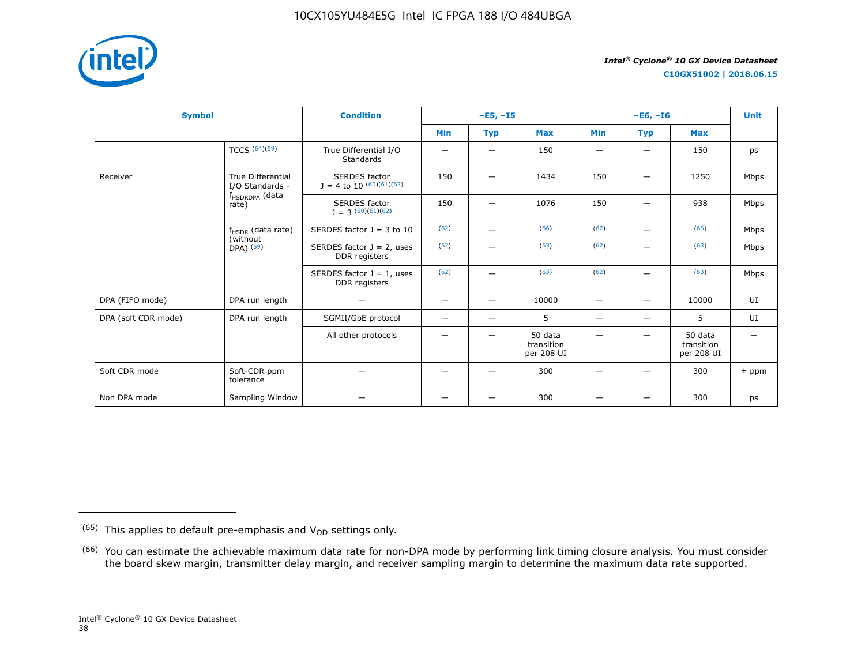

**C10GX51002 | 2018.06.15**

| <b>Symbol</b>       |                                                     | <b>Condition</b>                                     |                                | $-E5, -15$               |                                     |                          | $-E6, -I6$               |                                     |         |  |
|---------------------|-----------------------------------------------------|------------------------------------------------------|--------------------------------|--------------------------|-------------------------------------|--------------------------|--------------------------|-------------------------------------|---------|--|
|                     |                                                     |                                                      | Min                            | <b>Typ</b>               | <b>Max</b>                          | <b>Min</b>               | <b>Typ</b>               | <b>Max</b>                          |         |  |
|                     | <b>TCCS (64)(59)</b>                                | True Differential I/O<br><b>Standards</b>            |                                |                          | 150                                 |                          |                          | 150                                 | ps      |  |
| Receiver            | <b>True Differential</b><br>I/O Standards -         | <b>SERDES</b> factor<br>$J = 4$ to 10 $(60)(61)(62)$ | 150                            | —                        | 1434                                | 150                      | -                        | 1250                                | Mbps    |  |
|                     | f <sub>HSDRDPA</sub> (data<br>rate)                 | <b>SERDES</b> factor<br>$J = 3(60)(61)(62)$          | 150                            | -                        | 1076                                | 150                      | $\overline{\phantom{0}}$ | 938                                 | Mbps    |  |
|                     | $f_{HSDR}$ (data rate)<br>(without<br>$DPA)$ $(59)$ | SERDES factor $J = 3$ to 10                          | (62)                           |                          | (66)                                | (62)                     | $\overline{\phantom{0}}$ | (66)                                | Mbps    |  |
|                     |                                                     | SERDES factor $J = 2$ , uses<br>DDR registers        | (62)                           |                          | (63)                                | (62)                     |                          | (63)                                | Mbps    |  |
|                     |                                                     | SERDES factor $J = 1$ , uses<br>DDR registers        | (62)                           | -                        | (63)                                | (62)                     |                          | (63)                                | Mbps    |  |
| DPA (FIFO mode)     | DPA run length                                      | $\overline{\phantom{0}}$                             | $\qquad \qquad \longleftarrow$ | $\qquad \qquad -$        | 10000                               | $\qquad \qquad -$        | $\overline{\phantom{0}}$ | 10000                               | UI      |  |
| DPA (soft CDR mode) | DPA run length                                      | SGMII/GbE protocol                                   | -                              | $\overline{\phantom{0}}$ | 5                                   | $\overline{\phantom{0}}$ | $\overline{\phantom{0}}$ | 5                                   | UI      |  |
|                     |                                                     | All other protocols                                  |                                |                          | 50 data<br>transition<br>per 208 UI |                          |                          | 50 data<br>transition<br>per 208 UI |         |  |
| Soft CDR mode       | Soft-CDR ppm<br>tolerance                           |                                                      |                                |                          | 300                                 |                          |                          | 300                                 | $±$ ppm |  |
| Non DPA mode        | Sampling Window                                     |                                                      | —                              | —                        | 300                                 |                          |                          | 300                                 | ps      |  |

 $(65)$  This applies to default pre-emphasis and  $V_{OD}$  settings only.

<sup>&</sup>lt;sup>(66)</sup> You can estimate the achievable maximum data rate for non-DPA mode by performing link timing closure analysis. You must consider the board skew margin, transmitter delay margin, and receiver sampling margin to determine the maximum data rate supported.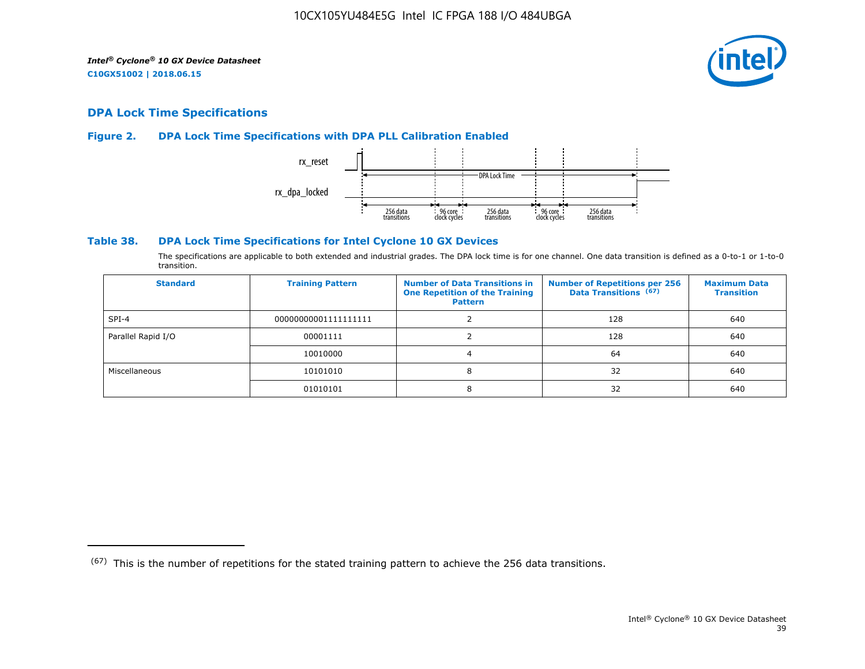

## **DPA Lock Time Specifications**

## **Figure 2. DPA Lock Time Specifications with DPA PLL Calibration Enabled**



## **Table 38. DPA Lock Time Specifications for Intel Cyclone 10 GX Devices**

The specifications are applicable to both extended and industrial grades. The DPA lock time is for one channel. One data transition is defined as a 0-to-1 or 1-to-0 transition.

| <b>Standard</b>    | <b>Training Pattern</b> | <b>Number of Data Transitions in</b><br><b>One Repetition of the Training</b><br><b>Pattern</b> | <b>Number of Repetitions per 256</b><br>Data Transitions (67) | <b>Maximum Data</b><br><b>Transition</b> |
|--------------------|-------------------------|-------------------------------------------------------------------------------------------------|---------------------------------------------------------------|------------------------------------------|
| $SPI-4$            | 00000000001111111111    |                                                                                                 | 128                                                           | 640                                      |
| Parallel Rapid I/O | 00001111                |                                                                                                 | 128                                                           | 640                                      |
|                    | 10010000                |                                                                                                 | 64                                                            | 640                                      |
| Miscellaneous      | 10101010                | 8                                                                                               | 32                                                            | 640                                      |
|                    | 01010101                | 8                                                                                               | 32                                                            | 640                                      |

 $(67)$  This is the number of repetitions for the stated training pattern to achieve the 256 data transitions.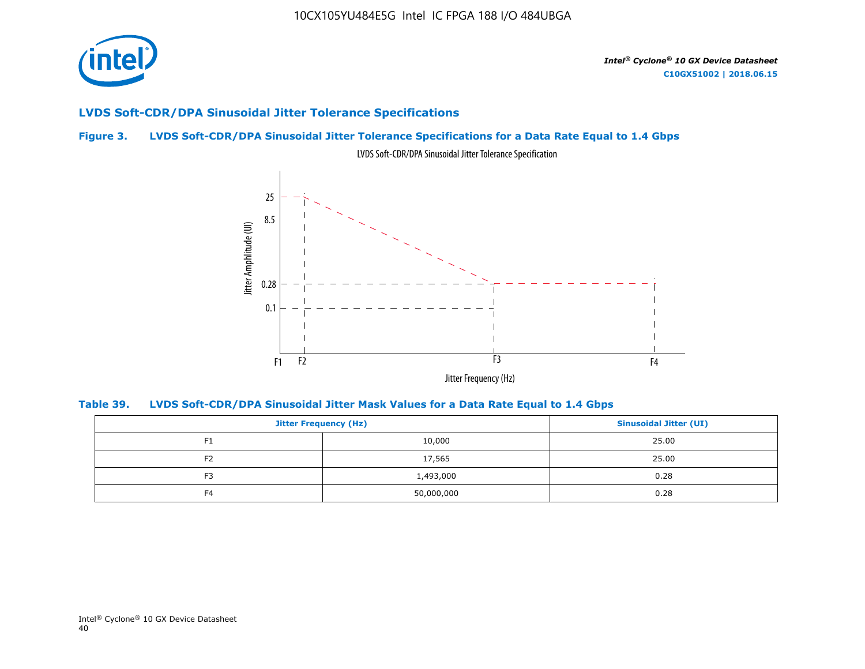

## **LVDS Soft-CDR/DPA Sinusoidal Jitter Tolerance Specifications**

## **Figure 3. LVDS Soft-CDR/DPA Sinusoidal Jitter Tolerance Specifications for a Data Rate Equal to 1.4 Gbps**



LVDS Soft-CDR/DPA Sinusoidal Jitter Tolerance Specification

**Table 39. LVDS Soft-CDR/DPA Sinusoidal Jitter Mask Values for a Data Rate Equal to 1.4 Gbps**

| <b>Jitter Frequency (Hz)</b> |            | <b>Sinusoidal Jitter (UI)</b> |
|------------------------------|------------|-------------------------------|
| F <sub>1</sub>               | 10,000     | 25.00                         |
| F <sub>2</sub>               | 17,565     | 25.00                         |
| F <sub>3</sub>               | 1,493,000  | 0.28                          |
| F <sub>4</sub>               | 50,000,000 | 0.28                          |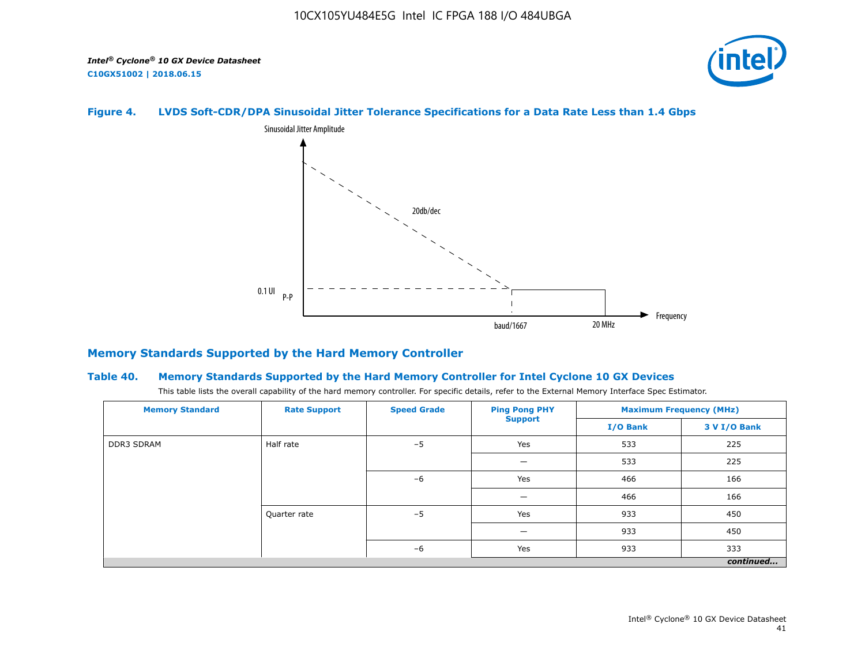

## **Figure 4. LVDS Soft-CDR/DPA Sinusoidal Jitter Tolerance Specifications for a Data Rate Less than 1.4 Gbps**



## **Memory Standards Supported by the Hard Memory Controller**

#### **Table 40. Memory Standards Supported by the Hard Memory Controller for Intel Cyclone 10 GX Devices**

This table lists the overall capability of the hard memory controller. For specific details, refer to the External Memory Interface Spec Estimator.

| <b>Memory Standard</b> | <b>Rate Support</b> | <b>Speed Grade</b> | <b>Ping Pong PHY</b> | <b>Maximum Frequency (MHz)</b> |              |  |
|------------------------|---------------------|--------------------|----------------------|--------------------------------|--------------|--|
|                        |                     |                    | <b>Support</b>       | I/O Bank                       | 3 V I/O Bank |  |
| <b>DDR3 SDRAM</b>      | Half rate           | $-5$               | Yes                  | 533                            | 225          |  |
|                        | Quarter rate        |                    |                      | 533                            | 225          |  |
|                        |                     | $-6$               | Yes                  | 466                            | 166          |  |
|                        |                     |                    |                      | 466                            | 166          |  |
|                        |                     | $-5$               | Yes                  | 933                            | 450          |  |
|                        |                     |                    |                      | 933                            | 450          |  |
|                        |                     | $-6$               | Yes                  | 933                            | 333          |  |
|                        |                     |                    |                      |                                | continued    |  |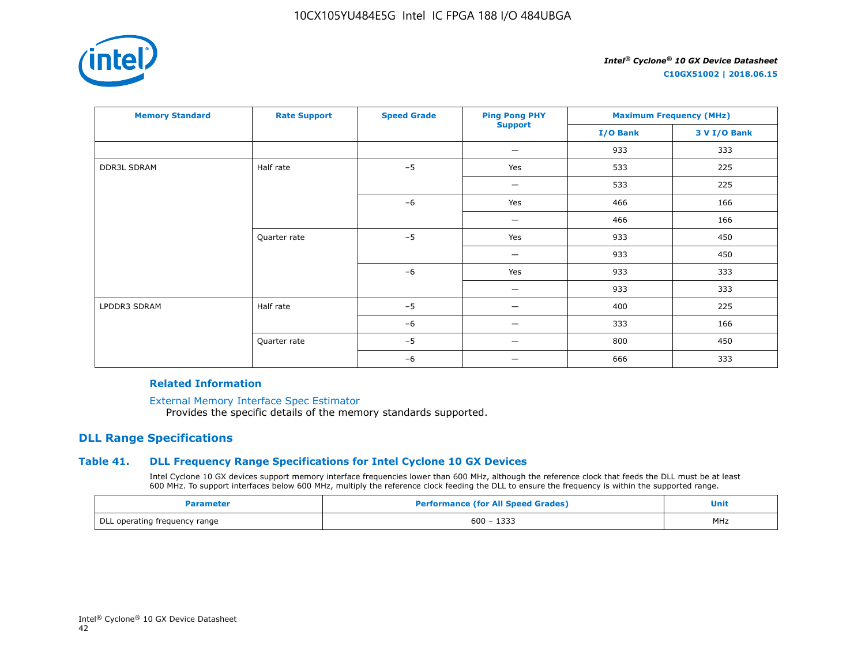

**C10GX51002 | 2018.06.15**

| <b>Memory Standard</b> | <b>Rate Support</b> | <b>Speed Grade</b> | <b>Ping Pong PHY</b> | <b>Maximum Frequency (MHz)</b> |              |
|------------------------|---------------------|--------------------|----------------------|--------------------------------|--------------|
|                        |                     |                    | <b>Support</b>       | I/O Bank                       | 3 V I/O Bank |
|                        |                     |                    | —                    | 933                            | 333          |
| <b>DDR3L SDRAM</b>     | Half rate           | $-5$               | Yes                  | 533                            | 225          |
|                        |                     |                    | -                    | 533                            | 225          |
|                        |                     | $-6$               | Yes                  | 466                            | 166          |
|                        |                     |                    |                      | 466                            | 166          |
|                        | Quarter rate        | $-5$               | Yes                  | 933                            | 450          |
|                        |                     |                    | -                    | 933                            | 450          |
|                        |                     | $-6$               | Yes                  | 933                            | 333          |
|                        |                     |                    |                      | 933                            | 333          |
| LPDDR3 SDRAM           | Half rate           | $-5$               |                      | 400                            | 225          |
|                        |                     | $-6$               | —                    | 333                            | 166          |
|                        | Quarter rate        | $-5$               |                      | 800                            | 450          |
|                        |                     | $-6$               | _                    | 666                            | 333          |

#### **Related Information**

[External Memory Interface Spec Estimator](https://www.altera.com/products/intellectual-property/best-in-class-ip/external-memory/support-selector.html)

Provides the specific details of the memory standards supported.

## **DLL Range Specifications**

## **Table 41. DLL Frequency Range Specifications for Intel Cyclone 10 GX Devices**

Intel Cyclone 10 GX devices support memory interface frequencies lower than 600 MHz, although the reference clock that feeds the DLL must be at least 600 MHz. To support interfaces below 600 MHz, multiply the reference clock feeding the DLL to ensure the frequency is within the supported range.

| Parameter                     | <b>Performance (for All Speed Grades)</b> | Unit |
|-------------------------------|-------------------------------------------|------|
| DLL operating frequency range | $600 - 1333$                              | MHz  |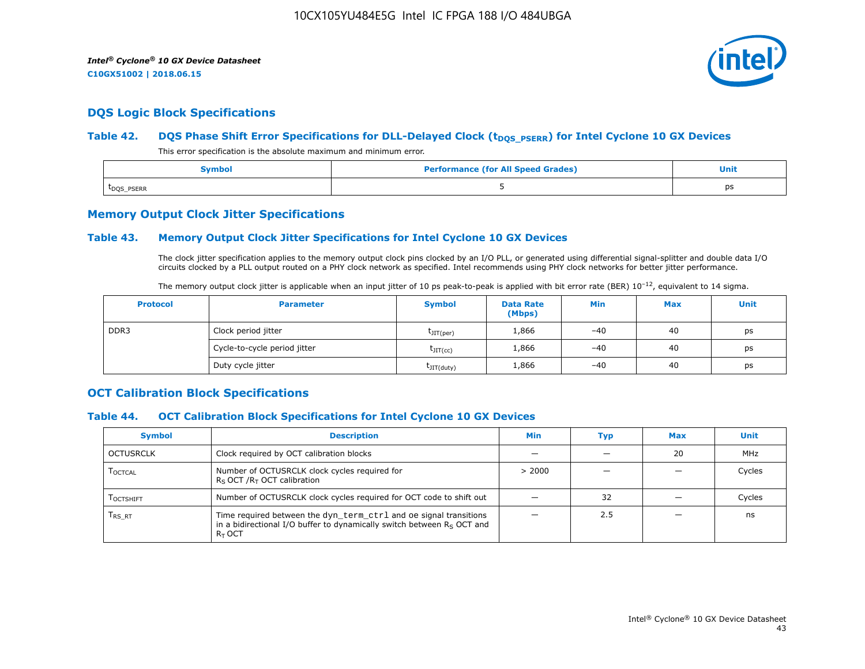

## **DQS Logic Block Specifications**

## Table 42. **DQS Phase Shift Error Specifications for DLL-Delayed Clock (t<sub>DQS\_PSERR</sub>) for Intel Cyclone 10 GX Devices**

This error specification is the absolute maximum and minimum error.

| Symbol                  | <b>Performance (for All Speed Grades)</b> | <b>Unit</b> |
|-------------------------|-------------------------------------------|-------------|
| t <sub>DQS</sub> _PSERR |                                           | ps          |

## **Memory Output Clock Jitter Specifications**

## **Table 43. Memory Output Clock Jitter Specifications for Intel Cyclone 10 GX Devices**

The clock jitter specification applies to the memory output clock pins clocked by an I/O PLL, or generated using differential signal-splitter and double data I/O circuits clocked by a PLL output routed on a PHY clock network as specified. Intel recommends using PHY clock networks for better jitter performance.

|  |  | The memory output clock jitter is applicable when an input jitter of 10 ps peak-to-peak is applied with bit error rate (BER) $10^{-12}$ , equivalent to 14 sigma. |
|--|--|-------------------------------------------------------------------------------------------------------------------------------------------------------------------|
|--|--|-------------------------------------------------------------------------------------------------------------------------------------------------------------------|

| <b>Protocol</b> | <b>Parameter</b>             | <b>Symbol</b>           | <b>Data Rate</b><br>(Mbps) | Min   | <b>Max</b> | Unit |
|-----------------|------------------------------|-------------------------|----------------------------|-------|------------|------|
| DDR3            | Clock period jitter          | $t$ JIT(per)            | 1,866                      | $-40$ | 40         | ps   |
|                 | Cycle-to-cycle period jitter | $\tau_{\text{JIT(cc)}}$ | 1,866                      | $-40$ | 40         | ps   |
|                 | Duty cycle jitter            | $t$ JIT $(duty)$        | 1,866                      | $-40$ | 40         | ps   |

## **OCT Calibration Block Specifications**

## **Table 44. OCT Calibration Block Specifications for Intel Cyclone 10 GX Devices**

| <b>Symbol</b>                 | <b>Description</b>                                                                                                                                         | Min    | Typ | <b>Max</b> | Unit   |
|-------------------------------|------------------------------------------------------------------------------------------------------------------------------------------------------------|--------|-----|------------|--------|
| OCTUSRCLK                     | Clock required by OCT calibration blocks                                                                                                                   |        |     | 20         | MHz    |
| <b>LOCTCAL</b>                | Number of OCTUSRCLK clock cycles required for<br>$R_S$ OCT / $R_T$ OCT calibration                                                                         | > 2000 |     |            | Cycles |
| <b>LOCTSHIFT</b>              | Number of OCTUSRCLK clock cycles required for OCT code to shift out                                                                                        |        | 32  |            | Cycles |
| $\mathsf{T}_{\mathsf{RS-RT}}$ | Time required between the dyn_term_ctrl and oe signal transitions<br>in a bidirectional I/O buffer to dynamically switch between $Rs$ OCT and<br>$R_T$ OCT |        | 2.5 |            | ns     |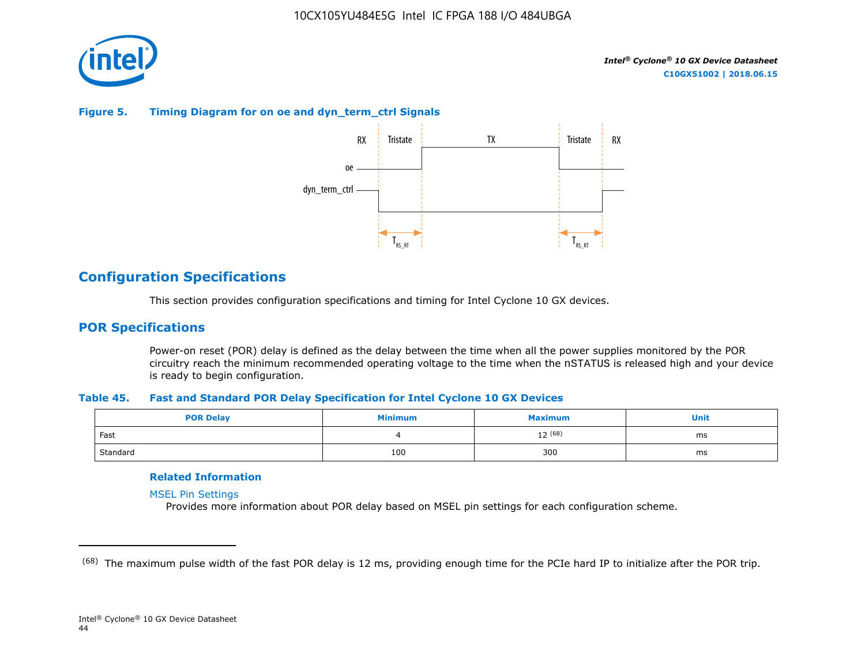

## **Figure 5. Timing Diagram for on oe and dyn\_term\_ctrl Signals**



## **Configuration Specifications**

This section provides configuration specifications and timing for Intel Cyclone 10 GX devices.

## **POR Specifications**

Power-on reset (POR) delay is defined as the delay between the time when all the power supplies monitored by the POR circuitry reach the minimum recommended operating voltage to the time when the nSTATUS is released high and your device is ready to begin configuration.

#### **Table 45. Fast and Standard POR Delay Specification for Intel Cyclone 10 GX Devices**

| <b>POR Delay</b> | Minimum | Maximum | Unit |
|------------------|---------|---------|------|
| Fast             |         | 12 (68) | ms   |
| Standard         | 100     | 300     | ms   |

## **Related Information**

[MSEL Pin Settings](https://www.altera.com/documentation/vua1487061384661.html#qui1490602367330)

Provides more information about POR delay based on MSEL pin settings for each configuration scheme.

<sup>&</sup>lt;sup>(68)</sup> The maximum pulse width of the fast POR delay is 12 ms, providing enough time for the PCIe hard IP to initialize after the POR trip.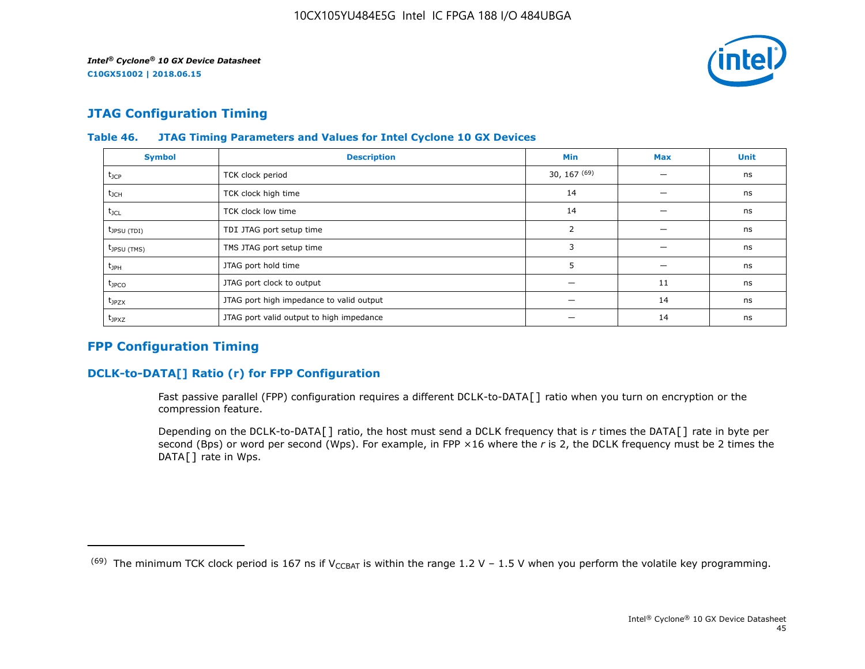![](_page_45_Picture_2.jpeg)

# **JTAG Configuration Timing**

| <b>Symbol</b>           | <b>Description</b>                       | <b>Min</b>       | <b>Max</b> | <b>Unit</b> |
|-------------------------|------------------------------------------|------------------|------------|-------------|
| $t_{\text{JCP}}$        | TCK clock period                         | $30, 167^{(69)}$ |            | ns          |
| $t_{\rm JCH}$           | TCK clock high time                      | 14               |            | ns          |
| $t_{\text{JCL}}$        | TCK clock low time                       | 14               |            | ns          |
| $t_{\text{JPSU (TDI)}}$ | TDI JTAG port setup time                 | 2                |            | ns          |
| t <sub>JPSU</sub> (TMS) | TMS JTAG port setup time                 | 3                |            | ns          |
| $t_{JPH}$               | JTAG port hold time                      | п.<br>כ          |            | ns          |
| $t_{\text{JPCO}}$       | JTAG port clock to output                |                  | 11         | ns          |
| $t_{JPZX}$              | JTAG port high impedance to valid output |                  | 14         | ns          |
| t <sub>JPXZ</sub>       | JTAG port valid output to high impedance |                  | 14         | ns          |

## **Table 46. JTAG Timing Parameters and Values for Intel Cyclone 10 GX Devices**

## **FPP Configuration Timing**

## **DCLK-to-DATA[] Ratio (r) for FPP Configuration**

Fast passive parallel (FPP) configuration requires a different DCLK-to-DATA[] ratio when you turn on encryption or the compression feature.

Depending on the DCLK-to-DATA[] ratio, the host must send a DCLK frequency that is *r* times the DATA[] rate in byte per second (Bps) or word per second (Wps). For example, in FPP ×16 where the *r* is 2, the DCLK frequency must be 2 times the DATA[] rate in Wps.

<sup>&</sup>lt;sup>(69)</sup> The minimum TCK clock period is 167 ns if V<sub>CCBAT</sub> is within the range 1.2 V – 1.5 V when you perform the volatile key programming.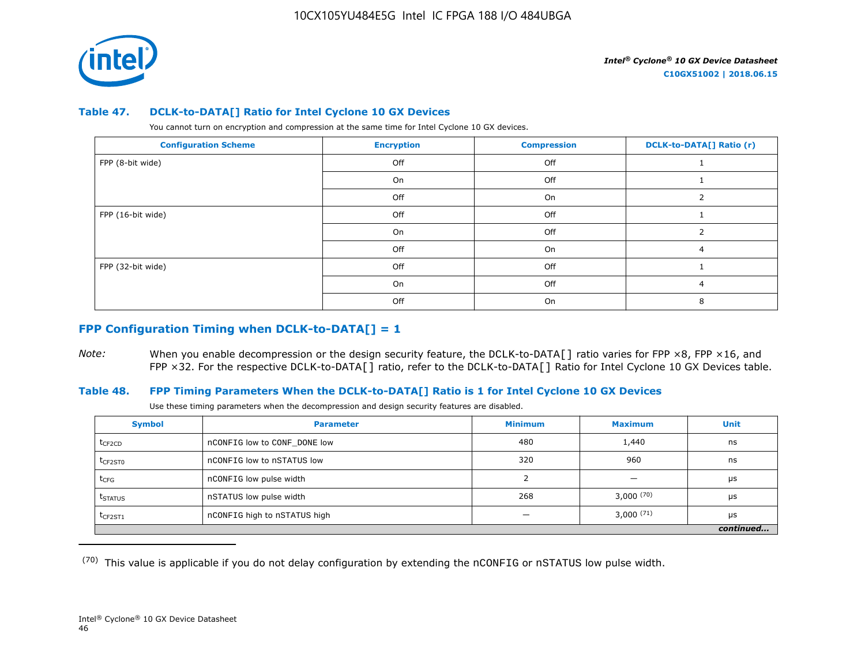![](_page_46_Picture_1.jpeg)

#### **Table 47. DCLK-to-DATA[] Ratio for Intel Cyclone 10 GX Devices**

You cannot turn on encryption and compression at the same time for Intel Cyclone 10 GX devices.

| <b>Configuration Scheme</b> | <b>Encryption</b> | <b>Compression</b> | <b>DCLK-to-DATA[] Ratio (r)</b> |
|-----------------------------|-------------------|--------------------|---------------------------------|
| FPP (8-bit wide)            | Off               | Off                |                                 |
|                             | On                | Off                |                                 |
|                             | Off               | On                 |                                 |
| FPP (16-bit wide)           | Off               | Off                |                                 |
|                             | On                | Off                |                                 |
|                             | Off               | On                 | 4                               |
| FPP (32-bit wide)           | Off               | Off                |                                 |
|                             | On                | Off                | 4                               |
|                             | Off               | On                 |                                 |

## **FPP Configuration Timing when DCLK-to-DATA[] = 1**

*Note:* When you enable decompression or the design security feature, the DCLK-to-DATA[] ratio varies for FPP ×8, FPP ×16, and FPP ×32. For the respective DCLK-to-DATA[] ratio, refer to the DCLK-to-DATA[] Ratio for Intel Cyclone 10 GX Devices table.

## **Table 48. FPP Timing Parameters When the DCLK-to-DATA[] Ratio is 1 for Intel Cyclone 10 GX Devices**

Use these timing parameters when the decompression and design security features are disabled.

| <b>Symbol</b>       | <b>Parameter</b>             | <b>Minimum</b> | <b>Maximum</b>           | Unit      |
|---------------------|------------------------------|----------------|--------------------------|-----------|
| t <sub>CF2CD</sub>  | nCONFIG low to CONF DONE low | 480            | 1,440                    | ns        |
| $t_{CF2ST0}$        | nCONFIG low to nSTATUS low   | 320            | 960                      | ns        |
| $t_{CFG}$           | nCONFIG low pulse width      |                | $\overline{\phantom{0}}$ | μs        |
| t <sub>STATUS</sub> | nSTATUS low pulse width      | 268            | 3,000(70)                | μs        |
| $t$ CF2ST1          | nCONFIG high to nSTATUS high |                | $3,000^{(71)}$           | μs        |
|                     |                              |                |                          | continued |

 $(70)$  This value is applicable if you do not delay configuration by extending the nCONFIG or nSTATUS low pulse width.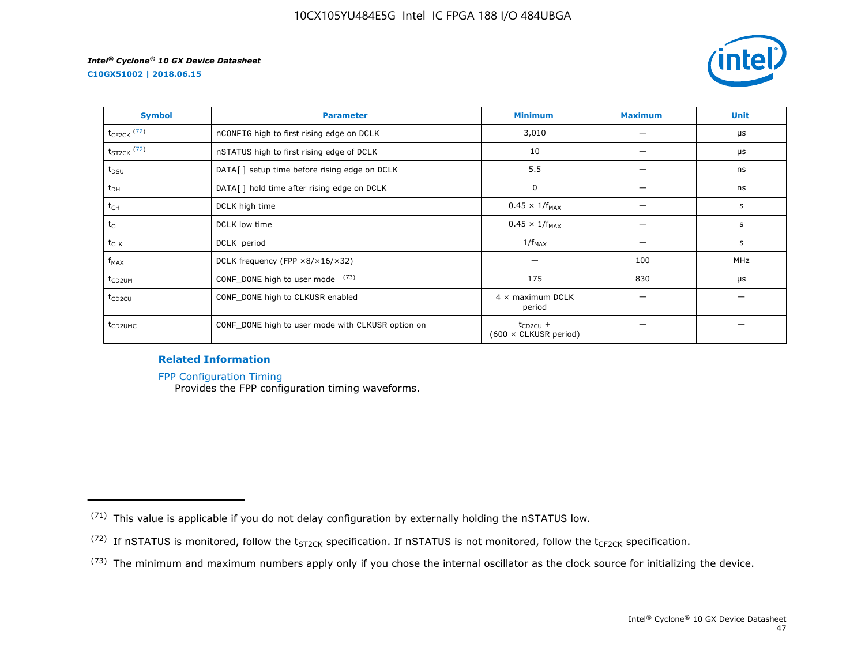**C10GX51002 | 2018.06.15**

![](_page_47_Picture_3.jpeg)

| <b>Symbol</b>       | <b>Parameter</b>                                     | <b>Minimum</b>                                | <b>Maximum</b> | <b>Unit</b> |
|---------------------|------------------------------------------------------|-----------------------------------------------|----------------|-------------|
| $t_{CF2CK}$ (72)    | nCONFIG high to first rising edge on DCLK            | 3,010                                         |                | μs          |
| $t_{ST2CK}$ (72)    | nSTATUS high to first rising edge of DCLK            | 10                                            |                | μs          |
| $t_{DSU}$           | DATA[] setup time before rising edge on DCLK         | 5.5                                           |                | ns          |
| $t_{DH}$            | DATA[] hold time after rising edge on DCLK           | 0                                             |                | ns          |
| t <sub>CH</sub>     | DCLK high time                                       | $0.45 \times 1/f_{MAX}$                       |                | s           |
| $t_{CL}$            | DCLK low time                                        | $0.45 \times 1/f_{MAX}$                       |                | s           |
| $t_{CLK}$           | DCLK period                                          | $1/f_{MAX}$                                   |                | s           |
| $f_{MAX}$           | DCLK frequency (FPP $\times 8/\times 16/\times 32$ ) |                                               | 100            | MHz         |
| t <sub>CD2UM</sub>  | CONF_DONE high to user mode (73)                     | 175                                           | 830            | μs          |
| t <sub>CD2CU</sub>  | CONF_DONE high to CLKUSR enabled                     | $4 \times$ maximum DCLK<br>period             |                |             |
| t <sub>CD2UMC</sub> | CONF_DONE high to user mode with CLKUSR option on    | $t_{CD2CU}$ +<br>$(600 \times$ CLKUSR period) |                |             |

## **Related Information**

[FPP Configuration Timing](https://www.altera.com/documentation/vua1487061384661.html#sss1425901817612)

Provides the FPP configuration timing waveforms.

<sup>(71)</sup> This value is applicable if you do not delay configuration by externally holding the nSTATUS low.

<sup>(72)</sup> If nSTATUS is monitored, follow the  $t_{ST2CK}$  specification. If nSTATUS is not monitored, follow the  $t_{CF2CK}$  specification.

<sup>(73)</sup> The minimum and maximum numbers apply only if you chose the internal oscillator as the clock source for initializing the device.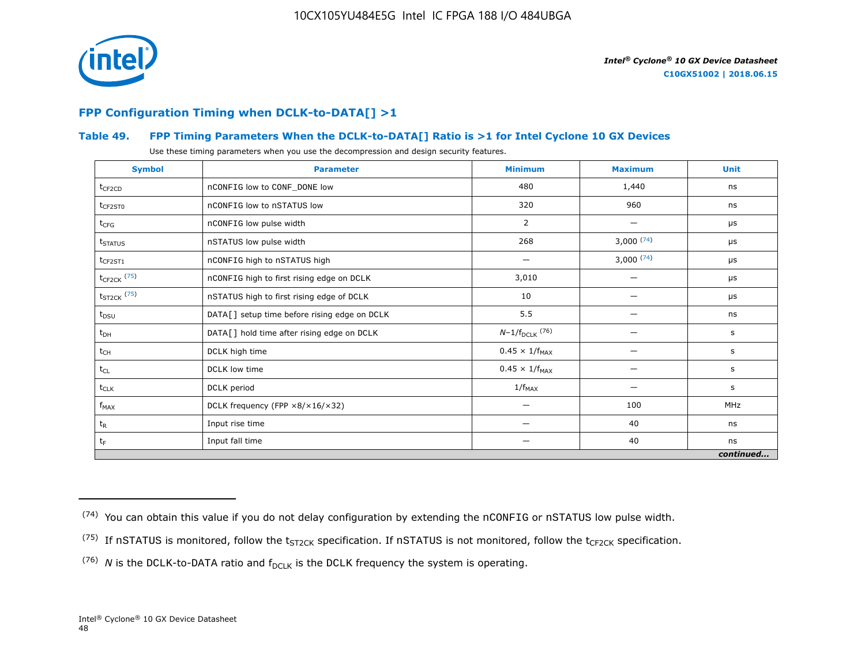![](_page_48_Picture_1.jpeg)

## **FPP Configuration Timing when DCLK-to-DATA[] >1**

## **Table 49. FPP Timing Parameters When the DCLK-to-DATA[] Ratio is >1 for Intel Cyclone 10 GX Devices**

Use these timing parameters when you use the decompression and design security features.

| <b>Symbol</b>           | <b>Parameter</b>                             | <b>Minimum</b>          | <b>Maximum</b> | <b>Unit</b> |
|-------------------------|----------------------------------------------|-------------------------|----------------|-------------|
| $t_{CF2CD}$             | nCONFIG low to CONF_DONE low                 | 480                     | 1,440          | ns          |
| $t_{CF2ST0}$            | nCONFIG low to nSTATUS low                   | 320                     | 960            | ns          |
| $t_{CFG}$               | nCONFIG low pulse width                      | 2                       |                | μs          |
| t <sub>STATUS</sub>     | nSTATUS low pulse width                      | 268                     | 3,000(74)      | μs          |
| $t_{CF2ST1}$            | nCONFIG high to nSTATUS high                 |                         | 3,000(74)      | μs          |
| $t_{\text{CF2CK}}$ (75) | nCONFIG high to first rising edge on DCLK    | 3,010                   |                | μs          |
| $t_{ST2CK}$ (75)        | nSTATUS high to first rising edge of DCLK    | 10                      |                | μs          |
| $t_{DSU}$               | DATA[] setup time before rising edge on DCLK | 5.5                     |                | ns          |
| $t_{DH}$                | DATA[] hold time after rising edge on DCLK   | $N-1/f_{DCLK}$ (76)     |                | s           |
| $t_{CH}$                | DCLK high time                               | $0.45 \times 1/f_{MAX}$ |                | s           |
| $t_{CL}$                | DCLK low time                                | $0.45 \times 1/f_{MAX}$ |                | s           |
| $t_{CLK}$               | DCLK period                                  | $1/f_{MAX}$             |                | s           |
| $f_{MAX}$               | DCLK frequency (FPP ×8/×16/×32)              | —                       | 100            | MHz         |
| $t_{R}$                 | Input rise time                              | -                       | 40             | ns          |
| $t_F$                   | Input fall time                              | —                       | 40             | ns          |
|                         |                                              |                         |                | continued   |

 $(74)$  You can obtain this value if you do not delay configuration by extending the nCONFIG or nSTATUS low pulse width.

<sup>&</sup>lt;sup>(75)</sup> If nSTATUS is monitored, follow the  $t_{ST2CK}$  specification. If nSTATUS is not monitored, follow the  $t_{CF2CK}$  specification.

<sup>(76)</sup> *N* is the DCLK-to-DATA ratio and  $f_{DCLK}$  is the DCLK frequency the system is operating.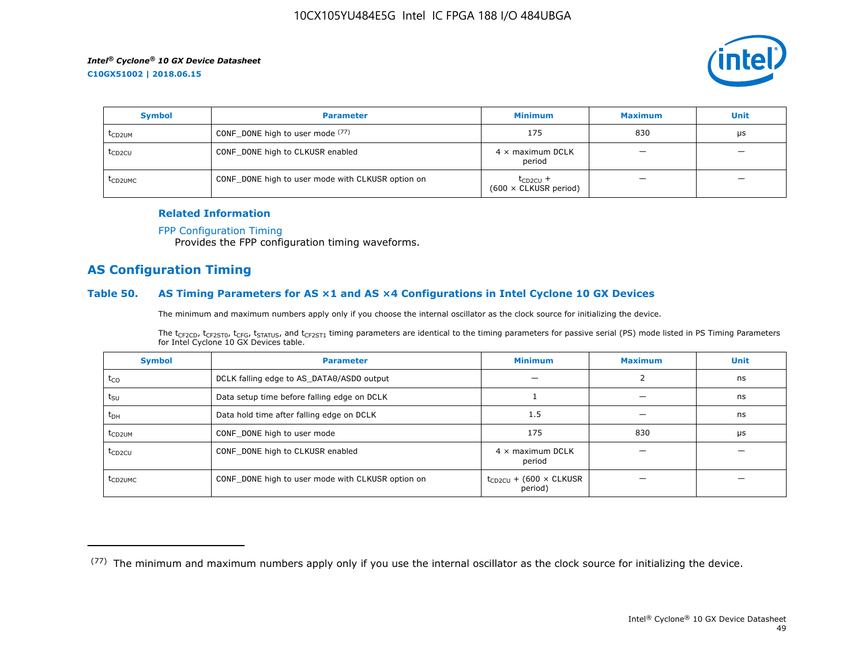![](_page_49_Picture_2.jpeg)

| <b>Symbol</b>       | <b>Parameter</b>                                  | <b>Minimum</b>                                | <b>Maximum</b> | <b>Unit</b> |
|---------------------|---------------------------------------------------|-----------------------------------------------|----------------|-------------|
| t <sub>CD2UM</sub>  | CONF_DONE high to user mode (77)                  | 175                                           | 830            | μs          |
| t <sub>CD2CU</sub>  | CONF_DONE high to CLKUSR enabled                  | $4 \times$ maximum DCLK<br>period             | –              | -           |
| t <sub>CD2UMC</sub> | CONF_DONE high to user mode with CLKUSR option on | $t_{CD2CU}$ +<br>$(600 \times$ CLKUSR period) |                |             |

#### **Related Information**

#### [FPP Configuration Timing](https://www.altera.com/documentation/vua1487061384661.html#sss1425901817612)

Provides the FPP configuration timing waveforms.

## **AS Configuration Timing**

#### **Table 50. AS Timing Parameters for AS ×1 and AS ×4 Configurations in Intel Cyclone 10 GX Devices**

The minimum and maximum numbers apply only if you choose the internal oscillator as the clock source for initializing the device.

The t<sub>CF2CD</sub>, t<sub>CF2ST0</sub>, t<sub>CFG</sub>, t<sub>STATUS</sub>, and t<sub>CF2ST1</sub> timing parameters are identical to the timing parameters for passive serial (PS) mode listed in PS Timing Parameters for Intel Cyclone 10 GX Devices table.

| <b>Symbol</b>       | <b>Parameter</b>                                  | <b>Minimum</b>                                | <b>Maximum</b> | <b>Unit</b> |
|---------------------|---------------------------------------------------|-----------------------------------------------|----------------|-------------|
| $t_{CO}$            | DCLK falling edge to AS_DATA0/ASDO output         |                                               |                | ns          |
| $t_{\text{SU}}$     | Data setup time before falling edge on DCLK       |                                               |                | ns          |
| $t_{DH}$            | Data hold time after falling edge on DCLK         | 1.5                                           |                | ns          |
| t <sub>CD2UM</sub>  | CONF_DONE high to user mode                       | 175                                           | 830            | μs          |
| $t_{CD2CU}$         | CONF_DONE high to CLKUSR enabled                  | $4 \times$ maximum DCLK<br>period             |                |             |
| t <sub>CD2UMC</sub> | CONF_DONE high to user mode with CLKUSR option on | $t_{CD2CU}$ + (600 $\times$ CLKUSR<br>period) |                |             |

<sup>(77)</sup> The minimum and maximum numbers apply only if you use the internal oscillator as the clock source for initializing the device.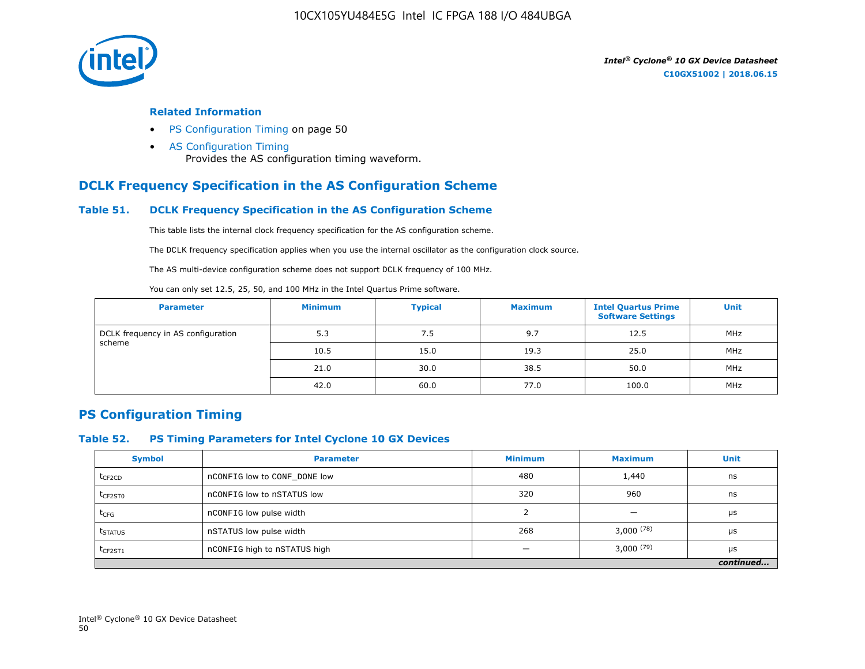![](_page_50_Picture_1.jpeg)

#### **Related Information**

- PS Configuration Timing on page 50
- [AS Configuration Timing](https://www.altera.com/documentation/vua1487061384661.html#sss1425901879133) Provides the AS configuration timing waveform.

## **DCLK Frequency Specification in the AS Configuration Scheme**

## **Table 51. DCLK Frequency Specification in the AS Configuration Scheme**

This table lists the internal clock frequency specification for the AS configuration scheme.

The DCLK frequency specification applies when you use the internal oscillator as the configuration clock source.

The AS multi-device configuration scheme does not support DCLK frequency of 100 MHz.

You can only set 12.5, 25, 50, and 100 MHz in the Intel Quartus Prime software.

| <b>Parameter</b>                   | <b>Minimum</b> | <b>Typical</b> | <b>Maximum</b> | <b>Intel Quartus Prime</b><br><b>Software Settings</b> | <b>Unit</b> |
|------------------------------------|----------------|----------------|----------------|--------------------------------------------------------|-------------|
| DCLK frequency in AS configuration | 5.3            | 7.5            | 9.7            | 12.5                                                   | MHz         |
| scheme                             | 10.5           | 15.0           | 19.3           | 25.0                                                   | MHz         |
|                                    | 21.0           | 30.0           | 38.5           | 50.0                                                   | MHz         |
|                                    | 42.0           | 60.0           | 77.0           | 100.0                                                  | MHz         |

## **PS Configuration Timing**

## **Table 52. PS Timing Parameters for Intel Cyclone 10 GX Devices**

| <b>Symbol</b>       | <b>Parameter</b>             | <b>Minimum</b> | <b>Maximum</b> | <b>Unit</b> |
|---------------------|------------------------------|----------------|----------------|-------------|
| $t_{CF2CD}$         | nCONFIG low to CONF DONE low | 480            | 1,440          | ns          |
| t <sub>CF2ST0</sub> | nCONFIG low to nSTATUS low   | 320            | 960            | ns          |
| $t_{CFG}$           | nCONFIG low pulse width      |                |                | μs          |
| t <sub>STATUS</sub> | nSTATUS low pulse width      | 268            | $3,000^{(78)}$ | μs          |
| $t_{CF2ST1}$        | nCONFIG high to nSTATUS high |                | $3,000^{(79)}$ | μs          |
|                     |                              |                |                | continued   |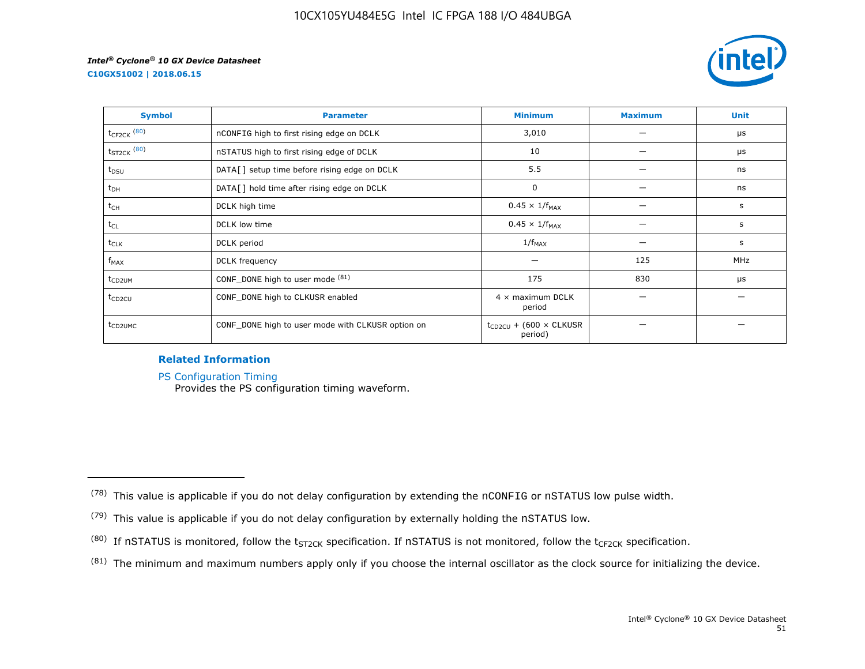**C10GX51002 | 2018.06.15**

![](_page_51_Picture_3.jpeg)

| <b>Symbol</b>       | <b>Parameter</b>                                  | <b>Minimum</b>                                | <b>Maximum</b> | <b>Unit</b> |
|---------------------|---------------------------------------------------|-----------------------------------------------|----------------|-------------|
| $t_{CF2CK}$ (80)    | nCONFIG high to first rising edge on DCLK         | 3,010                                         |                | μs          |
| $t_{ST2CK}$ $(80)$  | nSTATUS high to first rising edge of DCLK         | 10                                            |                | μs          |
| t <sub>DSU</sub>    | DATA[] setup time before rising edge on DCLK      | 5.5                                           |                | ns          |
| $t_{DH}$            | DATA[] hold time after rising edge on DCLK        | 0                                             |                | ns          |
| t <sub>CH</sub>     | DCLK high time                                    | $0.45 \times 1/f_{MAX}$                       |                | s           |
| $t_{CL}$            | DCLK low time                                     | $0.45 \times 1/f_{MAX}$                       |                | s           |
| $t_{CLK}$           | DCLK period                                       | $1/f_{MAX}$                                   |                | s           |
| $f_{MAX}$           | DCLK frequency                                    |                                               | 125            | MHz         |
| t <sub>CD2UM</sub>  | CONF_DONE high to user mode (81)                  | 175                                           | 830            | μs          |
| t <sub>CD2CU</sub>  | CONF_DONE high to CLKUSR enabled                  | $4 \times$ maximum DCLK<br>period             |                |             |
| t <sub>CD2UMC</sub> | CONF_DONE high to user mode with CLKUSR option on | $t_{CD2CU}$ + (600 $\times$ CLKUSR<br>period) |                |             |

## **Related Information**

[PS Configuration Timing](https://www.altera.com/documentation/vua1487061384661.html#sss1425901911993)

Provides the PS configuration timing waveform.

 $(81)$  The minimum and maximum numbers apply only if you choose the internal oscillator as the clock source for initializing the device.

 $(78)$  This value is applicable if you do not delay configuration by extending the nCONFIG or nSTATUS low pulse width.

<sup>(79)</sup> This value is applicable if you do not delay configuration by externally holding the nSTATUS low.

<sup>(80)</sup> If nSTATUS is monitored, follow the  $t_{ST2CK}$  specification. If nSTATUS is not monitored, follow the  $t_{CF2CK}$  specification.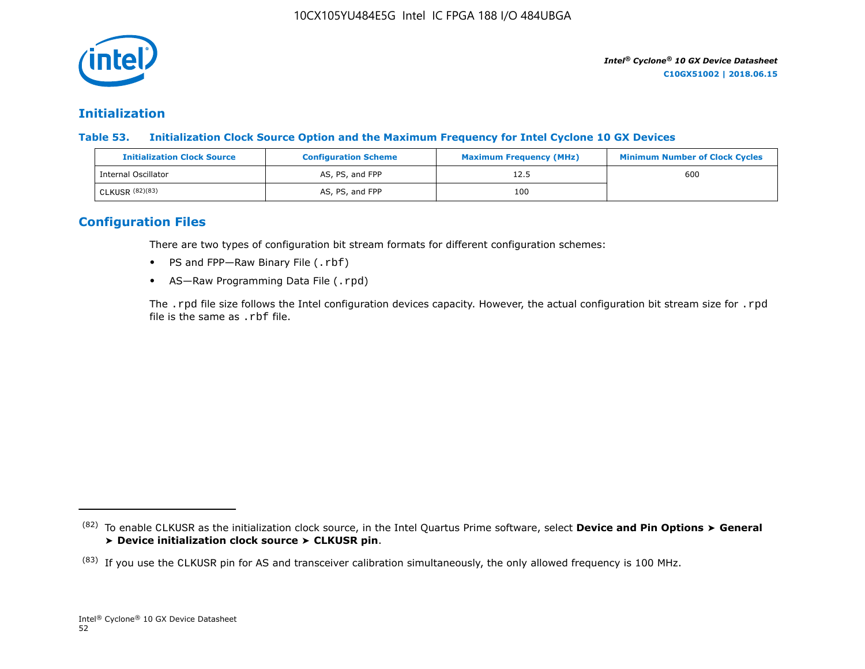![](_page_52_Picture_1.jpeg)

## **Initialization**

**Table 53. Initialization Clock Source Option and the Maximum Frequency for Intel Cyclone 10 GX Devices**

| <b>Initialization Clock Source</b> | <b>Configuration Scheme</b> | <b>Maximum Frequency (MHz)</b> | <b>Minimum Number of Clock Cycles</b> |
|------------------------------------|-----------------------------|--------------------------------|---------------------------------------|
| Internal Oscillator                | AS, PS, and FPP             | 12.5                           | 600                                   |
| CLKUSR (82)(83)                    | AS, PS, and FPP             | 100                            |                                       |

## **Configuration Files**

There are two types of configuration bit stream formats for different configuration schemes:

- PS and FPP-Raw Binary File (.rbf)
- AS-Raw Programming Data File (.rpd)

The .rpd file size follows the Intel configuration devices capacity. However, the actual configuration bit stream size for .rpd file is the same as .rbf file.

<sup>(82)</sup> To enable CLKUSR as the initialization clock source, in the Intel Quartus Prime software, select **Device and Pin Options** ➤ **General** ➤ **Device initialization clock source** ➤ **CLKUSR pin**.

 $(83)$  If you use the CLKUSR pin for AS and transceiver calibration simultaneously, the only allowed frequency is 100 MHz.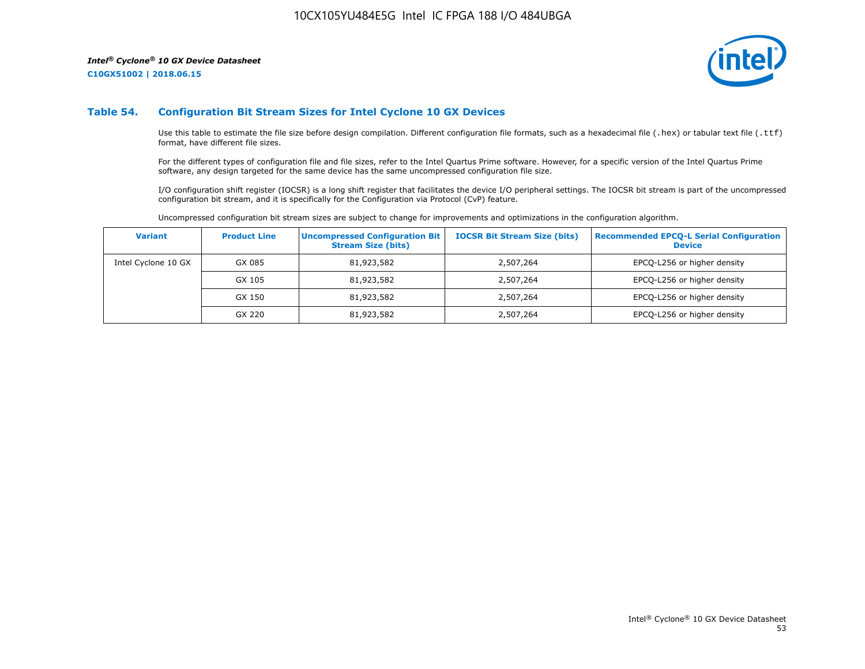**C10GX51002 | 2018.06.15**

![](_page_53_Picture_3.jpeg)

#### **Table 54. Configuration Bit Stream Sizes for Intel Cyclone 10 GX Devices**

Use this table to estimate the file size before design compilation. Different configuration file formats, such as a hexadecimal file (.hex) or tabular text file (.ttf) format, have different file sizes.

For the different types of configuration file and file sizes, refer to the Intel Quartus Prime software. However, for a specific version of the Intel Quartus Prime software, any design targeted for the same device has the same uncompressed configuration file size.

I/O configuration shift register (IOCSR) is a long shift register that facilitates the device I/O peripheral settings. The IOCSR bit stream is part of the uncompressed configuration bit stream, and it is specifically for the Configuration via Protocol (CvP) feature.

Uncompressed configuration bit stream sizes are subject to change for improvements and optimizations in the configuration algorithm.

| <b>Variant</b>      | <b>Product Line</b> | <b>Uncompressed Configuration Bit</b><br><b>Stream Size (bits)</b> | <b>IOCSR Bit Stream Size (bits)</b> | <b>Recommended EPCO-L Serial Configuration</b><br><b>Device</b> |
|---------------------|---------------------|--------------------------------------------------------------------|-------------------------------------|-----------------------------------------------------------------|
| Intel Cyclone 10 GX | GX 085              | 81,923,582                                                         | 2,507,264                           | EPCQ-L256 or higher density                                     |
|                     | GX 105              | 81,923,582                                                         | 2,507,264                           | EPCQ-L256 or higher density                                     |
|                     | GX 150              | 81,923,582                                                         | 2,507,264                           | EPCQ-L256 or higher density                                     |
|                     | GX 220              | 81,923,582                                                         | 2,507,264                           | EPCQ-L256 or higher density                                     |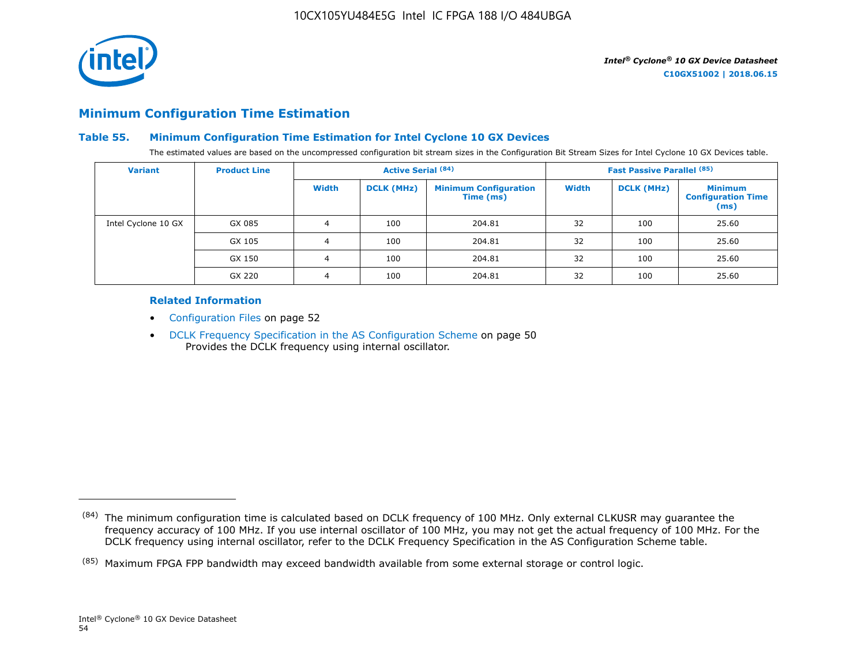![](_page_54_Picture_1.jpeg)

## **Minimum Configuration Time Estimation**

## **Table 55. Minimum Configuration Time Estimation for Intel Cyclone 10 GX Devices**

The estimated values are based on the uncompressed configuration bit stream sizes in the Configuration Bit Stream Sizes for Intel Cyclone 10 GX Devices table.

| <b>Variant</b>      | <b>Product Line</b> | <b>Active Serial (84)</b> |                   |                                           |       | <b>Fast Passive Parallel (85)</b> |                                                     |
|---------------------|---------------------|---------------------------|-------------------|-------------------------------------------|-------|-----------------------------------|-----------------------------------------------------|
|                     |                     | Width                     | <b>DCLK (MHz)</b> | <b>Minimum Configuration</b><br>Time (ms) | Width | <b>DCLK (MHz)</b>                 | <b>Minimum</b><br><b>Configuration Time</b><br>(ms) |
| Intel Cyclone 10 GX | GX 085              | 4                         | 100               | 204.81                                    | 32    | 100                               | 25.60                                               |
|                     | GX 105              | 4                         | 100               | 204.81                                    | 32    | 100                               | 25.60                                               |
|                     | GX 150              | 4                         | 100               | 204.81                                    | 32    | 100                               | 25.60                                               |
|                     | GX 220              | 4                         | 100               | 204.81                                    | 32    | 100                               | 25.60                                               |

## **Related Information**

- Configuration Files on page 52
- DCLK Frequency Specification in the AS Configuration Scheme on page 50 Provides the DCLK frequency using internal oscillator.

<sup>(84)</sup> The minimum configuration time is calculated based on DCLK frequency of 100 MHz. Only external CLKUSR may guarantee the frequency accuracy of 100 MHz. If you use internal oscillator of 100 MHz, you may not get the actual frequency of 100 MHz. For the DCLK frequency using internal oscillator, refer to the DCLK Frequency Specification in the AS Configuration Scheme table.

<sup>(85)</sup> Maximum FPGA FPP bandwidth may exceed bandwidth available from some external storage or control logic.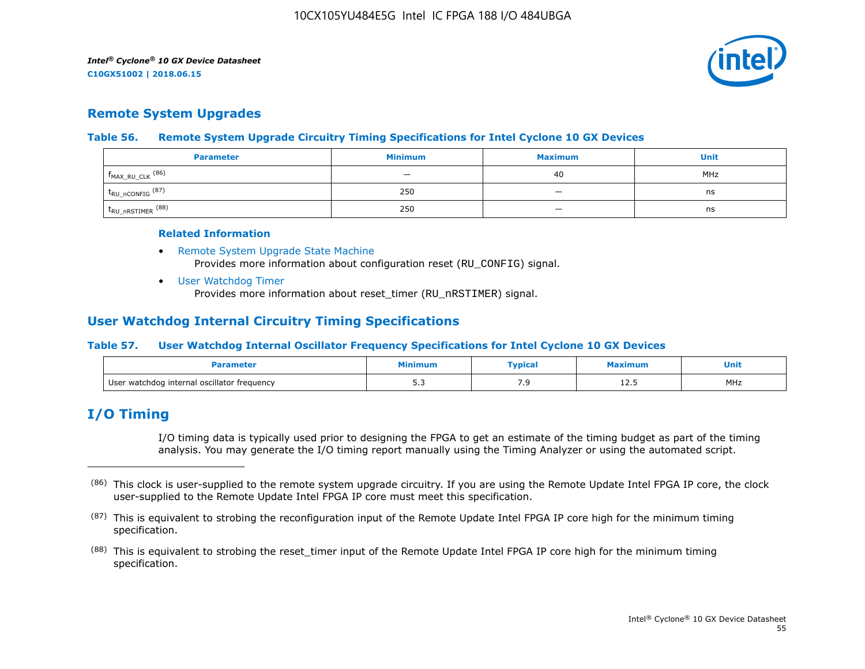![](_page_55_Picture_2.jpeg)

## **Remote System Upgrades**

## **Table 56. Remote System Upgrade Circuitry Timing Specifications for Intel Cyclone 10 GX Devices**

| <b>Parameter</b>               | <b>Minimum</b>           | <b>Maximum</b>           | Unit |
|--------------------------------|--------------------------|--------------------------|------|
| $f_{MAX_RU_CLK}$ (86)          | $\overline{\phantom{0}}$ | 40                       | MHz  |
| $t_{RU\_nCONFIG}$ (87)         | 250                      | $\overline{\phantom{a}}$ | ns   |
| $t_{\text{RU\_nRSTIMER}}$ (88) | 250                      |                          | ns   |

#### **Related Information**

- [Remote System Upgrade State Machine](https://www.altera.com/documentation/vua1487061384661.html#sam1403483214821) Provides more information about configuration reset (RU\_CONFIG) signal.
- [User Watchdog Timer](https://www.altera.com/documentation/vua1487061384661.html#sam1403483217279) Provides more information about reset\_timer (RU\_nRSTIMER) signal.

## **User Watchdog Internal Circuitry Timing Specifications**

## **Table 57. User Watchdog Internal Oscillator Frequency Specifications for Intel Cyclone 10 GX Devices**

|                                             | linimur      | <b>Typical</b> | ximum | Unit<br>__ |
|---------------------------------------------|--------------|----------------|-------|------------|
| User watchdog internal oscillator frequency | - -<br>ں ، ب | ر .            | ᆂᆇᇾ   | MHz        |

## **I/O Timing**

I/O timing data is typically used prior to designing the FPGA to get an estimate of the timing budget as part of the timing analysis. You may generate the I/O timing report manually using the Timing Analyzer or using the automated script.

<sup>(86)</sup> This clock is user-supplied to the remote system upgrade circuitry. If you are using the Remote Update Intel FPGA IP core, the clock user-supplied to the Remote Update Intel FPGA IP core must meet this specification.

 $(87)$  This is equivalent to strobing the reconfiguration input of the Remote Update Intel FPGA IP core high for the minimum timing specification.

<sup>&</sup>lt;sup>(88)</sup> This is equivalent to strobing the reset\_timer input of the Remote Update Intel FPGA IP core high for the minimum timing specification.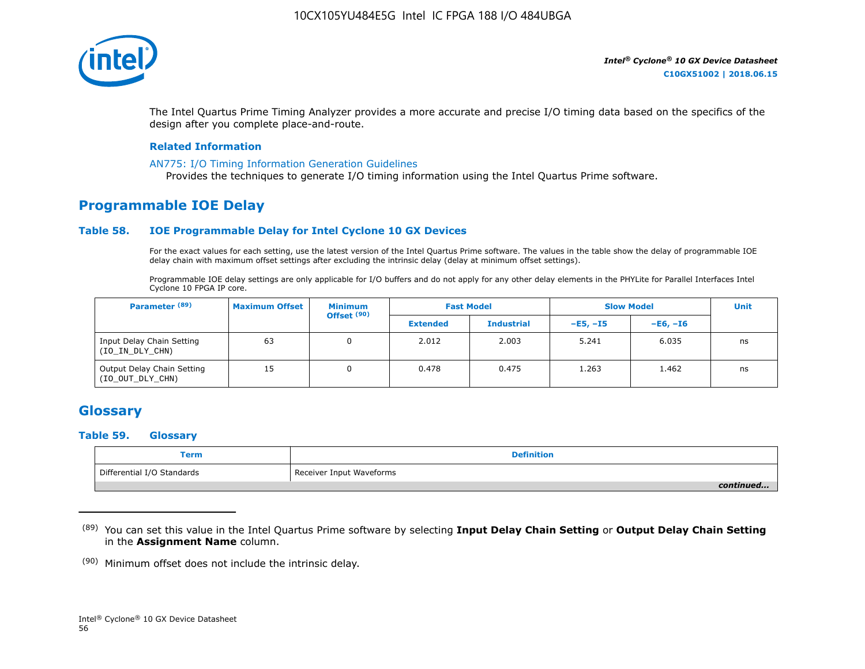![](_page_56_Picture_1.jpeg)

The Intel Quartus Prime Timing Analyzer provides a more accurate and precise I/O timing data based on the specifics of the design after you complete place-and-route.

#### **Related Information**

#### [AN775: I/O Timing Information Generation Guidelines](https://www.altera.com/documentation/brn1471986770305.html#obf1471988361539)

Provides the techniques to generate I/O timing information using the Intel Quartus Prime software.

# **Programmable IOE Delay**

## **Table 58. IOE Programmable Delay for Intel Cyclone 10 GX Devices**

For the exact values for each setting, use the latest version of the Intel Quartus Prime software. The values in the table show the delay of programmable IOE delay chain with maximum offset settings after excluding the intrinsic delay (delay at minimum offset settings).

Programmable IOE delay settings are only applicable for I/O buffers and do not apply for any other delay elements in the PHYLite for Parallel Interfaces Intel Cyclone 10 FPGA IP core.

| Parameter <sup>(89)</sup>                      | <b>Maximum Offset</b> | <b>Minimum</b><br>Offset <sup>(90)</sup> |                 | <b>Fast Model</b> | <b>Slow Model</b> |            | <b>Unit</b> |
|------------------------------------------------|-----------------------|------------------------------------------|-----------------|-------------------|-------------------|------------|-------------|
|                                                |                       |                                          | <b>Extended</b> | <b>Industrial</b> | $-E5. -15$        | $-E6. -I6$ |             |
| Input Delay Chain Setting<br>(IO_IN_DLY_CHN)   | 63                    | 0                                        | 2.012           | 2.003             | 5.241             | 6.035      | ns          |
| Output Delay Chain Setting<br>(IO_OUT_DLY_CHN) | 15                    |                                          | 0.478           | 0.475             | 1.263             | 1.462      | ns          |

# **Glossary**

#### **Table 59. Glossary**

| Term                       | <b>Definition</b>        |
|----------------------------|--------------------------|
| Differential I/O Standards | Receiver Input Waveforms |
|                            | continued                |

<sup>(89)</sup> You can set this value in the Intel Quartus Prime software by selecting **Input Delay Chain Setting** or **Output Delay Chain Setting** in the **Assignment Name** column.

 $(90)$  Minimum offset does not include the intrinsic delay.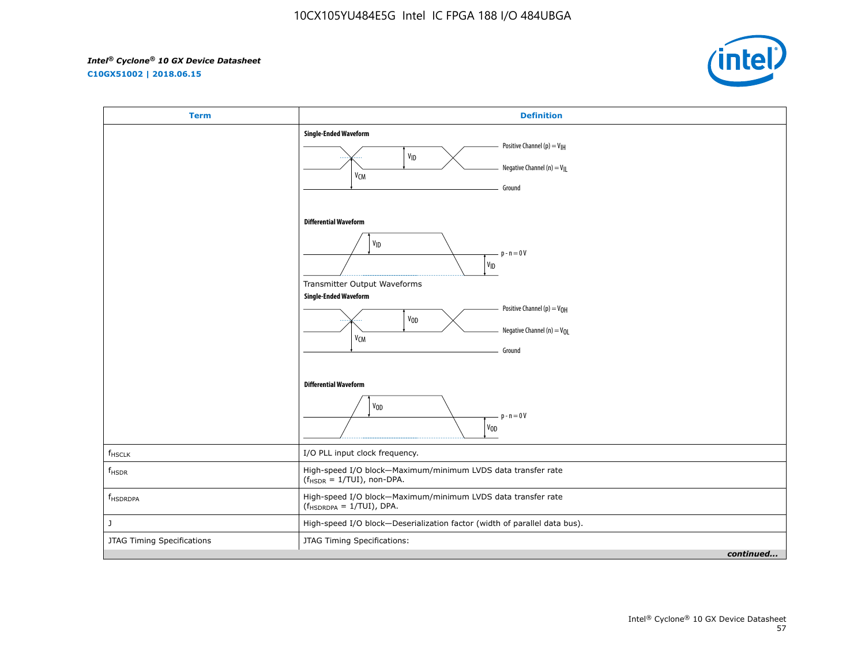**C10GX51002 | 2018.06.15**

![](_page_57_Picture_3.jpeg)

| <b>Term</b>                | <b>Definition</b>                                                                                                                                                                         |
|----------------------------|-------------------------------------------------------------------------------------------------------------------------------------------------------------------------------------------|
|                            | <b>Single-Ended Waveform</b><br>Positive Channel (p) = $V_{\text{IH}}$<br>V <sub>ID</sub><br>Negative Channel (n) = $V_{\parallel}$<br>$\mathsf{V}\mathsf{C}\mathsf{M}$<br>Ground         |
|                            | <b>Differential Waveform</b><br>$\mathsf{v}_{\mathsf{ID}}$<br>$p - n = 0V$<br>$V_{ID}$<br>Transmitter Output Waveforms<br><b>Single-Ended Waveform</b><br>Positive Channel (p) = $V_{OH}$ |
|                            | V <sub>OD</sub><br>Negative Channel (n) = $V_{OL}$<br>V <sub>CM</sub><br>Ground<br><b>Differential Waveform</b>                                                                           |
|                            | V <sub>OD</sub><br>$p - n = 0V$<br>$V_{OD}$                                                                                                                                               |
| $f_{HSCLK}$                | I/O PLL input clock frequency.                                                                                                                                                            |
| $f_{HSDR}$                 | High-speed I/O block-Maximum/minimum LVDS data transfer rate<br>$(fHSDR = 1/TUI)$ , non-DPA.                                                                                              |
| $f_{\tiny \mbox{HSDRDPA}}$ | High-speed I/O block-Maximum/minimum LVDS data transfer rate<br>$(f_{HSDRDPA} = 1/TUI)$ , DPA.                                                                                            |
| J                          | High-speed I/O block-Deserialization factor (width of parallel data bus).                                                                                                                 |
| JTAG Timing Specifications | JTAG Timing Specifications:<br>continued                                                                                                                                                  |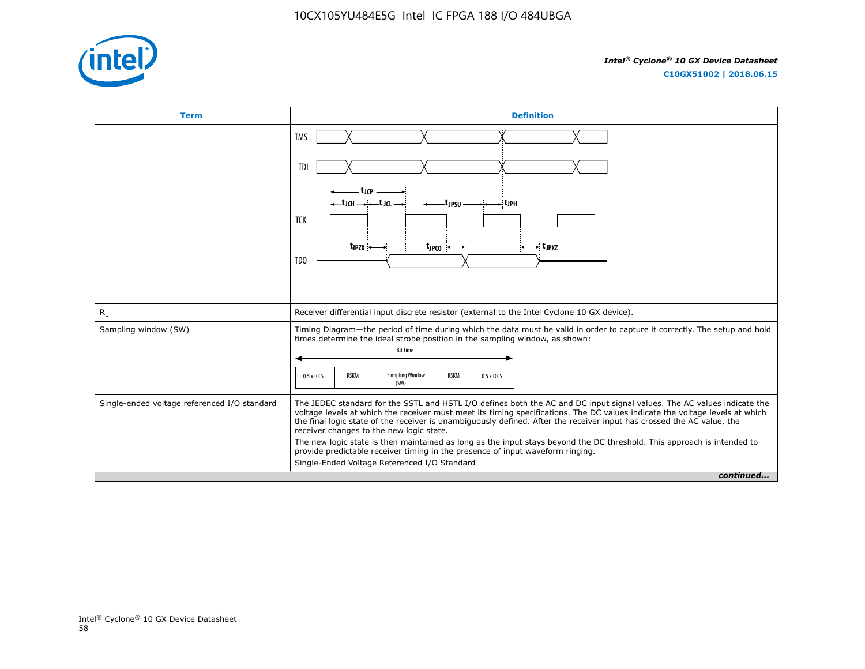![](_page_58_Picture_1.jpeg)

![](_page_58_Figure_3.jpeg)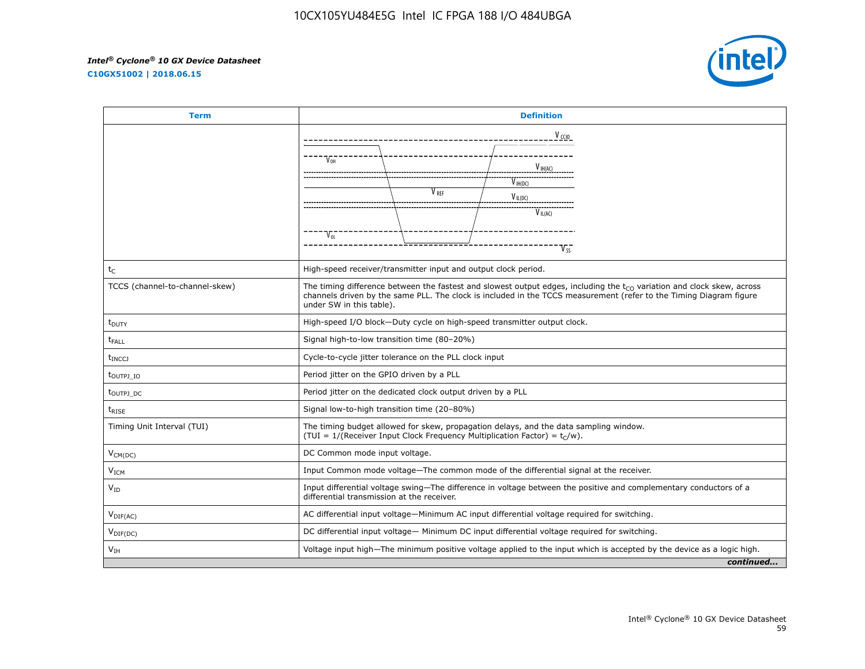**C10GX51002 | 2018.06.15**

![](_page_59_Picture_3.jpeg)

| <b>Term</b>                      | <b>Definition</b>                                                                                                                                                                                                                                                             |                  |                     |           |
|----------------------------------|-------------------------------------------------------------------------------------------------------------------------------------------------------------------------------------------------------------------------------------------------------------------------------|------------------|---------------------|-----------|
|                                  |                                                                                                                                                                                                                                                                               |                  | V <sub>ccio</sub>   |           |
|                                  |                                                                                                                                                                                                                                                                               |                  |                     |           |
|                                  | V <sub>OH</sub>                                                                                                                                                                                                                                                               |                  | $V_{\text{IH}(AC)}$ |           |
|                                  |                                                                                                                                                                                                                                                                               |                  | V IH(DC)            |           |
|                                  |                                                                                                                                                                                                                                                                               | V <sub>RFF</sub> | $V_{IL(DC)}$        |           |
|                                  |                                                                                                                                                                                                                                                                               |                  | $V_{IL(AC)}$        |           |
|                                  | $V_{OL}$                                                                                                                                                                                                                                                                      |                  |                     |           |
|                                  |                                                                                                                                                                                                                                                                               |                  | $V_{SS}$            |           |
| tc                               | High-speed receiver/transmitter input and output clock period.                                                                                                                                                                                                                |                  |                     |           |
| TCCS (channel-to-channel-skew)   | The timing difference between the fastest and slowest output edges, including the $t_{CO}$ variation and clock skew, across<br>channels driven by the same PLL. The clock is included in the TCCS measurement (refer to the Timing Diagram figure<br>under SW in this table). |                  |                     |           |
| t <sub>DUTY</sub>                | High-speed I/O block-Duty cycle on high-speed transmitter output clock.                                                                                                                                                                                                       |                  |                     |           |
| $t_{FALL}$                       | Signal high-to-low transition time (80-20%)                                                                                                                                                                                                                                   |                  |                     |           |
| t <sub>INCCJ</sub>               | Cycle-to-cycle jitter tolerance on the PLL clock input                                                                                                                                                                                                                        |                  |                     |           |
| t <sub>outpj io</sub>            | Period jitter on the GPIO driven by a PLL                                                                                                                                                                                                                                     |                  |                     |           |
| t <sub>outpj</sub> <sub>dc</sub> | Period jitter on the dedicated clock output driven by a PLL                                                                                                                                                                                                                   |                  |                     |           |
| $t_{\text{RISE}}$                | Signal low-to-high transition time (20-80%)                                                                                                                                                                                                                                   |                  |                     |           |
| Timing Unit Interval (TUI)       | The timing budget allowed for skew, propagation delays, and the data sampling window.<br>(TUI = $1/($ Receiver Input Clock Frequency Multiplication Factor) = $t_C/w$ ).                                                                                                      |                  |                     |           |
| $V_{CM(DC)}$                     | DC Common mode input voltage.                                                                                                                                                                                                                                                 |                  |                     |           |
| V <sub>ICM</sub>                 | Input Common mode voltage-The common mode of the differential signal at the receiver.                                                                                                                                                                                         |                  |                     |           |
| $V_{ID}$                         | Input differential voltage swing—The difference in voltage between the positive and complementary conductors of a<br>differential transmission at the receiver.                                                                                                               |                  |                     |           |
| $V_{\text{DIF(AC)}}$             | AC differential input voltage—Minimum AC input differential voltage required for switching.                                                                                                                                                                                   |                  |                     |           |
| $V_{\text{DIF(DC)}}$             | DC differential input voltage— Minimum DC input differential voltage required for switching.                                                                                                                                                                                  |                  |                     |           |
| V <sub>TH</sub>                  | Voltage input high—The minimum positive voltage applied to the input which is accepted by the device as a logic high.                                                                                                                                                         |                  |                     |           |
|                                  |                                                                                                                                                                                                                                                                               |                  |                     | continued |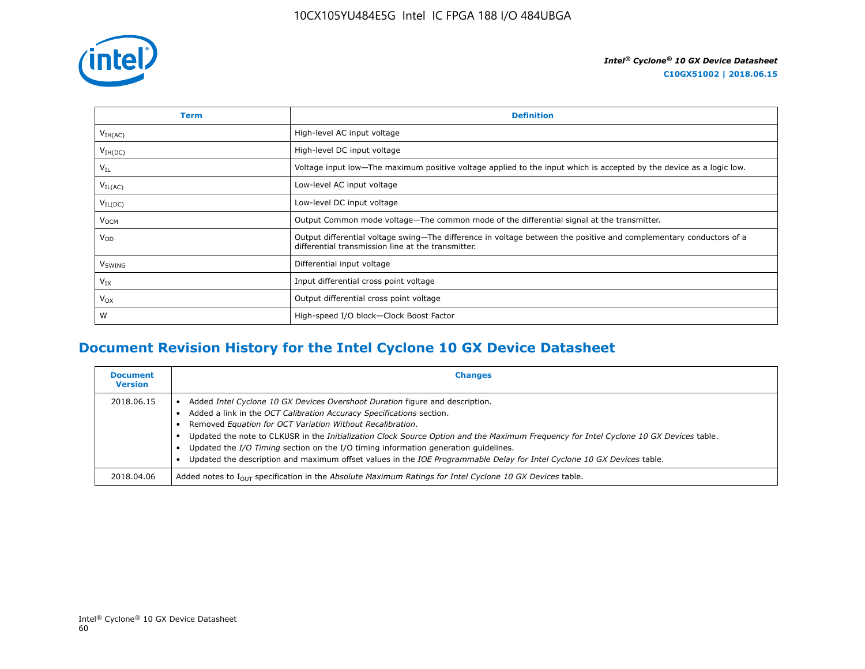![](_page_60_Picture_1.jpeg)

| Term                | <b>Definition</b>                                                                                                                                                        |
|---------------------|--------------------------------------------------------------------------------------------------------------------------------------------------------------------------|
| V <sub>IH(AC)</sub> | High-level AC input voltage                                                                                                                                              |
| $V_{IH(DC)}$        | High-level DC input voltage                                                                                                                                              |
| $V_{IL}$            | Voltage input low—The maximum positive voltage applied to the input which is accepted by the device as a logic low.                                                      |
| $V_{IL(AC)}$        | Low-level AC input voltage                                                                                                                                               |
| $V_{IL(DC)}$        | Low-level DC input voltage                                                                                                                                               |
| V <sub>OCM</sub>    | Output Common mode voltage—The common mode of the differential signal at the transmitter.                                                                                |
| $V_{OD}$            | Output differential voltage swing-The difference in voltage between the positive and complementary conductors of a<br>differential transmission line at the transmitter. |
| V <sub>SWING</sub>  | Differential input voltage                                                                                                                                               |
| $V_{IX}$            | Input differential cross point voltage                                                                                                                                   |
| $V_{OX}$            | Output differential cross point voltage                                                                                                                                  |
| W                   | High-speed I/O block-Clock Boost Factor                                                                                                                                  |

# **Document Revision History for the Intel Cyclone 10 GX Device Datasheet**

| <b>Document</b><br><b>Version</b> | <b>Changes</b>                                                                                                                                                                                                                                                                                                                                                                                                                                                                                                                                                              |
|-----------------------------------|-----------------------------------------------------------------------------------------------------------------------------------------------------------------------------------------------------------------------------------------------------------------------------------------------------------------------------------------------------------------------------------------------------------------------------------------------------------------------------------------------------------------------------------------------------------------------------|
| 2018.06.15                        | Added Intel Cyclone 10 GX Devices Overshoot Duration figure and description.<br>Added a link in the OCT Calibration Accuracy Specifications section.<br>Removed Equation for OCT Variation Without Recalibration.<br>Updated the note to CLKUSR in the Initialization Clock Source Option and the Maximum Frequency for Intel Cyclone 10 GX Devices table.<br>Updated the I/O Timing section on the I/O timing information generation quidelines.<br>Updated the description and maximum offset values in the IOE Programmable Delay for Intel Cyclone 10 GX Devices table. |
| 2018.04.06                        | Added notes to $I_{OUT}$ specification in the Absolute Maximum Ratings for Intel Cyclone 10 GX Devices table.                                                                                                                                                                                                                                                                                                                                                                                                                                                               |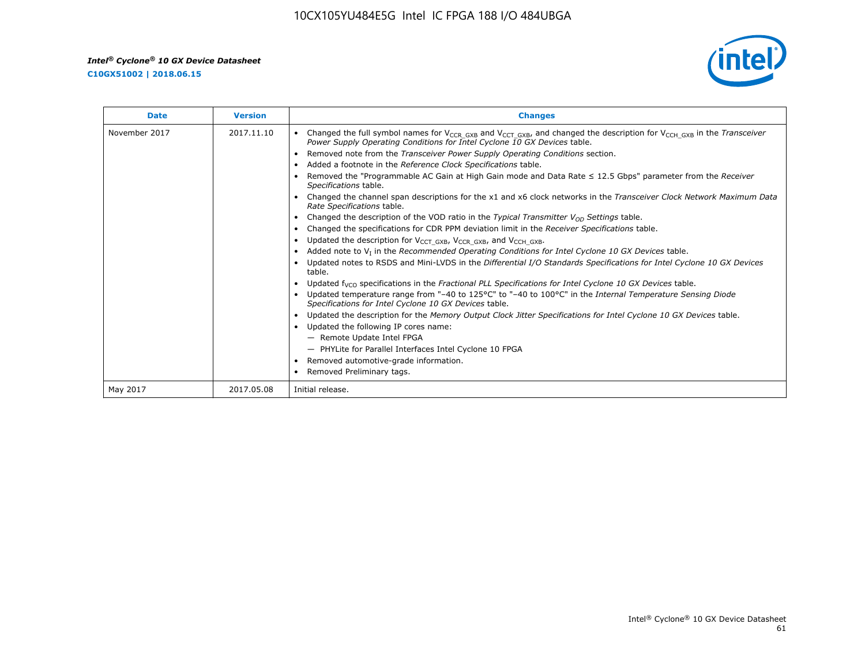**C10GX51002 | 2018.06.15**

![](_page_61_Picture_3.jpeg)

| <b>Date</b>   | <b>Version</b> | <b>Changes</b>                                                                                                                                                                                                                        |
|---------------|----------------|---------------------------------------------------------------------------------------------------------------------------------------------------------------------------------------------------------------------------------------|
| November 2017 | 2017.11.10     | Changed the full symbol names for V <sub>CCR GXB</sub> and V <sub>CCT GXB</sub> , and changed the description for V <sub>CCH GXB</sub> in the Transceiver<br>Power Supply Operating Conditions for Intel Cyclone 10 GX Devices table. |
|               |                | Removed note from the Transceiver Power Supply Operating Conditions section.                                                                                                                                                          |
|               |                | Added a footnote in the Reference Clock Specifications table.                                                                                                                                                                         |
|               |                | Removed the "Programmable AC Gain at High Gain mode and Data Rate $\leq$ 12.5 Gbps" parameter from the Receiver<br>Specifications table.                                                                                              |
|               |                | Changed the channel span descriptions for the x1 and x6 clock networks in the Transceiver Clock Network Maximum Data<br>Rate Specifications table.                                                                                    |
|               |                | Changed the description of the VOD ratio in the Typical Transmitter $V_{OD}$ Settings table.                                                                                                                                          |
|               |                | Changed the specifications for CDR PPM deviation limit in the Receiver Specifications table.                                                                                                                                          |
|               |                | Updated the description for V <sub>CCT_GXB</sub> , V <sub>CCR_GXB</sub> , and V <sub>CCH_GXB</sub> .<br>$\bullet$                                                                                                                     |
|               |                | Added note to $V_I$ in the Recommended Operating Conditions for Intel Cyclone 10 GX Devices table.                                                                                                                                    |
|               |                | Updated notes to RSDS and Mini-LVDS in the Differential I/O Standards Specifications for Intel Cyclone 10 GX Devices<br>table.                                                                                                        |
|               |                | Updated $f_{VCO}$ specifications in the Fractional PLL Specifications for Intel Cyclone 10 GX Devices table.                                                                                                                          |
|               |                | Updated temperature range from "-40 to 125°C" to "-40 to 100°C" in the Internal Temperature Sensing Diode<br>Specifications for Intel Cyclone 10 GX Devices table.                                                                    |
|               |                | Updated the description for the Memory Output Clock Jitter Specifications for Intel Cyclone 10 GX Devices table.                                                                                                                      |
|               |                | Updated the following IP cores name:<br>$\bullet$                                                                                                                                                                                     |
|               |                | - Remote Update Intel FPGA                                                                                                                                                                                                            |
|               |                | - PHYLite for Parallel Interfaces Intel Cyclone 10 FPGA                                                                                                                                                                               |
|               |                | Removed automotive-grade information.                                                                                                                                                                                                 |
|               |                | Removed Preliminary tags.                                                                                                                                                                                                             |
| May 2017      | 2017.05.08     | Initial release.                                                                                                                                                                                                                      |